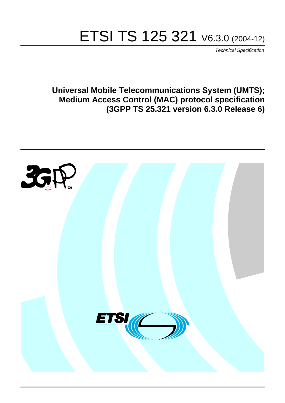# ETSI TS 125 321 V6.3.0 (2004-12)

Technical Specification

**Universal Mobile Telecommunications System (UMTS); Medium Access Control (MAC) protocol specification (3GPP TS 25.321 version 6.3.0 Release 6)**

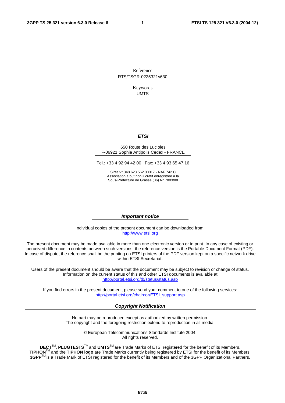Reference RTS/TSGR-0225321v630

> Keywords UMTS

#### **ETSI**

#### 650 Route des Lucioles F-06921 Sophia Antipolis Cedex - FRANCE

Tel.: +33 4 92 94 42 00 Fax: +33 4 93 65 47 16

Siret N° 348 623 562 00017 - NAF 742 C Association à but non lucratif enregistrée à la Sous-Préfecture de Grasse (06) N° 7803/88

#### **Important notice**

Individual copies of the present document can be downloaded from: [http://www.etsi.org](http://www.etsi.org/)

The present document may be made available in more than one electronic version or in print. In any case of existing or perceived difference in contents between such versions, the reference version is the Portable Document Format (PDF). In case of dispute, the reference shall be the printing on ETSI printers of the PDF version kept on a specific network drive within ETSI Secretariat.

Users of the present document should be aware that the document may be subject to revision or change of status. Information on the current status of this and other ETSI documents is available at <http://portal.etsi.org/tb/status/status.asp>

If you find errors in the present document, please send your comment to one of the following services: [http://portal.etsi.org/chaircor/ETSI\\_support.asp](http://portal.etsi.org/chaircor/ETSI_support.asp)

#### **Copyright Notification**

No part may be reproduced except as authorized by written permission. The copyright and the foregoing restriction extend to reproduction in all media.

> © European Telecommunications Standards Institute 2004. All rights reserved.

**DECT**TM, **PLUGTESTS**TM and **UMTS**TM are Trade Marks of ETSI registered for the benefit of its Members. **TIPHON**TM and the **TIPHON logo** are Trade Marks currently being registered by ETSI for the benefit of its Members. **3GPP**TM is a Trade Mark of ETSI registered for the benefit of its Members and of the 3GPP Organizational Partners.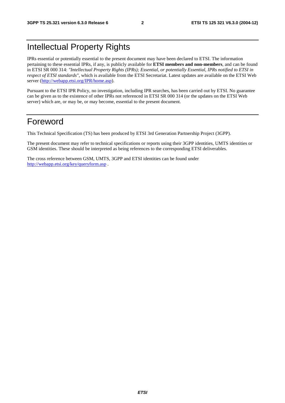# Intellectual Property Rights

IPRs essential or potentially essential to the present document may have been declared to ETSI. The information pertaining to these essential IPRs, if any, is publicly available for **ETSI members and non-members**, and can be found in ETSI SR 000 314: *"Intellectual Property Rights (IPRs); Essential, or potentially Essential, IPRs notified to ETSI in respect of ETSI standards"*, which is available from the ETSI Secretariat. Latest updates are available on the ETSI Web server ([http://webapp.etsi.org/IPR/home.asp\)](http://webapp.etsi.org/IPR/home.asp).

Pursuant to the ETSI IPR Policy, no investigation, including IPR searches, has been carried out by ETSI. No guarantee can be given as to the existence of other IPRs not referenced in ETSI SR 000 314 (or the updates on the ETSI Web server) which are, or may be, or may become, essential to the present document.

# Foreword

This Technical Specification (TS) has been produced by ETSI 3rd Generation Partnership Project (3GPP).

The present document may refer to technical specifications or reports using their 3GPP identities, UMTS identities or GSM identities. These should be interpreted as being references to the corresponding ETSI deliverables.

The cross reference between GSM, UMTS, 3GPP and ETSI identities can be found under <http://webapp.etsi.org/key/queryform.asp>.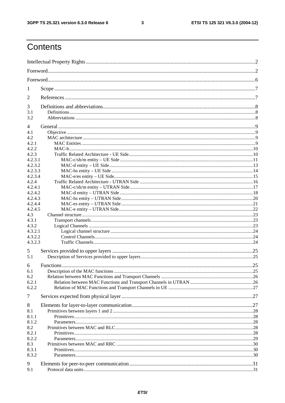#### $\mathbf{3}$

# Contents

| 1            |    |
|--------------|----|
| 2            |    |
| 3            |    |
| 3.1          |    |
| 3.2          |    |
| 4            |    |
| 4.1          |    |
| 4.2          |    |
| 4.2.1        |    |
| 4.2.2        |    |
| 4.2.3        |    |
| 4.2.3.1      |    |
| 4.2.3.2      |    |
| 4.2.3.3      |    |
| 4.2.3.4      |    |
| 4.2.4        |    |
| 4.2.4.1      |    |
| 4.2.4.2      |    |
| 4.2.4.3      |    |
| 4.2.4.4      |    |
| 4.2.4.5      |    |
| 4.3          |    |
| 4.3.1        |    |
| 4.3.2        |    |
| 4.3.2.1      |    |
| 4.3.2.2      |    |
| 4.3.2.3      |    |
| 5            |    |
| 5.1          |    |
|              |    |
| 6            |    |
| 6.1          | 25 |
| 6.2<br>6.2.1 |    |
| 6.2.2        |    |
| 7            |    |
|              |    |
| 8            |    |
| 8.1          |    |
| 8.1.1        |    |
| 8.1.2        |    |
| 8.2          |    |
| 8.2.1        |    |
| 8.2.2<br>8.3 |    |
| 8.3.1        |    |
| 8.3.2        |    |
|              |    |
| 9            |    |
| 9.1          |    |
|              |    |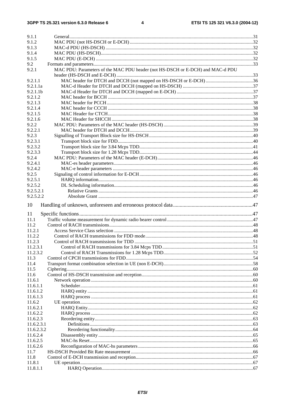| 9.1.1                  |                                                                                |  |
|------------------------|--------------------------------------------------------------------------------|--|
| 9.1.2                  |                                                                                |  |
| 9.1.3                  |                                                                                |  |
| 9.1.4                  |                                                                                |  |
| 9.1.5                  |                                                                                |  |
| 9.2                    |                                                                                |  |
| 9.2.1                  | MAC PDU: Parameters of the MAC PDU header (not HS-DSCH or E-DCH) and MAC-d PDU |  |
|                        |                                                                                |  |
| 9.2.1.1                |                                                                                |  |
| 9.2.1.1a               |                                                                                |  |
| 9.2.1.1 <sub>b</sub>   |                                                                                |  |
| 9.2.1.2                |                                                                                |  |
| 9.2.1.3                |                                                                                |  |
| 9.2.1.4                |                                                                                |  |
| 9.2.1.5                |                                                                                |  |
| 9.2.1.6                |                                                                                |  |
| 9.2.2                  |                                                                                |  |
| 9.2.2.1                |                                                                                |  |
| 9.2.3                  |                                                                                |  |
| 9.2.3.1                |                                                                                |  |
| 9.2.3.2                |                                                                                |  |
| 9.2.3.3                |                                                                                |  |
| 9.2.4                  |                                                                                |  |
| 9.2.4.1<br>9.2.4.2     |                                                                                |  |
| 9.2.5                  |                                                                                |  |
| 9.2.5.1                |                                                                                |  |
| 9.2.5.2                |                                                                                |  |
| 9.2.5.2.1              |                                                                                |  |
| 9.2.5.2.2              |                                                                                |  |
|                        |                                                                                |  |
| 10                     |                                                                                |  |
| 11                     |                                                                                |  |
| 11.1                   |                                                                                |  |
| 11.2                   |                                                                                |  |
| 11.2.1                 |                                                                                |  |
| 11.2.2                 |                                                                                |  |
| 11.2.3                 |                                                                                |  |
| 11.2.3.1               |                                                                                |  |
| 11.2.3.2               |                                                                                |  |
| 11.3                   |                                                                                |  |
| 11.4                   |                                                                                |  |
| 11.5                   |                                                                                |  |
| 11.6                   |                                                                                |  |
| 11.6.1                 |                                                                                |  |
| 11.6.1.1               |                                                                                |  |
| 11.6.1.2               |                                                                                |  |
| 11.6.1.3               |                                                                                |  |
| 11.6.2                 |                                                                                |  |
| 11.6.2.1               |                                                                                |  |
| 11.6.2.2               |                                                                                |  |
| 11.6.2.3               |                                                                                |  |
| 11.6.2.3.1             |                                                                                |  |
| 11.6.2.3.2<br>11.6.2.4 |                                                                                |  |
| 11.6.2.5               |                                                                                |  |
| 11.6.2.6               |                                                                                |  |
| 11.7                   |                                                                                |  |
| 11.8                   |                                                                                |  |
| 11.8.1                 |                                                                                |  |
|                        |                                                                                |  |
| 11.8.1.1               |                                                                                |  |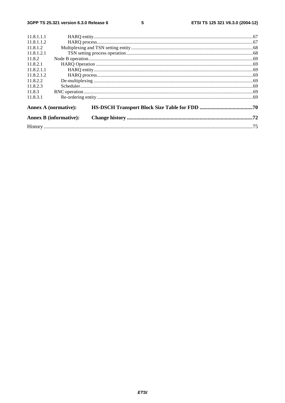$5\phantom{a}$ 

|            | <b>Annex B (informative):</b> |  |
|------------|-------------------------------|--|
|            | <b>Annex A (normative):</b>   |  |
| 11.8.3.1   |                               |  |
| 11.8.3     |                               |  |
| 11.8.2.3   |                               |  |
| 11.8.2.2   |                               |  |
| 11.8.2.1.2 |                               |  |
| 11.8.2.1.1 |                               |  |
| 11.8.2.1   |                               |  |
| 11.8.2     |                               |  |
| 11.8.1.2.1 |                               |  |
| 11.8.1.2   |                               |  |
| 11.8.1.1.2 |                               |  |
| 11.8.1.1.1 |                               |  |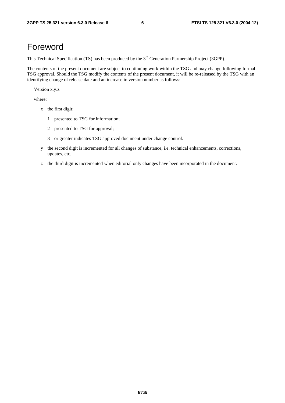# Foreword

This Technical Specification (TS) has been produced by the 3<sup>rd</sup> Generation Partnership Project (3GPP).

The contents of the present document are subject to continuing work within the TSG and may change following formal TSG approval. Should the TSG modify the contents of the present document, it will be re-released by the TSG with an identifying change of release date and an increase in version number as follows:

Version x.y.z

where:

- x the first digit:
	- 1 presented to TSG for information;
	- 2 presented to TSG for approval;
	- 3 or greater indicates TSG approved document under change control.
- y the second digit is incremented for all changes of substance, i.e. technical enhancements, corrections, updates, etc.
- z the third digit is incremented when editorial only changes have been incorporated in the document.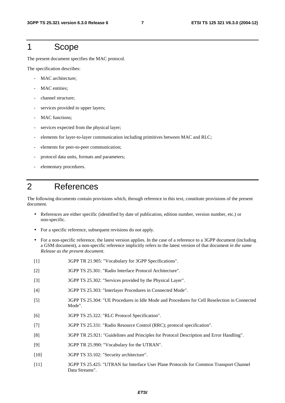# 1 Scope

The present document specifies the MAC protocol.

The specification describes:

- MAC architecture:
- MAC entities;
- channel structure;
- services provided to upper layers;
- MAC functions;
- services expected from the physical layer;
- elements for layer-to-layer communication including primitives between MAC and RLC;
- elements for peer-to-peer communication;
- protocol data units, formats and parameters;
- elementary procedures.

# 2 References

The following documents contain provisions which, through reference in this text, constitute provisions of the present document.

- References are either specific (identified by date of publication, edition number, version number, etc.) or non-specific.
- For a specific reference, subsequent revisions do not apply.
- For a non-specific reference, the latest version applies. In the case of a reference to a 3GPP document (including a GSM document), a non-specific reference implicitly refers to the latest version of that document *in the same Release as the present document*.
- [1] 3GPP TR 21.905: "Vocabulary for 3GPP Specifications".
- [2] 3GPP TS 25.301: "Radio Interface Protocol Architecture".
- [3] 3GPP TS 25.302: "Services provided by the Physical Layer".
- [4] 3GPP TS 25.303: "Interlayer Procedures in Connected Mode".
- [5] 3GPP TS 25.304: "UE Procedures in Idle Mode and Procedures for Cell Reselection in Connected Mode".
- [6] 3GPP TS 25.322: "RLC Protocol Specification".
- [7] 3GPP TS 25.331: "Radio Resource Control (RRC); protocol specification".
- [8] 3GPP TR 25.921: "Guidelines and Principles for Protocol Description and Error Handling".
- [9] 3GPP TR 25.990: "Vocabulary for the UTRAN".
- [10] 3GPP TS 33.102: "Security architecture".
- [11] 3GPP TS 25.425: "UTRAN Iur Interface User Plane Protocols for Common Transport Channel Data Streams".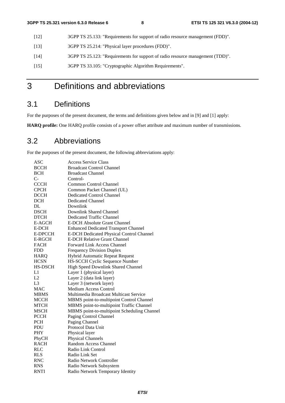- [12] 3GPP TS 25.133: "Requirements for support of radio resource management (FDD)".
- [13] 3GPP TS 25.214: "Physical layer procedures (FDD)".
- [14] 3GPP TS 25.123: "Requirements for support of radio resource management (TDD)".
- [15] 3GPP TS 33.105: "Cryptographic Algorithm Requirements".

# 3 Definitions and abbreviations

# 3.1 Definitions

For the purposes of the present document, the terms and definitions given below and in [9] and [1] apply:

**HARQ profile:** One HARQ profile consists of a power offset attribute and maximum number of transmissions.

# 3.2 Abbreviations

For the purposes of the present document, the following abbreviations apply:

| ASC            | <b>Access Service Class</b>                 |
|----------------|---------------------------------------------|
| <b>BCCH</b>    | <b>Broadcast Control Channel</b>            |
| <b>BCH</b>     | <b>Broadcast Channel</b>                    |
| $C-$           | Control-                                    |
| <b>CCCH</b>    | Common Control Channel                      |
| <b>CPCH</b>    | Common Packet Channel (UL)                  |
| <b>DCCH</b>    | Dedicated Control Channel                   |
| <b>DCH</b>     | <b>Dedicated Channel</b>                    |
| DI.            | Downlink                                    |
| <b>DSCH</b>    | Downlink Shared Channel                     |
| <b>DTCH</b>    | Dedicated Traffic Channel                   |
| E-AGCH         | <b>E-DCH Absolute Grant Channel</b>         |
| E-DCH          | <b>Enhanced Dedicated Transport Channel</b> |
| E-DPCCH        | E-DCH Dedicated Physical Control Channel    |
| E-RGCH         | <b>E-DCH Relative Grant Channel</b>         |
| <b>FACH</b>    | Forward Link Access Channel                 |
| <b>FDD</b>     | <b>Frequency Division Duplex</b>            |
| <b>HARQ</b>    | Hybrid Automatic Repeat Request             |
| <b>HCSN</b>    | HS-SCCH Cyclic Sequence Number              |
| HS-DSCH        | High Speed Downlink Shared Channel          |
| L1             | Layer 1 (physical layer)                    |
| L2             | Layer 2 (data link layer)                   |
| L <sub>3</sub> | Layer 3 (network layer)                     |
| <b>MAC</b>     | <b>Medium Access Control</b>                |
| <b>MBMS</b>    | Multimedia Broadcast Multicast Service      |
| <b>MCCH</b>    | MBMS point-to-multipoint Control Channel    |
| <b>MTCH</b>    | MBMS point-to-multipoint Traffic Channel    |
| <b>MSCH</b>    | MBMS point-to-multipoint Scheduling Channel |
| <b>PCCH</b>    | Paging Control Channel                      |
| <b>PCH</b>     | Paging Channel                              |
| PDU            | Protocol Data Unit                          |
| PHY            | Physical layer                              |
| PhyCH          | <b>Physical Channels</b>                    |
| <b>RACH</b>    | Random Access Channel                       |
| <b>RLC</b>     | Radio Link Control                          |
| <b>RLS</b>     | Radio Link Set                              |
| <b>RNC</b>     | Radio Network Controller                    |
| <b>RNS</b>     | Radio Network Subsystem                     |
| <b>RNTI</b>    | Radio Network Temporary Identity            |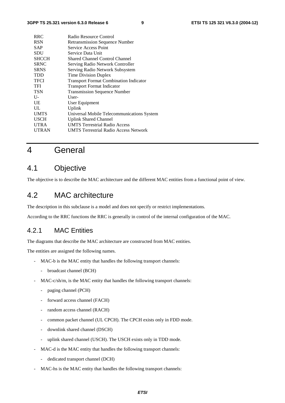| <b>RRC</b>   | Radio Resource Control                        |
|--------------|-----------------------------------------------|
| <b>RSN</b>   | <b>Retransmission Sequence Number</b>         |
| <b>SAP</b>   | Service Access Point                          |
| SDU          | Service Data Unit                             |
| <b>SHCCH</b> | Shared Channel Control Channel                |
| <b>SRNC</b>  | Serving Radio Network Controller              |
| <b>SRNS</b>  | Serving Radio Network Subsystem               |
| <b>TDD</b>   | Time Division Duplex                          |
| <b>TFCI</b>  | <b>Transport Format Combination Indicator</b> |
| TFI          | <b>Transport Format Indicator</b>             |
| <b>TSN</b>   | <b>Transmission Sequence Number</b>           |
| $U$ -        | User-                                         |
| UE           | User Equipment                                |
| UL           | Uplink                                        |
| <b>UMTS</b>  | Universal Mobile Telecommunications System    |
| <b>USCH</b>  | <b>Uplink Shared Channel</b>                  |
| <b>UTRA</b>  | <b>UMTS Terrestrial Radio Access</b>          |
| <b>UTRAN</b> | <b>UMTS Terrestrial Radio Access Network</b>  |
|              |                                               |

# 4 General

# 4.1 Objective

The objective is to describe the MAC architecture and the different MAC entities from a functional point of view.

# 4.2 MAC architecture

The description in this subclause is a model and does not specify or restrict implementations.

According to the RRC functions the RRC is generally in control of the internal configuration of the MAC.

### 4.2.1 MAC Entities

The diagrams that describe the MAC architecture are constructed from MAC entities.

The entities are assigned the following names.

- MAC-b is the MAC entity that handles the following transport channels:
	- broadcast channel (BCH)
- MAC-c/sh/m, is the MAC entity that handles the following transport channels:
	- paging channel (PCH)
	- forward access channel (FACH)
	- random access channel (RACH)
	- common packet channel (UL CPCH). The CPCH exists only in FDD mode.
	- downlink shared channel (DSCH)
	- uplink shared channel (USCH). The USCH exists only in TDD mode.
- MAC-d is the MAC entity that handles the following transport channels:
	- dedicated transport channel (DCH)
- MAC-hs is the MAC entity that handles the following transport channels: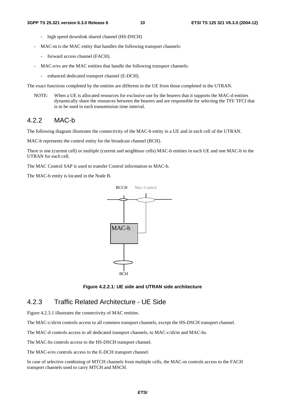- high speed downlink shared channel (HS-DSCH)
- MAC-m is the MAC entity that handles the following transport channels:
	- forward access channel (FACH).
- MAC-e/es are the MAC entities that handle the following transport channels:
	- enhanced dedicated transport channel (E-DCH).

The exact functions completed by the entities are different in the UE from those completed in the UTRAN.

NOTE: When a UE is allocated resources for exclusive use by the bearers that it supports the MAC-d entities dynamically share the resources between the bearers and are responsible for selecting the TFI/ TFCI that is to be used in each transmission time interval.

### 4.2.2 MAC-b

The following diagram illustrates the connectivity of the MAC-b entity in a UE and in each cell of the UTRAN.

MAC-b represents the control entity for the broadcast channel (BCH).

There is one (current cell) or multiple (current and neighbour cells) MAC-b entities in each UE and one MAC-b in the UTRAN for each cell.

The MAC Control SAP is used to transfer Control information to MAC-b.

The MAC-b entity is located in the Node B.



**Figure 4.2.2.1: UE side and UTRAN side architecture** 

# 4.2.3 Traffic Related Architecture - UE Side

Figure 4.2.3.1 illustrates the connectivity of MAC entities.

The MAC-c/sh/m controls access to all common transport channels, except the HS-DSCH transport channel.

The MAC-d controls access to all dedicated transport channels, to MAC-c/sh/m and MAC-hs.

The MAC-hs controls access to the HS-DSCH transport channel.

The MAC-e/es controls access to the E-DCH transport channel.

In case of selective combining of MTCH channels from multiple cells, the MAC-m controls access to the FACH transport channels used to carry MTCH and MSCH.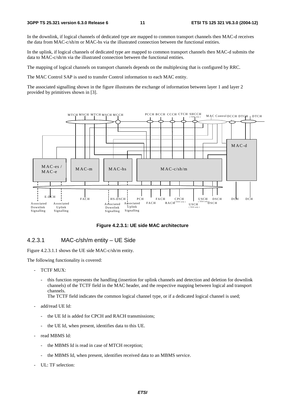In the downlink, if logical channels of dedicated type are mapped to common transport channels then MAC-d receives the data from MAC-c/sh/m or MAC-hs via the illustrated connection between the functional entities.

In the uplink, if logical channels of dedicated type are mapped to common transport channels then MAC-d submits the data to MAC-c/sh/m via the illustrated connection between the functional entities.

The mapping of logical channels on transport channels depends on the multiplexing that is configured by RRC.

The MAC Control SAP is used to transfer Control information to each MAC entity.

The associated signalling shown in the figure illustrates the exchange of information between layer 1 and layer 2 provided by primitives shown in [3].



**Figure 4.2.3.1: UE side MAC architecture** 

### 4.2.3.1 MAC-c/sh/m entity – UE Side

Figure 4.2.3.1.1 shows the UE side MAC-c/sh/m entity.

The following functionality is covered:

- TCTF MUX:
	- this function represents the handling (insertion for uplink channels and detection and deletion for downlink channels) of the TCTF field in the MAC header, and the respective mapping between logical and transport channels.

The TCTF field indicates the common logical channel type, or if a dedicated logical channel is used;

- add/read UE Id:
	- the UE Id is added for CPCH and RACH transmissions;
	- the UE Id, when present, identifies data to this UE.
- read MBMS Id:
	- the MBMS Id is read in case of MTCH reception;
	- the MBMS Id, when present, identifies received data to an MBMS service.
- UL: TF selection: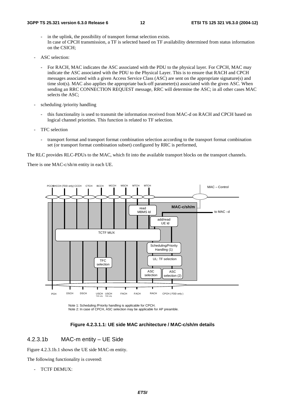- in the uplink, the possibility of transport format selection exists. In case of CPCH transmission, a TF is selected based on TF availability determined from status information on the CSICH;
- ASC selection:
	- For RACH, MAC indicates the ASC associated with the PDU to the physical layer. For CPCH, MAC may indicate the ASC associated with the PDU to the Physical Layer. This is to ensure that RACH and CPCH messages associated with a given Access Service Class (ASC) are sent on the appropriate signature(s) and time slot(s). MAC also applies the appropriate back-off parameter(s) associated with the given ASC. When sending an RRC CONNECTION REQUEST message, RRC will determine the ASC; in all other cases MAC selects the ASC;
- scheduling /priority handling
	- this functionality is used to transmit the information received from MAC-d on RACH and CPCH based on logical channel priorities. This function is related to TF selection.
- TFC selection
	- transport format and transport format combination selection according to the transport format combination set (or transport format combination subset) configured by RRC is performed,

The RLC provides RLC-PDUs to the MAC, which fit into the available transport blocks on the transport channels.

There is one MAC-c/sh/m entity in each UE.



Note 1: Scheduling /Priority handling is applicable for CPCH. Note 2: In case of CPCH, ASC selection may be applicable for AP preamble.



### 4.2.3.1b MAC-m entity – UE Side

Figure 4.2.3.1b.1 shows the UE side MAC-m entity.

The following functionality is covered:

TCTF DEMUX: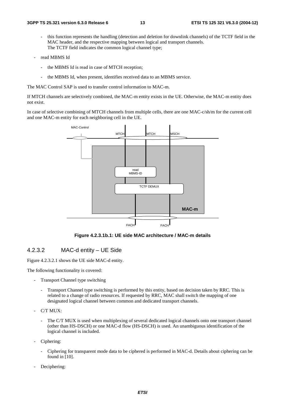- this function represents the handling (detection and deletion for downlink channels) of the TCTF field in the MAC header, and the respective mapping between logical and transport channels. The TCTF field indicates the common logical channel type;
- read MBMS Id
	- the MBMS Id is read in case of MTCH reception;
	- the MBMS Id, when present, identifies received data to an MBMS service.

The MAC Control SAP is used to transfer control information to MAC-m.

If MTCH channels are selectively combined, the MAC-m entity exists in the UE. Otherwise, the MAC-m entity does not exist.

In case of selective combining of MTCH channels from multiple cells, there are one MAC-c/sh/m for the current cell and one MAC-m entity for each neighboring cell in the UE.



**Figure 4.2.3.1b.1: UE side MAC architecture / MAC-m details**

#### 4.2.3.2 MAC-d entity – UE Side

Figure 4.2.3.2.1 shows the UE side MAC-d entity.

The following functionality is covered:

- Transport Channel type switching
	- Transport Channel type switching is performed by this entity, based on decision taken by RRC. This is related to a change of radio resources. If requested by RRC, MAC shall switch the mapping of one designated logical channel between common and dedicated transport channels.
- C/T MUX:
	- The C/T MUX is used when multiplexing of several dedicated logical channels onto one transport channel (other than HS-DSCH) or one MAC-d flow (HS-DSCH) is used. An unambiguous identification of the logical channel is included.
- Ciphering:
	- Ciphering for transparent mode data to be ciphered is performed in MAC-d. Details about ciphering can be found in [10].
- Deciphering: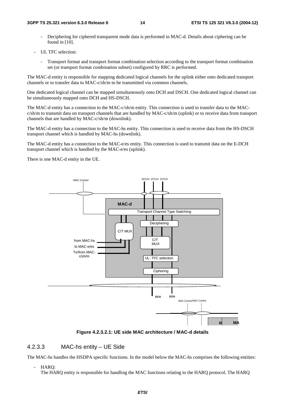- Deciphering for ciphered transparent mode data is performed in MAC-d. Details about ciphering can be found in [10].
- UL TFC selection:
	- Transport format and transport format combination selection according to the transport format combination set (or transport format combination subset) configured by RRC is performed.

The MAC-d entity is responsible for mapping dedicated logical channels for the uplink either onto dedicated transport channels or to transfer data to MAC-c/sh/m to be transmitted via common channels.

One dedicated logical channel can be mapped simultaneously onto DCH and DSCH. One dedicated logical channel can be simultaneously mapped onto DCH and HS-DSCH.

The MAC-d entity has a connection to the MAC-c/sh/m entity. This connection is used to transfer data to the MAC $c/\text{sh/m}$  to transmit data on transport channels that are handled by MAC-c/sh/m (uplink) or to receive data from transport channels that are handled by MAC-c/sh/m (downlink).

The MAC-d entity has a connection to the MAC-hs entity. This connection is used to receive data from the HS-DSCH transport channel which is handled by MAC-hs (downlink).

The MAC-d entity has a connection to the MAC-e/es entity. This connection is used to transmit data on the E-DCH transport channel which is handled by the MAC-e/es (uplink).

There is one MAC-d entity in the UE.



**Figure 4.2.3.2.1: UE side MAC architecture / MAC-d details** 

### 4.2.3.3 MAC-hs entity – UE Side

The MAC-hs handles the HSDPA specific functions. In the model below the MAC-hs comprises the following entities:

- HARQ:

The HARQ entity is responsible for handling the MAC functions relating to the HARQ protocol. The HARQ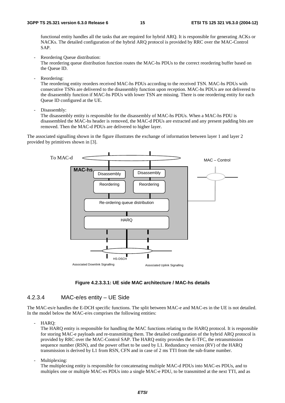functional entity handles all the tasks that are required for hybrid ARQ. It is responsible for generating ACKs or NACKs. The detailed configuration of the hybrid ARQ protocol is provided by RRC over the MAC-Control SAP.

Reordering Queue distribution:

The reordering queue distribution function routes the MAC-hs PDUs to the correct reordering buffer based on the Queue ID.

Reordering:

The reordering entity reorders received MAC-hs PDUs according to the received TSN. MAC-hs PDUs with consecutive TSNs are delivered to the disassembly function upon reception. MAC-hs PDUs are not delivered to the disassembly function if MAC-hs PDUs with lower TSN are missing. There is one reordering entity for each Queue ID configured at the UE.

Disassembly:

The disassembly entity is responsible for the disassembly of MAC-hs PDUs. When a MAC-hs PDU is disassembled the MAC-hs header is removed, the MAC-d PDUs are extracted and any present padding bits are removed. Then the MAC-d PDUs are delivered to higher layer.

The associated signalling shown in the figure illustrates the exchange of information between layer 1 and layer 2 provided by primitives shown in [3].



**Figure 4.2.3.3.1: UE side MAC architecture / MAC-hs details** 

### 4.2.3.4 MAC-e/es entity – UE Side

The MAC-es/e handles the E-DCH specific functions. The split between MAC-e and MAC-es in the UE is not detailed. In the model below the MAC-e/es comprises the following entities:

- HARQ:

The HARQ entity is responsible for handling the MAC functions relating to the HARQ protocol. It is responsible for storing MAC-e payloads and re-transmitting them. The detailed configuration of the hybrid ARQ protocol is provided by RRC over the MAC-Control SAP. The HARQ entity provides the E-TFC, the retransmission sequence number (RSN), and the power offset to be used by L1. Redundancy version (RV) of the HARO transmission is derived by L1 from RSN, CFN and in case of 2 ms TTI from the sub-frame number.

Multiplexing:

The multiplexing entity is responsible for concatenating multiple MAC-d PDUs into MAC-es PDUs, and to multiplex one or multiple MAC-es PDUs into a single MAC-e PDU, to be transmitted at the next TTI, and as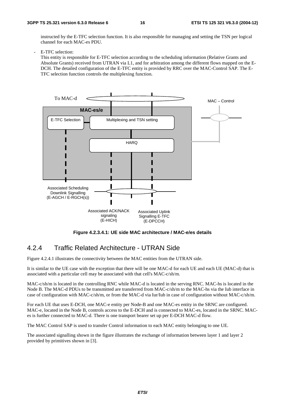instructed by the E-TFC selection function. It is also responsible for managing and setting the TSN per logical channel for each MAC-es PDU.

E-TFC selection:

This entity is responsible for E-TFC selection according to the scheduling information (Relative Grants and Absolute Grants) received from UTRAN via L1, and for arbitration among the different flows mapped on the E-DCH. The detailed configuration of the E-TFC entity is provided by RRC over the MAC-Control SAP. The E-TFC selection function controls the multiplexing function.



**Figure 4.2.3.4.1: UE side MAC architecture / MAC-e/es details** 

### 4.2.4 Traffic Related Architecture - UTRAN Side

Figure 4.2.4.1 illustrates the connectivity between the MAC entities from the UTRAN side.

It is similar to the UE case with the exception that there will be one MAC-d for each UE and each UE (MAC-d) that is associated with a particular cell may be associated with that cell's MAC-c/sh/m.

MAC-c/sh/m is located in the controlling RNC while MAC-d is located in the serving RNC. MAC-hs is located in the Node B. The MAC-d PDUs to be transmitted are transferred from MAC-c/sh/m to the MAC-hs via the Iub interface in case of configuration with MAC-c/sh/m, or from the MAC-d via Iur/Iub in case of configuration without MAC-c/sh/m.

For each UE that uses E-DCH, one MAC-e entity per Node-B and one MAC-es entity in the SRNC are configured. MAC-e, located in the Node B, controls access to the E-DCH and is connected to MAC-es, located in the SRNC. MACes is further connected to MAC-d. There is one transport bearer set up per E-DCH MAC-d flow.

The MAC Control SAP is used to transfer Control information to each MAC entity belonging to one UE.

The associated signalling shown in the figure illustrates the exchange of information between layer 1 and layer 2 provided by primitives shown in [3].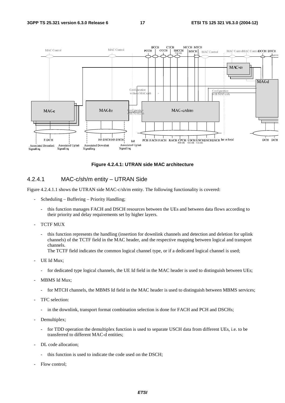

**Figure 4.2.4.1: UTRAN side MAC architecture** 

### 4.2.4.1 MAC-c/sh/m entity – UTRAN Side

Figure 4.2.4.1.1 shows the UTRAN side MAC-c/sh/m entity. The following functionality is covered:

- Scheduling Buffering Priority Handling;
	- this function manages FACH and DSCH resources between the UEs and between data flows according to their priority and delay requirements set by higher layers.
- TCTF MUX
	- this function represents the handling (insertion for downlink channels and detection and deletion for uplink channels) of the TCTF field in the MAC header, and the respective mapping between logical and transport channels.

The TCTF field indicates the common logical channel type, or if a dedicated logical channel is used;

- UE Id Mux;
	- for dedicated type logical channels, the UE Id field in the MAC header is used to distinguish between UEs;
- MBMS Id Mux;
	- for MTCH channels, the MBMS Id field in the MAC header is used to distinguish between MBMS services;
- TFC selection:
	- in the downlink, transport format combination selection is done for FACH and PCH and DSCHs;
- Demultiplex;
	- for TDD operation the demultiplex function is used to separate USCH data from different UEs, i.e. to be transferred to different MAC-d entities;
- DL code allocation;
	- this function is used to indicate the code used on the DSCH;
- Flow control: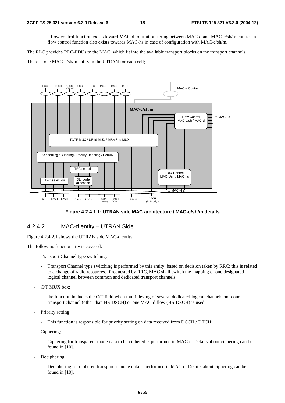a flow control function exists toward MAC-d to limit buffering between MAC-d and MAC-c/sh/m entities. a flow control function also exists towards MAC-hs in case of configuration with MAC-c/sh/m.

The RLC provides RLC-PDUs to the MAC, which fit into the available transport blocks on the transport channels.

There is one MAC-c/sh/m entity in the UTRAN for each cell;



#### **Figure 4.2.4.1.1: UTRAN side MAC architecture / MAC-c/sh/m details**

### 4.2.4.2 MAC-d entity – UTRAN Side

Figure 4.2.4.2.1 shows the UTRAN side MAC-d entity.

The following functionality is covered:

- Transport Channel type switching:
	- Transport Channel type switching is performed by this entity, based on decision taken by RRC; this is related to a change of radio resources. If requested by RRC, MAC shall switch the mapping of one designated logical channel between common and dedicated transport channels.
- C/T MUX box;
	- the function includes the C/T field when multiplexing of several dedicated logical channels onto one transport channel (other than HS-DSCH) or one MAC-d flow (HS-DSCH) is used.
- Priority setting;
	- This function is responsible for priority setting on data received from DCCH / DTCH;
- Ciphering;
	- Ciphering for transparent mode data to be ciphered is performed in MAC-d. Details about ciphering can be found in [10].
- Deciphering;
	- Deciphering for ciphered transparent mode data is performed in MAC-d. Details about ciphering can be found in [10].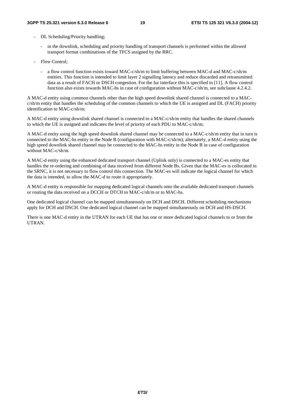- DL Scheduling/Priority handling;
	- in the downlink, scheduling and priority handling of transport channels is performed within the allowed transport format combinations of the TFCS assigned by the RRC.
- Flow Control;
	- a flow control function exists toward MAC-c/sh/m to limit buffering between MAC-d and MAC-c/sh/m entities. This function is intended to limit layer 2 signalling latency and reduce discarded and retransmitted data as a result of FACH or DSCH congestion. For the Iur interface this is specified in [11]. A flow control function also exists towards MAC-hs in case of configuration without MAC-c/sh/m, see subclause 4.2.4.2.

A MAC-d entity using common channels other than the high speed downlink shared channel is connected to a MACc/sh/m entity that handles the scheduling of the common channels to which the UE is assigned and DL (FACH) priority identification to MAC-c/sh/m;

A MAC-d entity using downlink shared channel is connected to a MAC-c/sh/m entity that handles the shared channels to which the UE is assigned and indicates the level of priority of each PDU to MAC-c/sh/m;

A MAC-d entity using the high speed downlink shared channel may be connected to a MAC-c/sh/m entity that in turn is connected to the MAC-hs entity in the Node B (configuration with MAC-c/sh/m); alternately, a MAC-d entity using the high speed downlink shared channel may be connected to the MAC-hs entity in the Node B in case of configuration without MAC-c/sh/m.

A MAC-d entity using the enhanced dedicated transport channel (Uplink only) is connected to a MAC-es entity that handles the re-ordering and combining of data received from different Node Bs. Given that the MAC-es is collocated in the SRNC, it is not necessary to flow control this connection. The MAC-es will indicate the logical channel for which the data is intended, to allow the MAC-d to route it appropriately.

A MAC-d entity is responsible for mapping dedicated logical channels onto the available dedicated transport channels or routing the data received on a DCCH or DTCH to MAC-c/sh/m or to MAC-hs.

One dedicated logical channel can be mapped simultaneously on DCH and DSCH. Different scheduling mechanisms apply for DCH and DSCH. One dedicated logical channel can be mapped simultaneously on DCH and HS-DSCH.

There is one MAC-d entity in the UTRAN for each UE that has one or more dedicated logical channels to or from the UTRAN.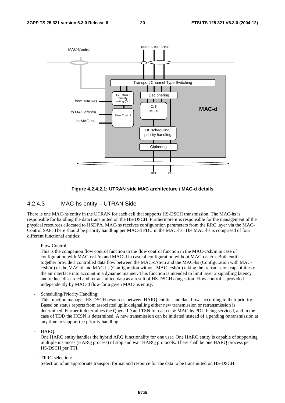

#### **Figure 4.2.4.2.1: UTRAN side MAC architecture / MAC-d details**

### 4.2.4.3 MAC-hs entity – UTRAN Side

There is one MAC-hs entity in the UTRAN for each cell that supports HS-DSCH transmission. The MAC-hs is responsible for handling the data transmitted on the HS-DSCH. Furthermore it is responsible for the management of the physical resources allocated to HSDPA. MAC-hs receives configuration parameters from the RRC layer via the MAC-Control SAP. There should be priority handling per MAC-d PDU in the MAC-hs. The MAC-hs is comprised of four different functional entities:

Flow Control:

This is the companion flow control function to the flow control function in the MAC-c/sh/m in case of configuration with MAC-c/sh/m and MAC-d in case of configuration without MAC-c/sh/m. Both entities together provide a controlled data flow between the MAC-c/sh/m and the MAC-hs (Configuration with MACc/sh/m) or the MAC-d and MAC-hs (Configuration without MAC-c/sh/m) taking the transmission capabilities of the air interface into account in a dynamic manner. This function is intended to limit layer 2 signalling latency and reduce discarded and retransmitted data as a result of HS-DSCH congestion. Flow control is provided independently by MAC-d flow for a given MAC-hs entity.

Scheduling/Priority Handling:

This function manages HS-DSCH resources between HARQ entities and data flows according to their priority. Based on status reports from associated uplink signalling either new transmission or retransmission is determined. Further it determines the Queue ID and TSN for each new MAC-hs PDU being serviced, and in the case of TDD the HCSN is determined. A new transmission can be initiated instead of a pending retransmission at any time to support the priority handling.

HARO:

One HARQ entity handles the hybrid ARQ functionality for one user. One HARQ entity is capable of supporting multiple instances (HARQ process) of stop and wait HARQ protocols. There shall be one HARQ process per HS-DSCH per TTI.

TFRC selection:

Selection of an appropriate transport format and resource for the data to be transmitted on HS-DSCH.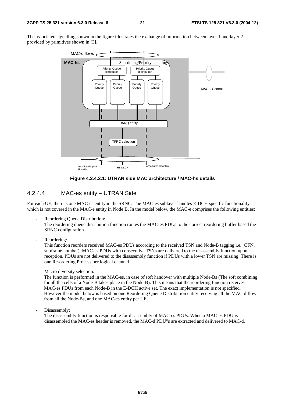The associated signalling shown in the figure illustrates the exchange of information between layer 1 and layer 2 provided by primitives shown in [3].



**Figure 4.2.4.3.1: UTRAN side MAC architecture / MAC-hs details** 

### 4.2.4.4 MAC-es entity – UTRAN Side

For each UE, there is one MAC-es entity in the SRNC. The MAC-es sublayer handles E-DCH specific functionality, which is not covered in the MAC-e entity in Node B. In the model below, the MAC-e comprises the following entities:

- Reordering Oueue Distribution: The reordering queue distribution function routes the MAC-es PDUs to the correct reordering buffer based the SRNC configuration.
- Reordering:

This function reorders received MAC-es PDUs according to the received TSN and Node-B tagging i.e. (CFN, subframe number). MAC-es PDUs with consecutive TSNs are delivered to the disassembly function upon reception. PDUs are not delivered to the disassembly function if PDUs with a lower TSN are missing. There is one Re-ordering Process per logical channel.

Macro diversity selection:

The function is performed in the MAC-es, in case of soft handover with multiple Node-Bs (The soft combining for all the cells of a Node-B takes place in the Node-B). This means that the reordering function receives MAC-es PDUs from each Node-B in the E-DCH active set. The exact implementation is not specified. However the model below is based on one Reordering Queue Distribution entity receiving all the MAC-d flow from all the Node-Bs, and one MAC-es entity per UE.

Disassembly:

The disassembly function is responsible for disassembly of MAC-es PDUs. When a MAC-es PDU is disassembled the MAC-es header is removed, the MAC-d PDU"s are extracted and delivered to MAC-d.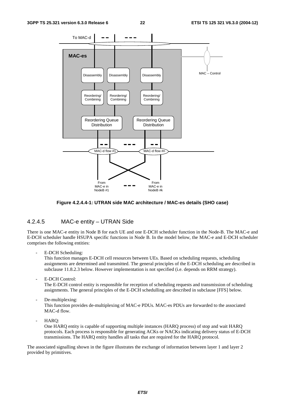#### **3GPP TS 25.321 version 6.3.0 Release 6 22 ETSI TS 125 321 V6.3.0 (2004-12)**



#### **Figure 4.2.4.4-1: UTRAN side MAC architecture / MAC-es details (SHO case)**

### 4.2.4.5 MAC-e entity – UTRAN Side

There is one MAC-e entity in Node B for each UE and one E-DCH scheduler function in the Node-B. The MAC-e and E-DCH scheduler handle HSUPA specific functions in Node B. In the model below, the MAC-e and E-DCH scheduler comprises the following entities:

E-DCH Scheduling:

This function manages E-DCH cell resources between UEs. Based on scheduling requests, scheduling assignments are determined and transmitted. The general principles of the E-DCH scheduling are described in subclause 11.8.2.3 below. However implementation is not specified (i.e. depends on RRM strategy).

E-DCH Control:

The E-DCH control entity is responsible for reception of scheduling requests and transmission of scheduling assignments. The general principles of the E-DCH schedulling are described in subclause [FFS] below.

- De-multiplexing: This function provides de-multiplexing of MAC-e PDUs. MAC-es PDUs are forwarded to the associated MAC-d flow.
- HARQ:

One HARQ entity is capable of supporting multiple instances (HARQ process) of stop and wait HARQ protocols. Each process is responsible for generating ACKs or NACKs indicating delivery status of E-DCH transmissions. The HARQ entity handles all tasks that are required for the HARQ protocol.

The associated signalling shown in the figure illustrates the exchange of information between layer 1 and layer 2 provided by primitives.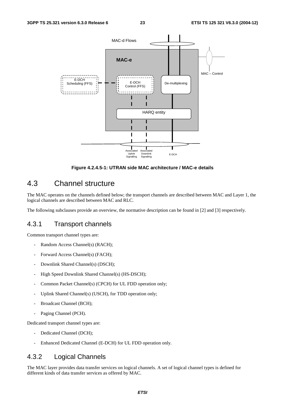

**Figure 4.2.4.5-1: UTRAN side MAC architecture / MAC-e details** 

# 4.3 Channel structure

The MAC operates on the channels defined below; the transport channels are described between MAC and Layer 1, the logical channels are described between MAC and RLC.

The following subclauses provide an overview, the normative description can be found in [2] and [3] respectively.

### 4.3.1 Transport channels

Common transport channel types are:

- Random Access Channel(s) (RACH);
- Forward Access Channel(s) (FACH);
- Downlink Shared Channel(s) (DSCH);
- High Speed Downlink Shared Channel(s) (HS-DSCH);
- Common Packet Channel(s) (CPCH) for UL FDD operation only;
- Uplink Shared Channel(s) (USCH), for TDD operation only;
- Broadcast Channel (BCH);
- Paging Channel (PCH).

Dedicated transport channel types are:

- Dedicated Channel (DCH);
- Enhanced Dedicated Channel (E-DCH) for UL FDD operation only.

### 4.3.2 Logical Channels

The MAC layer provides data transfer services on logical channels. A set of logical channel types is defined for different kinds of data transfer services as offered by MAC.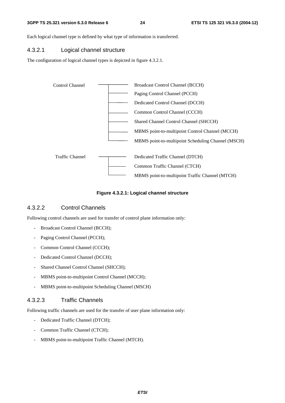#### **3GPP TS 25.321 version 6.3.0 Release 6 24 ETSI TS 125 321 V6.3.0 (2004-12)**

Each logical channel type is defined by what type of information is transferred.

### 4.3.2.1 Logical channel structure

The configuration of logical channel types is depicted in figure 4.3.2.1.



**Figure 4.3.2.1: Logical channel structure** 

### 4.3.2.2 Control Channels

Following control channels are used for transfer of control plane information only:

- Broadcast Control Channel (BCCH);
- Paging Control Channel (PCCH);
- Common Control Channel (CCCH);
- Dedicated Control Channel (DCCH);
- Shared Channel Control Channel (SHCCH);
- MBMS point-to-multipoint Control Channel (MCCH);
- MBMS point-to-multipoint Scheduling Channel (MSCH)

### 4.3.2.3 Traffic Channels

Following traffic channels are used for the transfer of user plane information only:

- Dedicated Traffic Channel (DTCH);
- Common Traffic Channel (CTCH);
- MBMS point-to-multipoint Traffic Channel (MTCH).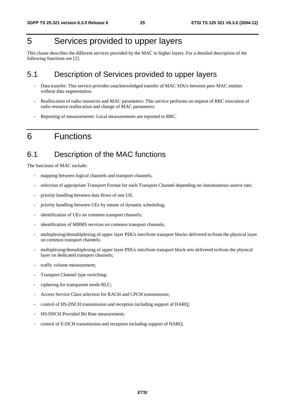# 5 Services provided to upper layers

This clause describes the different services provided by the MAC to higher layers. For a detailed description of the following functions see [2].

# 5.1 Description of Services provided to upper layers

- Data transfer: This service provides unacknowledged transfer of MAC SDUs between peer MAC entities without data segmentation.
- Reallocation of radio resources and MAC parameters: This service performs on request of RRC execution of radio resource reallocation and change of MAC parameters.
- Reporting of measurements: Local measurements are reported to RRC.

# 6 Functions

# 6.1 Description of the MAC functions

The functions of MAC include:

- mapping between logical channels and transport channels;
- selection of appropriate Transport Format for each Transport Channel depending on instantaneous source rate;
- priority handling between data flows of one UE;
- priority handling between UEs by means of dynamic scheduling;
- identification of UEs on common transport channels;
- identification of MBMS services on common transport channels;
- multiplexing/demultiplexing of upper layer PDUs into/from transport blocks delivered to/from the physical layer on common transport channels;
- multiplexing/demultiplexing of upper layer PDUs into/from transport block sets delivered to/from the physical layer on dedicated transport channels;
- traffic volume measurement;
- Transport Channel type switching;
- ciphering for transparent mode RLC;
- Access Service Class selection for RACH and CPCH transmission;
- control of HS-DSCH transmission and reception including support of HARQ;
- HS-DSCH Provided Bit Rate measurement;
- control of E-DCH transmission and reception including support of HARQ.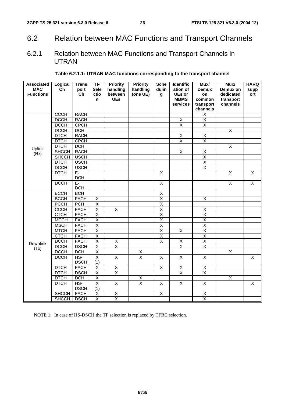# 6.2 Relation between MAC Functions and Transport Channels

# 6.2.1 Relation between MAC Functions and Transport Channels in UTRAN

| <b>Associated</b><br><b>MAC</b><br><b>Functions</b> | Logical<br><b>Ch</b> | <b>Trans</b><br>port<br>Ch | <b>TF</b><br><b>Sele</b><br>ctio<br>n | <b>Priority</b><br>handling<br>between<br><b>UEs</b> | <b>Priority</b><br>handling<br>(one UE) | <b>Sche</b><br>dulin<br>g | <b>Identific</b><br>ation of<br>UEs or<br><b>MBMS</b> | Mux/<br><b>Demux</b><br>on<br>common | Mux/<br>Demux on<br>dedicated<br>transport | <b>HARQ</b><br>supp<br>ort |
|-----------------------------------------------------|----------------------|----------------------------|---------------------------------------|------------------------------------------------------|-----------------------------------------|---------------------------|-------------------------------------------------------|--------------------------------------|--------------------------------------------|----------------------------|
|                                                     |                      |                            |                                       |                                                      |                                         |                           | services                                              | transport<br>channels                | channels                                   |                            |
|                                                     | <b>CCCH</b>          | <b>RACH</b>                |                                       |                                                      |                                         |                           |                                                       | $\mathsf X$                          |                                            |                            |
|                                                     | <b>DCCH</b>          | <b>RACH</b>                |                                       |                                                      |                                         |                           | X                                                     | $\overline{X}$                       |                                            |                            |
|                                                     | <b>DCCH</b>          | <b>CPCH</b>                |                                       |                                                      |                                         |                           | $\overline{\mathsf{x}}$                               | $\overline{\mathsf{x}}$              |                                            |                            |
|                                                     | <b>DCCH</b>          | <b>DCH</b>                 |                                       |                                                      |                                         |                           |                                                       |                                      | $\overline{X}$                             |                            |
|                                                     | <b>DTCH</b>          | <b>RACH</b>                |                                       |                                                      |                                         |                           | $\overline{X}$                                        | $\overline{\mathsf{x}}$              |                                            |                            |
|                                                     | <b>DTCH</b>          | <b>CPCH</b>                |                                       |                                                      |                                         |                           | $\overline{\mathsf{X}}$                               | $\overline{\mathsf{X}}$              |                                            |                            |
| Uplink                                              | <b>DTCH</b>          | DCH                        |                                       |                                                      |                                         |                           |                                                       |                                      | $\overline{\mathsf{x}}$                    |                            |
| (Rx)                                                | <b>SHCCH</b>         | <b>RACH</b>                |                                       |                                                      |                                         |                           | $\overline{X}$                                        | $\overline{\mathsf{X}}$              |                                            |                            |
|                                                     | <b>SHCCH</b>         | <b>USCH</b>                |                                       |                                                      |                                         |                           |                                                       | $\overline{\mathsf{x}}$              |                                            |                            |
|                                                     | <b>DTCH</b>          | <b>USCH</b>                |                                       |                                                      |                                         |                           |                                                       | $\overline{\mathsf{x}}$              |                                            |                            |
|                                                     | <b>DCCH</b>          | <b>USCH</b>                |                                       |                                                      |                                         |                           |                                                       | X                                    |                                            |                            |
|                                                     | <b>DTCH</b>          | E-<br><b>DCH</b>           |                                       |                                                      |                                         | $\overline{X}$            |                                                       |                                      | $\overline{\mathsf{x}}$                    | X                          |
|                                                     | <b>DCCH</b>          | $E-$<br><b>DCH</b>         |                                       |                                                      |                                         | X                         |                                                       |                                      | $\overline{X}$                             | $\pmb{\times}$             |
|                                                     | <b>BCCH</b>          | $\overline{BCH}$           |                                       |                                                      |                                         | Χ                         |                                                       |                                      |                                            |                            |
|                                                     | <b>BCCH</b>          | <b>FACH</b>                | $\overline{\mathsf{x}}$               |                                                      |                                         | $\overline{\mathsf{x}}$   |                                                       | $\overline{X}$                       |                                            |                            |
|                                                     | <b>PCCH</b>          | <b>PCH</b>                 | $\overline{X}$                        |                                                      |                                         | $\overline{\mathsf{x}}$   |                                                       |                                      |                                            |                            |
|                                                     | <b>CCCH</b>          | <b>FACH</b>                | $\overline{X}$                        | $\overline{X}$                                       |                                         | $\overline{X}$            |                                                       | $\mathsf X$                          |                                            |                            |
|                                                     | <b>CTCH</b>          | <b>FACH</b>                | $\overline{X}$                        |                                                      |                                         | $\overline{\mathsf{X}}$   |                                                       | $\overline{\mathsf{X}}$              |                                            |                            |
|                                                     | <b>MCCH</b>          | <b>FACH</b>                | $\overline{\mathsf{X}}$               |                                                      |                                         | $\overline{\mathsf{x}}$   |                                                       | $\overline{\mathsf{x}}$              |                                            |                            |
|                                                     | <b>MSCH</b>          | <b>FACH</b>                | $\overline{\mathsf{X}}$               |                                                      |                                         | $\overline{\mathsf{x}}$   |                                                       | $\overline{\mathsf{x}}$              |                                            |                            |
|                                                     | <b>MTCH</b>          | <b>FACH</b>                | $\overline{X}$                        |                                                      |                                         | $\overline{X}$            | $\overline{X}$                                        | $\overline{\mathsf{X}}$              |                                            |                            |
|                                                     | <b>CTCH</b>          | <b>FACH</b>                | $\overline{X}$                        |                                                      |                                         | Χ                         |                                                       | $\overline{X}$                       |                                            |                            |
| <b>Downlink</b>                                     | <b>DCCH</b>          | <b>FACH</b>                | $\overline{\mathsf{X}}$               | $\mathsf X$                                          |                                         | $\overline{\mathsf{X}}$   | $\overline{X}$                                        | $\overline{\mathsf{x}}$              |                                            |                            |
| (Tx)                                                | <b>DCCH</b>          | <b>DSCH</b>                | $\overline{X}$                        | $\overline{\mathsf{x}}$                              |                                         |                           | $\overline{\mathsf{x}}$                               | $\overline{\mathsf{X}}$              |                                            |                            |
|                                                     | <b>DCCH</b>          | DCH                        | $\overline{X}$                        |                                                      | $\overline{\mathsf{X}}$                 |                           |                                                       |                                      | $\overline{X}$                             |                            |
|                                                     | <b>DCCH</b>          | $HS-$                      | $\overline{X}$                        | $\overline{X}$                                       | $\overline{\mathsf{x}}$                 | $\overline{\mathsf{x}}$   | $\overline{\mathsf{x}}$                               | $\overline{X}$                       |                                            | $\overline{X}$             |
|                                                     |                      | <b>DSCH</b>                | (1)                                   |                                                      |                                         |                           |                                                       |                                      |                                            |                            |
|                                                     | <b>DTCH</b>          | <b>FACH</b>                | $\overline{X}$                        | $\overline{X}$                                       |                                         | $\overline{\mathsf{x}}$   | $\overline{X}$                                        | $\overline{\mathsf{X}}$              |                                            |                            |
|                                                     | <b>DTCH</b>          | <b>DSCH</b>                | $\overline{X}$                        | $\overline{\mathsf{x}}$                              |                                         |                           | $\overline{X}$                                        | $\overline{X}$                       |                                            |                            |
|                                                     | <b>DTCH</b>          | <b>DCH</b>                 | $\mathsf X$                           |                                                      | $\frac{x}{x}$                           |                           |                                                       |                                      | $\mathsf X$                                |                            |
|                                                     | <b>DTCH</b>          | $HS-$<br><b>DSCH</b>       | $\overline{X}$<br>(1)                 | $\overline{\mathsf{X}}$                              |                                         | X                         | $\overline{\mathsf{x}}$                               | $\overline{X}$                       |                                            | X                          |
|                                                     | <b>SHCCH</b>         | <b>FACH</b>                | $\overline{X}$                        | $\mathsf X$                                          |                                         | $\overline{X}$            |                                                       | $\mathsf X$                          |                                            |                            |
|                                                     | <b>SHCCH</b>         | <b>DSCH</b>                | $\overline{X}$                        | $\overline{X}$                                       |                                         |                           |                                                       | $\overline{X}$                       |                                            |                            |

### **Table 6.2.1.1: UTRAN MAC functions corresponding to the transport channel**

NOTE 1: In case of HS-DSCH the TF selection is replaced by TFRC selection.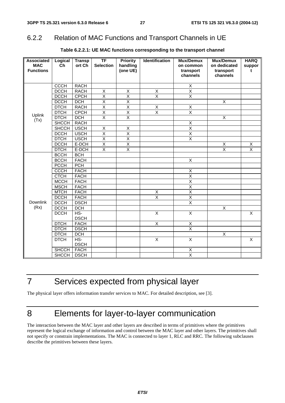# 6.2.2 Relation of MAC Functions and Transport Channels in UE

| <b>Associated</b> | Logical      | <b>Transp</b> | $\overline{\mathsf{TF}}$ | <b>Priority</b>         | <b>Identification</b>     | Mux/Demux               | Mux/Demux                 | <b>HARQ</b>             |
|-------------------|--------------|---------------|--------------------------|-------------------------|---------------------------|-------------------------|---------------------------|-------------------------|
| <b>MAC</b>        | Ch           | ort Ch        | <b>Selection</b>         | handling                |                           | on common               | on dedicated              | suppor                  |
| <b>Functions</b>  |              |               |                          | (one UE)                |                           | transport               | transport                 | t                       |
|                   |              |               |                          |                         |                           | channels                | channels                  |                         |
|                   | <b>CCCH</b>  | <b>RACH</b>   |                          |                         |                           | $\overline{X}$          |                           |                         |
|                   | <b>DCCH</b>  | <b>RACH</b>   | Χ                        | $\mathsf X$             | $\mathsf X$               | $\overline{\mathsf{x}}$ |                           |                         |
|                   | <b>DCCH</b>  | <b>CPCH</b>   | $\overline{\mathsf{x}}$  | $\overline{\mathsf{x}}$ | $\overline{\mathsf{x}}$   | $\overline{\mathsf{x}}$ |                           |                         |
|                   | <b>DCCH</b>  | <b>DCH</b>    | $\overline{\mathsf{x}}$  | $\overline{\mathsf{x}}$ |                           |                         | $\overline{\mathsf{x}}$   |                         |
|                   | <b>DTCH</b>  | <b>RACH</b>   | $\overline{\mathsf{x}}$  | $\overline{\mathsf{x}}$ | $\overline{X}$            | $\overline{\mathsf{X}}$ |                           |                         |
|                   | <b>DTCH</b>  | <b>CPCH</b>   | $\overline{\mathsf{x}}$  | $\overline{\mathsf{x}}$ | $\overline{\mathsf{x}}$   | $\overline{\mathsf{x}}$ |                           |                         |
| Uplink            | <b>DTCH</b>  | <b>DCH</b>    | $\overline{\mathsf{x}}$  | $\overline{\mathsf{x}}$ |                           |                         | $\overline{\mathsf{x}}$   |                         |
| (Tx)              | <b>SHCCH</b> | <b>RACH</b>   |                          |                         |                           | $\overline{\mathsf{x}}$ |                           |                         |
|                   | <b>SHCCH</b> | <b>USCH</b>   | $\overline{X}$           | $\mathsf X$             |                           | $\overline{\mathsf{x}}$ |                           |                         |
|                   | <b>DCCH</b>  | <b>USCH</b>   | $\overline{\mathsf{x}}$  | $\overline{X}$          |                           | $\overline{\mathsf{X}}$ |                           |                         |
|                   | <b>DTCH</b>  | <b>USCH</b>   | $\overline{\mathsf{x}}$  | $\overline{\mathsf{x}}$ |                           | $\overline{\mathsf{X}}$ |                           |                         |
|                   | <b>DCCH</b>  | E-DCH         | $\overline{\mathsf{x}}$  | $\overline{X}$          |                           |                         | $\boldsymbol{\mathsf{X}}$ | $\mathsf X$             |
|                   | <b>DTCH</b>  | E-DCH         | $\overline{\mathsf{X}}$  | $\overline{\mathsf{x}}$ |                           |                         | $\overline{\mathsf{x}}$   | $\overline{\mathsf{x}}$ |
|                   | <b>BCCH</b>  | <b>BCH</b>    |                          |                         |                           |                         |                           |                         |
|                   | <b>BCCH</b>  | <b>FACH</b>   |                          |                         |                           | $\overline{\mathsf{X}}$ |                           |                         |
|                   | <b>PCCH</b>  | <b>PCH</b>    |                          |                         |                           |                         |                           |                         |
|                   | <b>CCCH</b>  | <b>FACH</b>   |                          |                         |                           | Χ                       |                           |                         |
|                   | <b>CTCH</b>  | <b>FACH</b>   |                          |                         |                           | $\overline{\mathsf{x}}$ |                           |                         |
|                   | <b>MCCH</b>  | <b>FACH</b>   |                          |                         |                           | $\overline{X}$          |                           |                         |
|                   | <b>MSCH</b>  | <b>FACH</b>   |                          |                         |                           | $\overline{\mathsf{x}}$ |                           |                         |
|                   | <b>MTCH</b>  | <b>FACH</b>   |                          |                         | X                         | $\overline{\mathsf{x}}$ |                           |                         |
|                   | <b>DCCH</b>  | <b>FACH</b>   |                          |                         | $\overline{X}$            | $\overline{\mathsf{x}}$ |                           |                         |
| <b>Downlink</b>   | <b>DCCH</b>  | <b>DSCH</b>   |                          |                         |                           | $\overline{\mathsf{x}}$ |                           |                         |
| (Rx)              | <b>DCCH</b>  | <b>DCH</b>    |                          |                         |                           |                         | X                         |                         |
|                   | <b>DCCH</b>  | HS-           |                          |                         | $\boldsymbol{\mathsf{X}}$ | X                       |                           | X                       |
|                   |              | <b>DSCH</b>   |                          |                         |                           |                         |                           |                         |
|                   | <b>DTCH</b>  | <b>FACH</b>   |                          |                         | $\overline{\mathsf{x}}$   | X                       |                           |                         |
|                   | <b>DTCH</b>  | <b>DSCH</b>   |                          |                         |                           | $\overline{\mathsf{x}}$ |                           |                         |
|                   | <b>DTCH</b>  | DCH           |                          |                         |                           |                         | $\overline{\mathsf{x}}$   |                         |
|                   | <b>DTCH</b>  | $HS-$         |                          |                         | $\overline{\mathsf{x}}$   | $\overline{\mathsf{X}}$ |                           | $\overline{X}$          |
|                   |              | <b>DSCH</b>   |                          |                         |                           |                         |                           |                         |
|                   | <b>SHCCH</b> | <b>FACH</b>   |                          |                         |                           | Χ                       |                           |                         |
|                   | <b>SHCCH</b> | <b>DSCH</b>   |                          |                         |                           | $\overline{\mathsf{x}}$ |                           |                         |

### **Table 6.2.2.1: UE MAC functions corresponding to the transport channel**

# 7 Services expected from physical layer

The physical layer offers information transfer services to MAC. For detailed description, see [3].

# 8 Elements for layer-to-layer communication

The interaction between the MAC layer and other layers are described in terms of primitives where the primitives represent the logical exchange of information and control between the MAC layer and other layers. The primitives shall not specify or constrain implementations. The MAC is connected to layer 1, RLC and RRC. The following subclauses describe the primitives between these layers.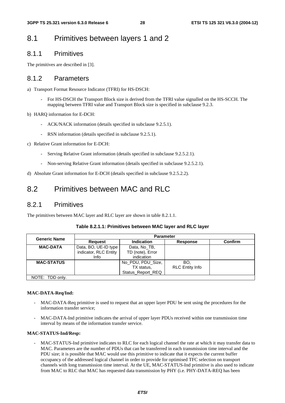# 8.1 Primitives between layers 1 and 2

### 8.1.1 Primitives

The primitives are described in [3].

### 8.1.2 Parameters

- a) Transport Format Resource Indicator (TFRI) for HS-DSCH:
	- For HS-DSCH the Transport Block size is derived from the TFRI value signalled on the HS-SCCH. The mapping between TFRI value and Transport Block size is specified in subclause 9.2.3.
- b) HARQ information for E-DCH:
	- ACK/NACK information (details specified in subclause 9.2.5.1).
	- RSN information (details specified in subclause 9.2.5.1).
- c) Relative Grant information for E-DCH:
	- Serving Relative Grant information (details specified in subclause 9.2.5.2.1).
	- Non-serving Relative Grant information (details specified in subclause 9.2.5.2.1).
- d) Absolute Grant information for E-DCH (details specified in subclause 9.2.5.2.2).

# 8.2 Primitives between MAC and RLC

### 8.2.1 Primitives

The primitives between MAC layer and RLC layer are shown in table 8.2.1.1.

| Table 8.2.1.1: Primitives between MAC layer and RLC layer |  |
|-----------------------------------------------------------|--|
|-----------------------------------------------------------|--|

| <b>Generic Name</b> | <b>Parameter</b>      |                   |                        |                |  |  |  |
|---------------------|-----------------------|-------------------|------------------------|----------------|--|--|--|
|                     | <b>Request</b>        | Indication        | <b>Response</b>        | <b>Confirm</b> |  |  |  |
| <b>MAC-DATA</b>     | Data, BO, UE-ID type  | Data, No TB,      |                        |                |  |  |  |
|                     | indicator, RLC Entity | TD (note), Error  |                        |                |  |  |  |
|                     | Info                  | indication        |                        |                |  |  |  |
| <b>MAC-STATUS</b>   |                       | No PDU, PDU Size, | BO.                    |                |  |  |  |
|                     |                       | TX status,        | <b>RLC Entity Info</b> |                |  |  |  |
|                     |                       | Status Report REQ |                        |                |  |  |  |
| NOTE: TDD only.     |                       |                   |                        |                |  |  |  |

#### **MAC-DATA-Req/Ind:**

- MAC-DATA-Req primitive is used to request that an upper layer PDU be sent using the procedures for the information transfer service;
- MAC-DATA-Ind primitive indicates the arrival of upper layer PDUs received within one transmission time interval by means of the information transfer service.

#### **MAC-STATUS-Ind/Resp:**

- MAC-STATUS-Ind primitive indicates to RLC for each logical channel the rate at which it may transfer data to MAC. Parameters are the number of PDUs that can be transferred in each transmission time interval and the PDU size; it is possible that MAC would use this primitive to indicate that it expects the current buffer occupancy of the addressed logical channel in order to provide for optimised TFC selection on transport channels with long transmission time interval. At the UE, MAC-STATUS-Ind primitive is also used to indicate from MAC to RLC that MAC has requested data transmission by PHY (i.e. PHY-DATA-REQ has been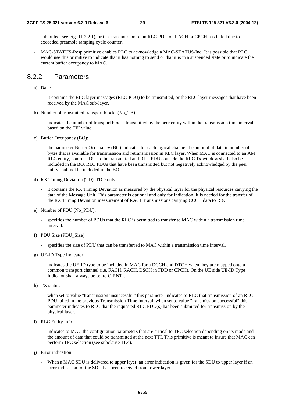submitted, see Fig. 11.2.2.1), or that transmission of an RLC PDU on RACH or CPCH has failed due to exceeded preamble ramping cycle counter.

- MAC-STATUS-Resp primitive enables RLC to acknowledge a MAC-STATUS-Ind. It is possible that RLC would use this primitive to indicate that it has nothing to send or that it is in a suspended state or to indicate the current buffer occupancy to MAC.

### 8.2.2 Parameters

a) Data:

- it contains the RLC layer messages (RLC-PDU) to be transmitted, or the RLC layer messages that have been received by the MAC sub-layer.
- b) Number of transmitted transport blocks (No\_TB) :
	- indicates the number of transport blocks transmitted by the peer entity within the transmission time interval, based on the TFI value.
- c) Buffer Occupancy (BO):
	- the parameter Buffer Occupancy (BO) indicates for each logical channel the amount of data in number of bytes that is available for transmission and retransmission in RLC layer. When MAC is connected to an AM RLC entity, control PDUs to be transmitted and RLC PDUs outside the RLC Tx window shall also be included in the BO. RLC PDUs that have been transmitted but not negatively acknowledged by the peer entity shall not be included in the BO.
- d) RX Timing Deviation (TD), TDD only:
	- it contains the RX Timing Deviation as measured by the physical layer for the physical resources carrying the data of the Message Unit. This parameter is optional and only for Indication. It is needed for the transfer of the RX Timing Deviation measurement of RACH transmissions carrying CCCH data to RRC.
- e) Number of PDU (No\_PDU):
	- specifies the number of PDUs that the RLC is permitted to transfer to MAC within a transmission time interval.
- f) PDU Size (PDU\_Size):
	- specifies the size of PDU that can be transferred to MAC within a transmission time interval.
- g) UE-ID Type Indicator:
	- indicates the UE-ID type to be included in MAC for a DCCH and DTCH when they are mapped onto a common transport channel (i.e. FACH, RACH, DSCH in FDD or CPCH). On the UE side UE-ID Type Indicator shall always be set to C-RNTI.
- h) TX status:
	- when set to value "transmission unsuccessful" this parameter indicates to RLC that transmission of an RLC PDU failed in the previous Transmission Time Interval, when set to value "transmission successful" this parameter indicates to RLC that the requested RLC PDU(s) has been submitted for transmission by the physical layer.
- i) RLC Entity Info
	- indicates to MAC the configuration parameters that are critical to TFC selection depending on its mode and the amount of data that could be transmitted at the next TTI. This primitive is meant to insure that MAC can perform TFC selection (see subclause 11.4).
- j) Error indication
	- When a MAC SDU is delivered to upper layer, an error indication is given for the SDU to upper layer if an error indication for the SDU has been received from lower layer.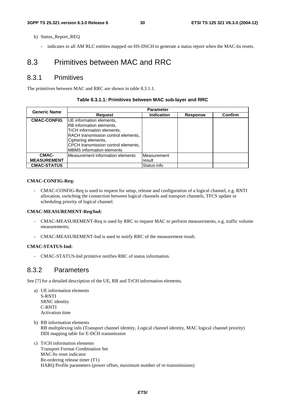- k) Status Report REQ
	- indicates to all AM RLC entities mapped on HS-DSCH to generate a status report when the MAC-hs resets.

# 8.3 Primitives between MAC and RRC

### 8.3.1 Primitives

The primitives between MAC and RRC are shown in table 8.3.1.1.

#### **Table 8.3.1.1: Primitives between MAC sub-layer and RRC**

| <b>Generic Name</b>         | <b>Parameter</b>                                                                                                                                                                                                            |                       |                 |         |  |  |  |  |
|-----------------------------|-----------------------------------------------------------------------------------------------------------------------------------------------------------------------------------------------------------------------------|-----------------------|-----------------|---------|--|--|--|--|
|                             | <b>Request</b>                                                                                                                                                                                                              | <b>Indication</b>     | <b>Response</b> | Confirm |  |  |  |  |
| <b>CMAC-CONFIG</b>          | UE information elements,<br>RB information elements,<br>TrCH information elements,<br>RACH transmission control elements,<br>Ciphering elements,<br>CPCH transmission control elements,<br><b>MBMS</b> information elements |                       |                 |         |  |  |  |  |
| CMAC-<br><b>MEASUREMENT</b> | lMeasurement information elements                                                                                                                                                                                           | Measurement<br>result |                 |         |  |  |  |  |
| <b>CMAC-STATUS</b>          |                                                                                                                                                                                                                             | Status info           |                 |         |  |  |  |  |

#### **CMAC-CONFIG-Req:**

- CMAC-CONFIG-Req is used to request for setup, release and configuration of a logical channel, e.g. RNTI allocation, switching the connection between logical channels and transport channels, TFCS update or scheduling priority of logical channel.

#### **CMAC-MEASUREMENT-Req/Ind:**

- CMAC-MEASUREMENT-Req is used by RRC to request MAC to perform measurements, e.g. traffic volume measurements;
- CMAC-MEASUREMENT-Ind is used to notify RRC of the measurement result.

#### **CMAC-STATUS-Ind:**

- CMAC-STATUS-Ind primitive notifies RRC of status information.

### 8.3.2 Parameters

See [7] for a detailed description of the UE, RB and TrCH information elements.

- a) UE information elements S-RNTI SRNC identity C-RNTI Activation time
- b) RB information elements RB multiplexing info (Transport channel identity, Logical channel identity, MAC logical channel priority) DDI mapping table for E-DCH transmission
- c) TrCH information elements Transport Format Combination Set MAC-hs reset indicator Re-ordering release timer (T1) HARQ Profile parameters (power offset, maximum number of re-transmissions)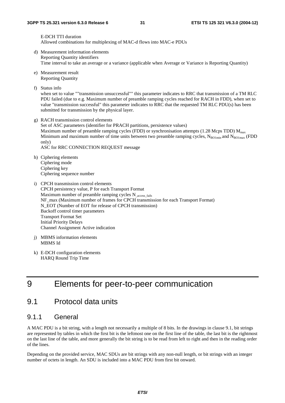E-DCH TTI duration Allowed combinations for multiplexing of MAC-d flows into MAC-e PDUs

- d) Measurement information elements Reporting Quantity identifiers Time interval to take an average or a variance (applicable when Average or Variance is Reporting Quantity)
- e) Measurement result Reporting Quantity
- f) Status info

when set to value ""transmission unsuccessful"" this parameter indicates to RRC that transmission of a TM RLC PDU failed (due to e.g. Maximum number of preamble ramping cycles reached for RACH in FDD), when set to value "transmission successful" this parameter indicates to RRC that the requested TM RLC PDU(s) has been submitted for transmission by the physical layer.

g) RACH transmission control elements

Set of ASC parameters (identifier for PRACH partitions, persistence values) Maximum number of preamble ramping cycles (FDD) or synchronisation attempts (1.28 Mcps TDD)  $M_{\text{max}}$ Minimum and maximum number of time units between two preamble ramping cycles,  $N_{BOLmin}$  and  $N_{BOLmax}$  (FDD only)

ASC for RRC CONNECTION REQUEST message

- h) Ciphering elements Ciphering mode Ciphering key Ciphering sequence number
- i) CPCH transmission control elements CPCH persistency value, P for each Transport Format Maximum number of preamble ramping cycles  $N_{\text{access\_fails}}$ NF\_max (Maximum number of frames for CPCH transmission for each Transport Format) N\_EOT (Number of EOT for release of CPCH transmission) Backoff control timer parameters Transport Format Set Initial Priority Delays Channel Assignment Active indication
- j) MBMS information elements MBMS Id
- k) E-DCH configuration elements HARQ Round Trip Time

# 9 Elements for peer-to-peer communication

## 9.1 Protocol data units

### 9.1.1 General

A MAC PDU is a bit string, with a length not necessarily a multiple of 8 bits. In the drawings in clause 9.1, bit strings are represented by tables in which the first bit is the leftmost one on the first line of the table, the last bit is the rightmost on the last line of the table, and more generally the bit string is to be read from left to right and then in the reading order of the lines.

Depending on the provided service, MAC SDUs are bit strings with any non-null length, or bit strings with an integer number of octets in length. An SDU is included into a MAC PDU from first bit onward.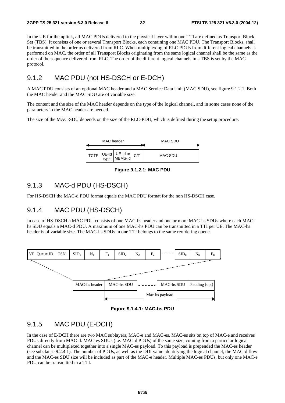In the UE for the uplink, all MAC PDUs delivered to the physical layer within one TTI are defined as Transport Block Set (TBS). It consists of one or several Transport Blocks, each containing one MAC PDU. The Transport Blocks, shall be transmitted in the order as delivered from RLC. When multiplexing of RLC PDUs from different logical channels is performed on MAC, the order of all Transport Blocks originating from the same logical channel shall be the same as the order of the sequence delivered from RLC. The order of the different logical channels in a TBS is set by the MAC protocol.

## 9.1.2 MAC PDU (not HS-DSCH or E-DCH)

A MAC PDU consists of an optional MAC header and a MAC Service Data Unit (MAC SDU), see figure 9.1.2.1. Both the MAC header and the MAC SDU are of variable size.

The content and the size of the MAC header depends on the type of the logical channel, and in some cases none of the parameters in the MAC header are needed.

The size of the MAC-SDU depends on the size of the RLC-PDU, which is defined during the setup procedure.



**Figure 9.1.2.1: MAC PDU**

### 9.1.3 MAC-d PDU (HS-DSCH)

For HS-DSCH the MAC-d PDU format equals the MAC PDU format for the non HS-DSCH case.

### 9.1.4 MAC PDU (HS-DSCH)

In case of HS-DSCH a MAC PDU consists of one MAC-hs header and one or more MAC-hs SDUs where each MAChs SDU equals a MAC-d PDU. A maximum of one MAC-hs PDU can be transmitted in a TTI per UE. The MAC-hs header is of variable size. The MAC-hs SDUs in one TTI belongs to the same reordering queue.



**Figure 9.1.4.1: MAC-hs PDU** 

### 9.1.5 MAC PDU (E-DCH)

In the case of E-DCH there are two MAC sublayers, MAC-e and MAC-es. MAC-es sits on top of MAC-e and receives PDUs directly from MAC-d. MAC-es SDUs (i.e. MAC-d PDUs) of the same size, coming from a particular logical channel can be multiplexed together into a single MAC-es payload. To this payload is prepended the MAC-es header (see subclause 9.2.4.1). The number of PDUs, as well as the DDI value identifying the logical channel, the MAC-d flow and the MAC-es SDU size will be included as part of the MAC-e header. Multiple MAC-es PDUs, but only one MAC-e PDU can be transmitted in a TTI.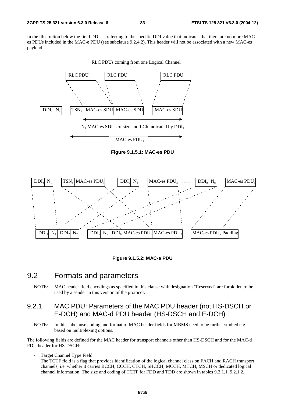In the illustration below the field  $DDI_0$  is referring to the specific DDI value that indicates that there are no more MACes PDUs included in the MAC-e PDU (see subclause 9.2.4.2). This header will not be associated with a new MAC-es payload.



**Figure 9.1.5.1: MAC-es PDU** 



**Figure 9.1.5.2: MAC-e PDU** 

# 9.2 Formats and parameters

NOTE: MAC header field encodings as specified in this clause with designation "Reserved" are forbidden to be used by a sender in this version of the protocol.

### 9.2.1 MAC PDU: Parameters of the MAC PDU header (not HS-DSCH or E-DCH) and MAC-d PDU header (HS-DSCH and E-DCH)

NOTE: In this subclause coding and format of MAC header fields for MBMS need to be further studied e.g. based on multiplexing options.

The following fields are defined for the MAC header for transport channels other than HS-DSCH and for the MAC-d PDU header for HS-DSCH:

Target Channel Type Field

The TCTF field is a flag that provides identification of the logical channel class on FACH and RACH transport channels, i.e. whether it carries BCCH, CCCH, CTCH, SHCCH, MCCH, MTCH, MSCH or dedicated logical channel information. The size and coding of TCTF for FDD and TDD are shown in tables 9.2.1.1, 9.2.1.2,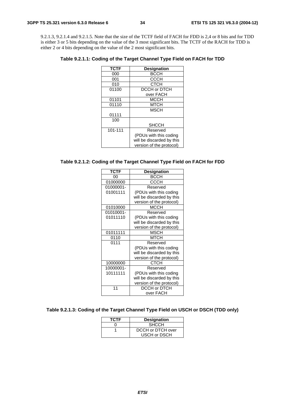9.2.1.3, 9.2.1.4 and 9.2.1.5. Note that the size of the TCTF field of FACH for FDD is 2,4 or 8 bits and for TDD is either 3 or 5 bits depending on the value of the 3 most significant bits. The TCTF of the RACH for TDD is either 2 or 4 bits depending on the value of the 2 most significant bits.

**Table 9.2.1.1: Coding of the Target Channel Type Field on FACH for TDD** 

| <b>TCTF</b> | <b>Designation</b>        |
|-------------|---------------------------|
| 000         | <b>BCCH</b>               |
| 001         | CCCH                      |
| 010         | СТСН                      |
| 01100       | DCCH or DTCH              |
|             | over FACH                 |
| 01101       | <b>MCCH</b>               |
| 01110       | MTCH                      |
|             | <b>MSCH</b>               |
| 01111       |                           |
| 100         |                           |
|             | <b>SHCCH</b>              |
| 101-111     | Reserved                  |
|             | (PDUs with this coding    |
|             | will be discarded by this |
|             | version of the protocol)  |

### **Table 9.2.1.2: Coding of the Target Channel Type Field on FACH for FDD**

| <b>TCTF</b> | <b>Designation</b>        |
|-------------|---------------------------|
| 00          | <b>BCCH</b>               |
| 01000000    | <b>CCCH</b>               |
| 01000001-   | Reserved                  |
| 01001111    | (PDUs with this coding    |
|             | will be discarded by this |
|             | version of the protocol)  |
| 01010000    | <b>MCCH</b>               |
| 01010001-   | Reserved                  |
| 01011110    | (PDUs with this coding    |
|             | will be discarded by this |
|             | version of the protocol)  |
| 01011111    | <b>MSCH</b>               |
| 0110        | <b>MTCH</b>               |
| 0111        | Reserved                  |
|             | (PDUs with this coding    |
|             | will be discarded by this |
|             | version of the protocol)  |
| 10000000    | <b>CTCH</b>               |
| 10000001-   | Reserved                  |
| 10111111    | (PDUs with this coding    |
|             | will be discarded by this |
|             | version of the protocol)  |
| 11          | DCCH or DTCH              |
|             | over FACH                 |

### **Table 9.2.1.3: Coding of the Target Channel Type Field on USCH or DSCH (TDD only)**

| <b>TCTF</b> | <b>Designation</b> |
|-------------|--------------------|
|             | <b>SHCCH</b>       |
|             | DCCH or DTCH over  |
|             | USCH or DSCH       |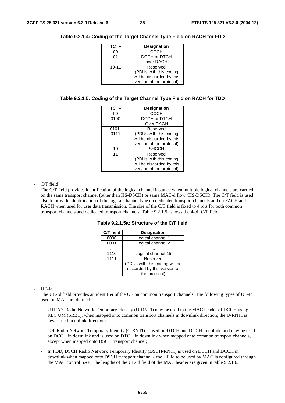| <b>TCTF</b> | <b>Designation</b>        |
|-------------|---------------------------|
| 00          | <b>CCCH</b>               |
| 01          | DCCH or DTCH              |
|             | over RACH                 |
| $10 - 11$   | Reserved                  |
|             | (PDUs with this coding    |
|             | will be discarded by this |
|             | version of the protocol)  |

#### **Table 9.2.1.4: Coding of the Target Channel Type Field on RACH for FDD**

#### **Table 9.2.1.5: Coding of the Target Channel Type Field on RACH for TDD**

| <b>TCTF</b> | <b>Designation</b>        |
|-------------|---------------------------|
| 00          | <b>CCCH</b>               |
| 0100        | DCCH or DTCH              |
|             | Over RACH                 |
| $0101 -$    | Reserved                  |
| 0111        | (PDUs with this coding    |
|             | will be discarded by this |
|             | version of the protocol)  |
| 10          | <b>SHCCH</b>              |
| 11          | Reserved                  |
|             | (PDUs with this coding    |
|             | will be discarded by this |
|             | version of the protocol)  |

#### C/T field

The C/T field provides identification of the logical channel instance when multiple logical channels are carried on the same transport channel (other than HS-DSCH) or same MAC-d flow (HS-DSCH). The C/T field is used also to provide identification of the logical channel type on dedicated transport channels and on FACH and RACH when used for user data transmission. The size of the C/T field is fixed to 4 bits for both common transport channels and dedicated transport channels. Table 9.2.1.5a shows the 4-bit C/T field.

**Table 9.2.1.5a: Structure of the C/T field** 

| C/T field | <b>Designation</b>             |
|-----------|--------------------------------|
| 0000      | Logical channel 1              |
| 0001      | Logical channel 2              |
|           |                                |
| 1110      | Logical channel 15             |
| 1111      | Reserved                       |
|           | (PDUs with this coding will be |
|           | discarded by this version of   |
|           | the protocol)                  |

- UE-Id

The UE-Id field provides an identifier of the UE on common transport channels. The following types of UE-Id used on MAC are defined:

- UTRAN Radio Network Temporary Identity (U-RNTI) may be used in the MAC header of DCCH using RLC UM (SRB1), when mapped onto common transport channels in downlink direction; the U-RNTI is never used in uplink direction;
- Cell Radio Network Temporary Identity (C-RNTI) is used on DTCH and DCCH in uplink, and may be used on DCCH in downlink and is used on DTCH in downlink when mapped onto common transport channels, except when mapped onto DSCH transport channel;
- In FDD, DSCH Radio Network Temporary Identity (DSCH-RNTI) is used on DTCH and DCCH in downlink when mapped onto DSCH transport channel;- the UE id to be used by MAC is configured through the MAC control SAP. The lengths of the UE-id field of the MAC header are given in table 9.2.1.6.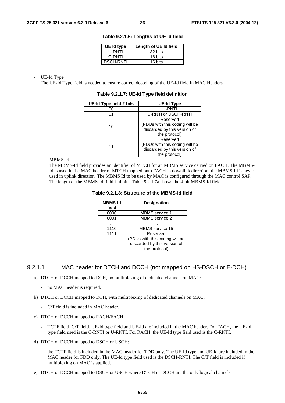| UE Id type       | Length of UE Id field |
|------------------|-----------------------|
| U-RNTI           | 32 bits               |
| C-RNTI           | 16 bits               |
| <b>DSCH-RNTI</b> | 16 bits               |

**Table 9.2.1.6: Lengths of UE Id field** 

UE-Id Type

The UE-Id Type field is needed to ensure correct decoding of the UE-Id field in MAC Headers.

| UE-Id Type field 2 bits | UE-Id Type                     |  |
|-------------------------|--------------------------------|--|
| 00                      | U-RNTI                         |  |
| 01                      | C-RNTI or DSCH-RNTI            |  |
|                         | Reserved                       |  |
| 10                      | (PDUs with this coding will be |  |
|                         | discarded by this version of   |  |
|                         | the protocol)                  |  |
|                         | Reserved                       |  |
| 11                      | (PDUs with this coding will be |  |
|                         | discarded by this version of   |  |
|                         | the protocol)                  |  |

**Table 9.2.1.7: UE-Id Type field definition** 

MBMS-Id

The MBMS-Id field provides an identifier of MTCH for an MBMS service carried on FACH. The MBMS-Id is used in the MAC header of MTCH mapped onto FACH in downlink direction; the MBMS-Id is never used in uplink direction. The MBMS Id to be used by MAC is configured through the MAC control SAP. The length of the MBMS-Id field is 4 bits. Table 9.2.1.7a shows the 4-bit MBMS-Id field.

### **Table 9.2.1.8: Structure of the MBMS-Id field**

| <b>MBMS-Id</b><br>field | <b>Designation</b>             |
|-------------------------|--------------------------------|
| 0000                    | <b>MBMS</b> service 1          |
| 0001                    | <b>MBMS</b> service 2          |
|                         |                                |
| 1110                    | <b>MBMS</b> service 15         |
| 1111                    | Reserved                       |
|                         | (PDUs with this coding will be |
|                         | discarded by this version of   |
|                         | the protocol)                  |

### 9.2.1.1 MAC header for DTCH and DCCH (not mapped on HS-DSCH or E-DCH)

- a) DTCH or DCCH mapped to DCH, no multiplexing of dedicated channels on MAC:
	- no MAC header is required.
- b) DTCH or DCCH mapped to DCH, with multiplexing of dedicated channels on MAC:
	- C/T field is included in MAC header.
- c) DTCH or DCCH mapped to RACH/FACH:
	- TCTF field, C/T field, UE-Id type field and UE-Id are included in the MAC header. For FACH, the UE-Id type field used is the C-RNTI or U-RNTI. For RACH, the UE-Id type field used is the C-RNTI.
- d) DTCH or DCCH mapped to DSCH or USCH:
	- the TCTF field is included in the MAC header for TDD only. The UE-Id type and UE-Id are included in the MAC header for FDD only. The UE-Id type field used is the DSCH-RNTI. The C/T field is included if multiplexing on MAC is applied.
- e) DTCH or DCCH mapped to DSCH or USCH where DTCH or DCCH are the only logical channels: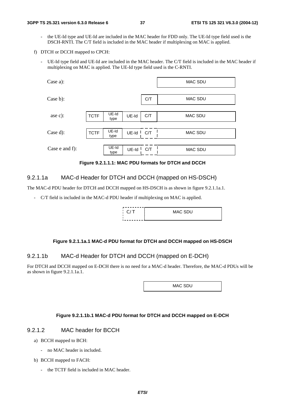- the UE-Id type and UE-Id are included in the MAC header for FDD only. The UE-Id type field used is the DSCH-RNTI. The C/T field is included in the MAC header if multiplexing on MAC is applied.
- f) DTCH or DCCH mapped to CPCH:
	- UE-Id type field and UE-Id are included in the MAC header. The C/T field is included in the MAC header if multiplexing on MAC is applied. The UE-Id type field used is the C-RNTI.

| Case a):       |             |                 |       |         | <b>MAC SDU</b> |
|----------------|-------------|-----------------|-------|---------|----------------|
| Case b):       |             |                 | C/T   | MAC SDU |                |
|                |             |                 |       |         |                |
| ase c):        | <b>TCTF</b> | $UE-Id$<br>type | UE-Id | C/T     | <b>MAC SDU</b> |
|                |             |                 |       |         |                |
| Case d):       | <b>TCTF</b> | UE-Id<br>type   | UE-Id | C/T     | <b>MAC SDU</b> |
|                |             |                 |       |         |                |
| Case e and f): |             | UE-Id<br>type   | UE-Id | C/T     | <b>MAC SDU</b> |

**Figure 9.2.1.1.1: MAC PDU formats for DTCH and DCCH** 

### 9.2.1.1a MAC-d Header for DTCH and DCCH (mapped on HS-DSCH)

The MAC-d PDU header for DTCH and DCCH mapped on HS-DSCH is as shown in figure 9.2.1.1a.1.

- C/T field is included in the MAC-d PDU header if multiplexing on MAC is applied.

| $\Gamma$ $C/T$ | MAC SDU |
|----------------|---------|
|                |         |

### **Figure 9.2.1.1a.1 MAC-d PDU format for DTCH and DCCH mapped on HS-DSCH**

### 9.2.1.1b MAC-d Header for DTCH and DCCH (mapped on E-DCH)

For DTCH and DCCH mapped on E-DCH there is no need for a MAC-d header. Therefore, the MAC-d PDUs will be as shown in figure 9.2.1.1a.1.

MAC SDU

### **Figure 9.2.1.1b.1 MAC-d PDU format for DTCH and DCCH mapped on E-DCH**

### 9.2.1.2 MAC header for BCCH

- a) BCCH mapped to BCH:
	- no MAC header is included.
- b) BCCH mapped to FACH:
	- the TCTF field is included in MAC header.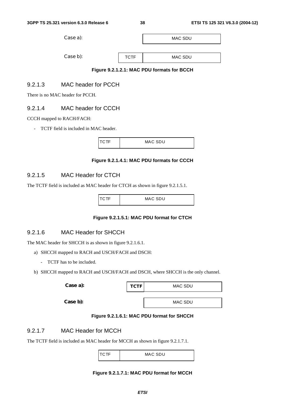| <b>MAC SDU</b> |  |
|----------------|--|
|                |  |
|                |  |
|                |  |



# 9.2.1.3 MAC header for PCCH

There is no MAC header for PCCH.

# 9.2.1.4 MAC header for CCCH

### CCCH mapped to RACH/FACH:

- TCTF field is included in MAC header.

| ı | $MAC$ $S$ $D$ $H$<br>— Mn⊂ |
|---|----------------------------|

### **Figure 9.2.1.4.1: MAC PDU formats for CCCH**

# 9.2.1.5 MAC Header for CTCH

The TCTF field is included as MAC header for CTCH as shown in figure 9.2.1.5.1.

| $\cap$ TF | MAC SDU |
|-----------|---------|
|           |         |

# **Figure 9.2.1.5.1: MAC PDU format for CTCH**

# 9.2.1.6 MAC Header for SHCCH

The MAC header for SHCCH is as shown in figure 9.2.1.6.1.

- a) SHCCH mapped to RACH and USCH/FACH and DSCH:
	- TCTF has to be included.
- b) SHCCH mapped to RACH and USCH/FACH and DSCH, where SHCCH is the only channel.

| Case a): | <b>TCTF</b> | MAC SDU |
|----------|-------------|---------|
|          |             |         |
| Case b): |             | MAC SDU |

### **Figure 9.2.1.6.1: MAC PDU format for SHCCH**

# 9.2.1.7 MAC Header for MCCH

The TCTF field is included as MAC header for MCCH as shown in figure 9.2.1.7.1.

|  | MAC SDU |
|--|---------|
|  |         |

### **Figure 9.2.1.7.1: MAC PDU format for MCCH**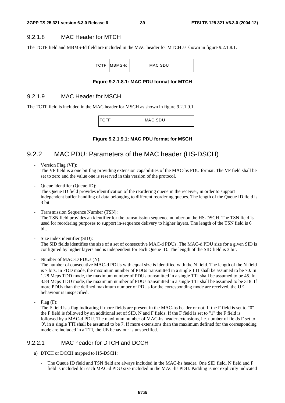### 9.2.1.8 MAC Header for MTCH

The TCTF field and MBMS-Id field are included in the MAC header for MTCH as shown in figure 9.2.1.8.1.

|  | <b>TCTF MBMS-Id</b> | MAC SDU |
|--|---------------------|---------|
|  |                     |         |

#### **Figure 9.2.1.8.1: MAC PDU format for MTCH**

### 9.2.1.9 MAC Header for MSCH

The TCTF field is included in the MAC header for MSCH as shown in figure 9.2.1.9.1.

TCTF | MAC SDU

**Figure 9.2.1.9.1: MAC PDU format for MSCH** 

# 9.2.2 MAC PDU: Parameters of the MAC header (HS-DSCH)

Version Flag (VF):

The VF field is a one bit flag providing extension capabilities of the MAC-hs PDU format. The VF field shall be set to zero and the value one is reserved in this version of the protocol.

Queue identifier (Queue ID):

The Queue ID field provides identification of the reordering queue in the receiver, in order to support independent buffer handling of data belonging to different reordering queues. The length of the Queue ID field is 3 bit.

Transmission Sequence Number (TSN):

The TSN field provides an identifier for the transmission sequence number on the HS-DSCH. The TSN field is used for reordering purposes to support in-sequence delivery to higher layers. The length of the TSN field is 6 bit.

Size index identifier (SID):

The SID fields identifies the size of a set of consecutive MAC-d PDUs. The MAC-d PDU size for a given SID is configured by higher layers and is independent for each Queue ID. The length of the SID field is 3 bit.

- Number of MAC-D PDUs (N):

The number of consecutive MAC-d PDUs with equal size is identified with the N field. The length of the N field is 7 bits. In FDD mode, the maximum number of PDUs transmitted in a single TTI shall be assumed to be 70. In 1.28 Mcps TDD mode, the maximum number of PDUs transmitted in a single TTI shall be assumed to be 45. In 3.84 Mcps TDD mode, the maximum number of PDUs transmitted in a single TTI shall be assumed to be 318. If more PDUs than the defined maximum number of PDUs for the corresponding mode are received, the UE behaviour is unspecified.

Flag (F):

The F field is a flag indicating if more fields are present in the MAC-hs header or not. If the F field is set to "0" the F field is followed by an additional set of SID, N and F fields. If the F field is set to "1" the F field is followed by a MAC-d PDU. The maximum number of MAC-hs header extensions, i.e. number of fields F set to '0', in a single TTI shall be assumed to be 7. If more extensions than the maximum defined for the corresponding mode are included in a TTI, the UE behaviour is unspecified.

### 9.2.2.1 MAC header for DTCH and DCCH

- a) DTCH or DCCH mapped to HS-DSCH:
	- The Queue ID field and TSN field are always included in the MAC-hs header. One SID field, N field and F field is included for each MAC-d PDU size included in the MAC-hs PDU. Padding is not explicitly indicated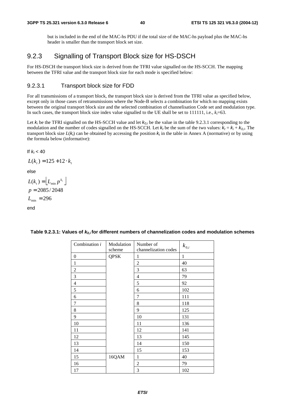but is included in the end of the MAC-hs PDU if the total size of the MAC-hs payload plus the MAC-hs header is smaller than the transport block set size.

# 9.2.3 Signalling of Transport Block size for HS-DSCH

For HS-DSCH the transport block size is derived from the TFRI value signalled on the HS-SCCH. The mapping between the TFRI value and the transport block size for each mode is specified below:

### 9.2.3.1 Transport block size for FDD

For all transmissions of a transport block, the transport block size is derived from the TFRI value as specified below, except only in those cases of retransmissions where the Node-B selects a combination for which no mapping exists between the original transport block size and the selected combination of channelisation Code set and modulation type. In such cases, the transport block size index value signalled to the UE shall be set to  $111111$ , i.e.,  $k<sub>i</sub>=63$ .

Let  $k_i$  be the TFRI signalled on the HS-SCCH value and let  $k_{0,i}$  be the value in the table 9.2.3.1 corresponding to the modulation and the number of codes signalled on the HS-SCCH. Let  $k_t$  be the sum of the two values:  $k_t = k_i + k_{0,i}$ . The transport block size  $L(k_t)$  can be obtained by accessing the position  $k_t$  in the table in Annex A (normative) or by using the formula below (informative):

$$
If k_t < 40
$$

$$
L(k_t) = 125 + 12 \cdot k_t
$$

else

$$
L(kt) = Lmin pkt
$$
  

$$
p = 2085 / 2048
$$
  

$$
Lmin = 296
$$

end

| Combination i | Modulation  | Number of            | $k_{\mathrm{0},i}$ |
|---------------|-------------|----------------------|--------------------|
|               | scheme      | channelization codes |                    |
| 0             | <b>QPSK</b> | 1                    | 1                  |
| $\mathbf{1}$  |             | $\mathfrak{2}$       | 40                 |
| $\mathbf{2}$  |             | 3                    | 63                 |
| 3             |             | $\overline{4}$       | 79                 |
| 4             |             | 5                    | 92                 |
| 5             |             | 6                    | 102                |
| 6             |             | 7                    | 111                |
| $\tau$        |             | 8                    | 118                |
| 8             |             | 9                    | 125                |
| 9             |             | 10                   | 131                |
| 10            |             | 11                   | 136                |
| 11            |             | 12                   | 141                |
| 12            |             | 13                   | 145                |
| 13            |             | 14                   | 150                |
| 14            |             | 15                   | 153                |
| 15            | 16QAM       | $\mathbf{1}$         | 40                 |
| 16            |             | $\overline{c}$       | 79                 |
| 17            |             | 3                    | 102                |

### Table 9.2.3.1: Values of  $k_{0,i}$  for different numbers of channelization codes and modulation schemes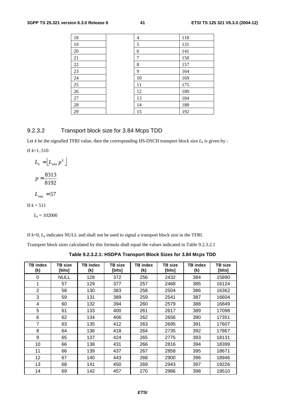| 18     | 4  | 118 |
|--------|----|-----|
| 19     | 5  | 131 |
| $20\,$ | 6  | 141 |
| 21     | 7  | 150 |
| 22     | 8  | 157 |
| 23     | 9  | 164 |
| 24     | 10 | 169 |
| 25     | 11 | 175 |
| 26     | 12 | 180 |
| $27\,$ | 13 | 184 |
| $28\,$ | 14 | 188 |
| 29     | 15 | 192 |

# 9.2.3.2 Transport block size for 3.84 Mcps TDD

Let  $k$  be the signalled TFRI value, then the corresponding HS-DSCH transport block size  $L_k$  is given by :

If *k*=1..510

$$
L_k = \left[ L_{\min} p^k \right]
$$

$$
p = \frac{8313}{8192}
$$

$$
L_{\min} = 57
$$
If  $k = 511$ 

 $L_k = 102000$ 

If  $k=0$ ,  $L_k$  indicates NULL and shall not be used to signal a transport block size in the TFRI.

Transport block sizes calculated by this formula shall equal the values indicated in Table 9.2.3.2.1

**Table 9.2.3.2.1: HSDPA Transport Block Sizes for 3.84 Mcps TDD** 

| <b>TB</b> index<br>(k) | <b>TB</b> size<br>[bits] | <b>TB</b> index<br>(k) | TB size<br>[bits] | <b>TB</b> index<br>(k) | TB size<br>[bits] | <b>TB</b> index<br>(k) | TB size<br>[bits] |
|------------------------|--------------------------|------------------------|-------------------|------------------------|-------------------|------------------------|-------------------|
| 0                      | <b>NULL</b>              | 128                    | 372               | 256                    | 2432              | 384                    | 15890             |
| 1                      | 57                       | 129                    | 377               | 257                    | 2468              | 385                    | 16124             |
| $\overline{2}$         | 58                       | 130                    | 383               | 258                    | 2504              | 386                    | 16362             |
| 3                      | 59                       | 131                    | 389               | 259                    | 2541              | 387                    | 16604             |
| 4                      | 60                       | 132                    | 394               | 260                    | 2579              | 388                    | 16849             |
| 5                      | 61                       | 133                    | 400               | 261                    | 2617              | 389                    | 17098             |
| 6                      | 62                       | 134                    | 406               | 262                    | 2656              | 390                    | 17351             |
| 7                      | 63                       | 135                    | 412               | 263                    | 2695              | 391                    | 17607             |
| 8                      | 64                       | 136                    | 418               | 264                    | 2735              | 392                    | 17867             |
| 9                      | 65                       | 137                    | 424               | 265                    | 2775              | 393                    | 18131             |
| 10                     | 66                       | 138                    | 431               | 266                    | 2816              | 394                    | 18399             |
| 11                     | 66                       | 139                    | 437               | 267                    | 2858              | 395                    | 18671             |
| 12                     | 67                       | 140                    | 443               | 268                    | 2900              | 396                    | 18946             |
| 13                     | 68                       | 141                    | 450               | 269                    | 2943              | 397                    | 19226             |
| 14                     | 69                       | 142                    | 457               | 270                    | 2986              | 398                    | 19510             |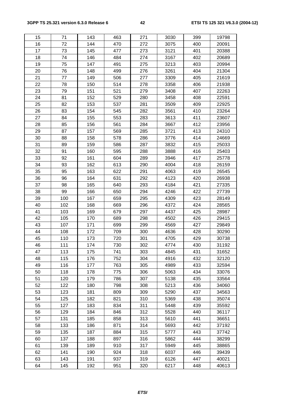| 15 | 71  | 143 | 463 | 271 | 3030 | 399 | 19798 |
|----|-----|-----|-----|-----|------|-----|-------|
| 16 | 72  | 144 | 470 | 272 | 3075 | 400 | 20091 |
| 17 | 73  | 145 | 477 | 273 | 3121 | 401 | 20388 |
| 18 | 74  | 146 | 484 | 274 | 3167 | 402 | 20689 |
| 19 | 75  | 147 | 491 | 275 | 3213 | 403 | 20994 |
| 20 | 76  | 148 | 499 | 276 | 3261 | 404 | 21304 |
| 21 | 77  | 149 | 506 | 277 | 3309 | 405 | 21619 |
| 22 | 78  | 150 | 514 | 278 | 3358 | 406 | 21938 |
| 23 | 79  | 151 | 521 | 279 | 3408 | 407 | 22263 |
| 24 | 81  | 152 | 529 | 280 | 3458 | 408 | 22591 |
| 25 | 82  | 153 | 537 | 281 | 3509 | 409 | 22925 |
| 26 | 83  | 154 | 545 | 282 | 3561 | 410 | 23264 |
| 27 | 84  | 155 | 553 | 283 | 3613 | 411 | 23607 |
| 28 | 85  | 156 | 561 | 284 | 3667 | 412 | 23956 |
| 29 | 87  | 157 | 569 | 285 | 3721 | 413 | 24310 |
| 30 | 88  | 158 | 578 | 286 | 3776 | 414 | 24669 |
| 31 | 89  | 159 | 586 | 287 | 3832 | 415 | 25033 |
| 32 | 91  | 160 | 595 | 288 | 3888 | 416 | 25403 |
| 33 | 92  | 161 | 604 | 289 | 3946 | 417 | 25778 |
| 34 | 93  | 162 | 613 | 290 | 4004 | 418 | 26159 |
| 35 | 95  | 163 | 622 | 291 | 4063 | 419 | 26545 |
| 36 | 96  | 164 | 631 | 292 | 4123 | 420 | 26938 |
| 37 | 98  | 165 | 640 | 293 | 4184 | 421 | 27335 |
| 38 | 99  | 166 | 650 | 294 | 4246 | 422 | 27739 |
| 39 | 100 | 167 | 659 | 295 | 4309 | 423 | 28149 |
| 40 | 102 | 168 | 669 | 296 | 4372 | 424 | 28565 |
| 41 | 103 | 169 | 679 | 297 | 4437 | 425 | 28987 |
| 42 | 105 | 170 | 689 | 298 | 4502 | 426 | 29415 |
| 43 | 107 | 171 | 699 | 299 | 4569 | 427 | 29849 |
| 44 | 108 | 172 | 709 | 300 | 4636 | 428 | 30290 |
| 45 | 110 | 173 | 720 | 301 | 4705 | 429 | 30738 |
| 46 | 111 | 174 | 730 | 302 | 4774 | 430 | 31192 |
| 47 | 113 | 175 | 741 | 303 | 4845 | 431 | 31652 |
| 48 | 115 | 176 | 752 | 304 | 4916 | 432 | 32120 |
| 49 | 116 | 177 | 763 | 305 | 4989 | 433 | 32594 |
| 50 | 118 | 178 | 775 | 306 | 5063 | 434 | 33076 |
| 51 | 120 | 179 | 786 | 307 | 5138 | 435 | 33564 |
| 52 | 122 | 180 | 798 | 308 | 5213 | 436 | 34060 |
| 53 | 123 | 181 | 809 | 309 | 5290 | 437 | 34563 |
| 54 | 125 | 182 | 821 | 310 | 5369 | 438 | 35074 |
| 55 | 127 | 183 | 834 | 311 | 5448 | 439 | 35592 |
| 56 | 129 | 184 | 846 | 312 | 5528 | 440 | 36117 |
| 57 | 131 | 185 | 858 | 313 | 5610 | 441 | 36651 |
| 58 | 133 | 186 | 871 | 314 | 5693 | 442 | 37192 |
| 59 | 135 | 187 | 884 | 315 | 5777 | 443 | 37742 |
| 60 | 137 | 188 | 897 | 316 | 5862 | 444 | 38299 |
| 61 | 139 | 189 | 910 | 317 | 5949 | 445 | 38865 |
| 62 | 141 | 190 | 924 | 318 | 6037 | 446 | 39439 |
| 63 | 143 | 191 | 937 | 319 | 6126 | 447 | 40021 |
| 64 | 145 | 192 | 951 | 320 | 6217 | 448 | 40613 |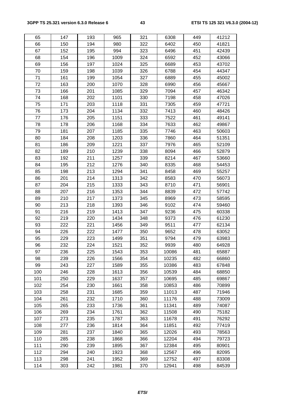| 65  | 147 | 193 | 965  | 321 | 6308  | 449 | 41212 |
|-----|-----|-----|------|-----|-------|-----|-------|
| 66  | 150 | 194 | 980  | 322 | 6402  | 450 | 41821 |
| 67  | 152 | 195 | 994  | 323 | 6496  | 451 | 42439 |
| 68  | 154 | 196 | 1009 | 324 | 6592  | 452 | 43066 |
| 69  | 156 | 197 | 1024 | 325 | 6689  | 453 | 43702 |
| 70  | 159 | 198 | 1039 | 326 | 6788  | 454 | 44347 |
| 71  | 161 | 199 | 1054 | 327 | 6889  | 455 | 45002 |
| 72  | 163 | 200 | 1070 | 328 | 6990  | 456 | 45667 |
| 73  | 166 | 201 | 1085 | 329 | 7094  | 457 | 46342 |
| 74  | 168 | 202 | 1101 | 330 | 7198  | 458 | 47026 |
| 75  | 171 | 203 | 1118 | 331 | 7305  | 459 | 47721 |
| 76  | 173 | 204 | 1134 | 332 | 7413  | 460 | 48426 |
| 77  | 176 | 205 | 1151 | 333 | 7522  | 461 | 49141 |
| 78  | 178 | 206 | 1168 | 334 | 7633  | 462 | 49867 |
| 79  | 181 | 207 | 1185 | 335 | 7746  | 463 | 50603 |
| 80  | 184 | 208 | 1203 | 336 | 7860  | 464 | 51351 |
| 81  | 186 | 209 | 1221 | 337 | 7976  | 465 | 52109 |
| 82  | 189 | 210 | 1239 | 338 | 8094  | 466 | 52879 |
| 83  | 192 | 211 | 1257 | 339 | 8214  | 467 | 53660 |
| 84  | 195 | 212 | 1276 | 340 | 8335  | 468 | 54453 |
| 85  | 198 | 213 | 1294 | 341 | 8458  | 469 | 55257 |
| 86  | 201 | 214 | 1313 | 342 | 8583  | 470 | 56073 |
| 87  | 204 | 215 | 1333 | 343 | 8710  | 471 | 56901 |
| 88  | 207 | 216 | 1353 | 344 | 8839  | 472 | 57742 |
| 89  | 210 | 217 | 1373 | 345 | 8969  | 473 | 58595 |
| 90  | 213 | 218 | 1393 | 346 | 9102  | 474 | 59460 |
| 91  | 216 | 219 | 1413 | 347 | 9236  | 475 | 60338 |
| 92  | 219 | 220 | 1434 | 348 | 9373  | 476 | 61230 |
| 93  | 222 | 221 | 1456 | 349 | 9511  | 477 | 62134 |
| 94  | 226 | 222 | 1477 | 350 | 9652  | 478 | 63052 |
| 95  | 229 | 223 | 1499 | 351 | 9794  | 479 | 63983 |
| 96  | 232 | 224 | 1521 | 352 | 9939  | 480 | 64928 |
| 97  | 236 | 225 | 1543 | 353 | 10086 | 481 | 65887 |
| 98  | 239 | 226 | 1566 | 354 | 10235 | 482 | 66860 |
| 99  | 243 | 227 | 1589 | 355 | 10386 | 483 | 67848 |
| 100 | 246 | 228 | 1613 | 356 | 10539 | 484 | 68850 |
| 101 | 250 | 229 | 1637 | 357 | 10695 | 485 | 69867 |
| 102 | 254 | 230 | 1661 | 358 | 10853 | 486 | 70899 |
| 103 | 258 | 231 | 1685 | 359 | 11013 | 487 | 71946 |
| 104 | 261 | 232 | 1710 | 360 | 11176 | 488 | 73009 |
| 105 | 265 | 233 | 1736 | 361 | 11341 | 489 | 74087 |
| 106 | 269 | 234 | 1761 | 362 | 11508 | 490 | 75182 |
| 107 | 273 | 235 | 1787 | 363 | 11678 | 491 | 76292 |
| 108 | 277 | 236 | 1814 | 364 | 11851 | 492 | 77419 |
| 109 | 281 | 237 | 1840 | 365 | 12026 | 493 | 78563 |
| 110 | 285 | 238 | 1868 | 366 | 12204 | 494 | 79723 |
| 111 | 290 | 239 | 1895 | 367 | 12384 | 495 | 80901 |
| 112 | 294 | 240 | 1923 | 368 | 12567 | 496 | 82095 |
| 113 | 298 | 241 | 1952 | 369 | 12752 | 497 | 83308 |
| 114 | 303 | 242 | 1981 | 370 | 12941 | 498 | 84539 |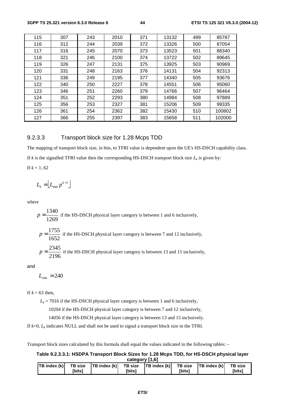| 115 | 307 | 243 | 2010 | 371 | 13132 | 499 | 85787  |
|-----|-----|-----|------|-----|-------|-----|--------|
| 116 | 312 | 244 | 2039 | 372 | 13326 | 500 | 87054  |
| 117 | 316 | 245 | 2070 | 373 | 13523 | 501 | 88340  |
| 118 | 321 | 246 | 2100 | 374 | 13722 | 502 | 89645  |
| 119 | 326 | 247 | 2131 | 375 | 13925 | 503 | 90969  |
| 120 | 331 | 248 | 2163 | 376 | 14131 | 504 | 92313  |
| 121 | 336 | 249 | 2195 | 377 | 14340 | 505 | 93676  |
| 122 | 340 | 250 | 2227 | 378 | 14551 | 506 | 95060  |
| 123 | 346 | 251 | 2260 | 379 | 14766 | 507 | 96464  |
| 124 | 351 | 252 | 2293 | 380 | 14984 | 508 | 97889  |
| 125 | 356 | 253 | 2327 | 381 | 15206 | 509 | 99335  |
| 126 | 361 | 254 | 2362 | 382 | 15430 | 510 | 100802 |
| 127 | 366 | 255 | 2397 | 383 | 15658 | 511 | 102000 |

### 9.2.3.3 Transport block size for 1.28 Mcps TDD

The mapping of transport block size, in bits, to TFRI value is dependent upon the UE's HS-DSCH capability class.

If *k* is the signalled TFRI value then the corresponding HS-DSCH transport block size  $L_k$  is given by:

If  $k = 1..62$ 

$$
L_k = \left\lfloor L_{\min} p^{k-1} \right\rfloor
$$

where

$$
p = \frac{1340}{1269}
$$
 if the HS-DSCH physical layer category is between 1 and 6 inclusively,

1755

$$
p = \frac{1755}{1652}
$$
 if the HS-DSCH physical layer category is between 7 and 12 inclusively,

$$
p = \frac{2345}{2196}
$$
 if the HS-DSCH physical layer category is between 13 and 15 inclusively,

and

$$
L_{\min} = 240
$$

If  $k = 63$  then,

 $L_k$  = 7016 if the HS-DSCH physical layer category is between 1 and 6 inclusively,

10204 if the HS-DSCH physical layer category is between 7 and 12 inclusively,

14056 if the HS-DSCH physical layer category is between 13 and 15 inclusively.

If  $k=0$ ,  $L_k$  indicates NULL and shall not be used to signal a transport block size in the TFRI.

Transport block sizes calculated by this formula shall equal the values indicated in the following tables: –

| Table 9.2.3.3.1: HSDPA Transport Block Sizes for 1.28 Mcps TDD, for HS-DSCH physical layer |
|--------------------------------------------------------------------------------------------|
| category [1,6]                                                                             |

| <b>TB</b> index (k) TB size $ TB$ index (k) TB size $ TB$ index (k) TB size $ TB$ index (k) TB size |        |               |        |        |
|-----------------------------------------------------------------------------------------------------|--------|---------------|--------|--------|
|                                                                                                     | [bits] | <b>Ibits1</b> | [bits] | [bits] |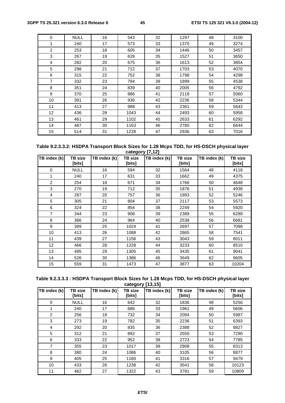| 0               | <b>NULL</b> | 16 | 543  | 32 | 1297 | 48 | 3100 |
|-----------------|-------------|----|------|----|------|----|------|
| 1               | 240         | 17 | 573  | 33 | 1370 | 49 | 3274 |
| $\overline{2}$  | 253         | 18 | 605  | 34 | 1446 | 50 | 3457 |
| 3               | 267         | 19 | 639  | 35 | 1527 | 51 | 3650 |
| 4               | 282         | 20 | 675  | 36 | 1613 | 52 | 3854 |
| 5               | 298         | 21 | 712  | 37 | 1703 | 53 | 4070 |
| 6               | 315         | 22 | 752  | 38 | 1798 | 54 | 4298 |
| $\overline{7}$  | 332         | 23 | 794  | 39 | 1899 | 55 | 4538 |
| 8               | 351         | 24 | 839  | 40 | 2005 | 56 | 4792 |
| 9               | 370         | 25 | 886  | 41 | 2118 | 57 | 5060 |
| 10              | 391         | 26 | 936  | 42 | 2236 | 58 | 5344 |
| 11              | 413         | 27 | 988  | 43 | 2361 | 59 | 5643 |
| 12 <sup>2</sup> | 436         | 28 | 1043 | 44 | 2493 | 60 | 5958 |
| 13              | 461         | 29 | 1102 | 45 | 2633 | 61 | 6292 |
| 14              | 487         | 30 | 1163 | 46 | 2780 | 62 | 6644 |
| 15              | 514         | 31 | 1228 | 47 | 2936 | 63 | 7016 |

#### **Table 9.2.3.3.2: HSDPA Transport Block Sizes for 1.28 Mcps TDD, for HS-DSCH physical layer category [7,12]**

| TB index $(k)$ | TB size<br>[bits] | TB index (k) | <b>TB</b> size<br>[bits] | TB index (k) | <b>TB</b> size<br>[bits] | TB index (k) | <b>TB</b> size<br>[bits] |
|----------------|-------------------|--------------|--------------------------|--------------|--------------------------|--------------|--------------------------|
| $\Omega$       | <b>NULL</b>       | 16           | 594                      | 32           | 1564                     | 48           | 4118                     |
| 1              | 240               | 17           | 631                      | 33           | 1662                     | 49           | 4375                     |
| 2              | 254               | 18           | 671                      | 34           | 1766                     | 50           | 4648                     |
| 3              | 270               | 19           | 712                      | 35           | 1876                     | 51           | 4938                     |
| 4              | 287               | 20           | 757                      | 36           | 1993                     | 52           | 5246                     |
| 5              | 305               | 21           | 804                      | 37           | 2117                     | 53           | 5573                     |
| 6              | 324               | 22           | 854                      | 38           | 2249                     | 54           | 5920                     |
| $\overline{7}$ | 344               | 23           | 908                      | 39           | 2389                     | 55           | 6289                     |
| 8              | 366               | 24           | 964                      | 40           | 2538                     | 56           | 6681                     |
| 9              | 389               | 25           | 1024                     | 41           | 2697                     | 57           | 7098                     |
| 10             | 413               | 26           | 1088                     | 42           | 2865                     | 58           | 7541                     |
| 11             | 439               | 27           | 1156                     | 43           | 3043                     | 59           | 8011                     |
| 12             | 466               | 28           | 1228                     | 44           | 3233                     | 60           | 8510                     |
| 13             | 495               | 29           | 1305                     | 45           | 3435                     | 61           | 9041                     |
| 14             | 526               | 30           | 1386                     | 46           | 3649                     | 62           | 9605                     |
| 15             | 559               | 31           | 1473                     | 47           | 3877                     | 63           | 10204                    |

**Table 9.2.3.3.3 : HSDPA Transport Block Sizes for 1.28 Mcps TDD, for HS-DSCH physical layer category [13,15]** 

| TB index (k)   | <b>TB</b> size<br>[bits] | TB index (k) | <b>TB</b> size<br>[bits] | TB index (k) | TB size<br>[bits] | TB index (k) | <b>TB</b> size<br>[bits] |
|----------------|--------------------------|--------------|--------------------------|--------------|-------------------|--------------|--------------------------|
| 0              | <b>NULL</b>              | 16           | 642                      | 32           | 1836              | 48           | 5250                     |
| 1              | 240                      | 17           | 686                      | 33           | 1961              | 49           | 5606                     |
| 2              | 256                      | 18           | 732                      | 34           | 2094              | 50           | 5987                     |
| 3              | 273                      | 19           | 782                      | 35           | 2236              | 51           | 6393                     |
| 4              | 292                      | 20           | 835                      | 36           | 2388              | 52           | 6827                     |
| 5              | 312                      | 21           | 892                      | 37           | 2550              | 53           | 7290                     |
| 6              | 333                      | 22           | 952                      | 38           | 2723              | 54           | 7785                     |
| $\overline{7}$ | 355                      | 23           | 1017                     | 39           | 2908              | 55           | 8313                     |
| 8              | 380                      | 24           | 1086                     | 40           | 3105              | 56           | 8877                     |
| 9              | 405                      | 25           | 1160                     | 41           | 3316              | 57           | 9479                     |
| 10             | 433                      | 26           | 1238                     | 42           | 3541              | 58           | 10123                    |
| 11             | 462                      | 27           | 1322                     | 43           | 3781              | 59           | 10809                    |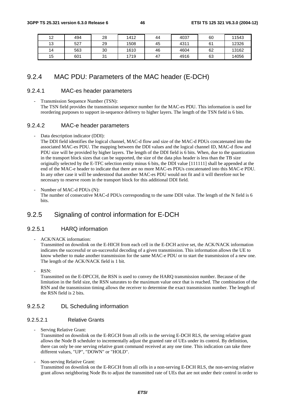| 12<br>ے ا | 494 | 28      | 1412 | 44 | 4037 | 60 | 11543 |
|-----------|-----|---------|------|----|------|----|-------|
| 13        | 527 | 29      | 1508 | 45 | 4311 | 61 | 12326 |
| 14        | 563 | 30      | 1610 | 46 | 4604 | 62 | 13162 |
| 15        | 601 | 21<br>ິ | 1719 | 47 | 4916 | 63 | 14056 |

# 9.2.4 MAC PDU: Parameters of the MAC header (E-DCH)

### 9.2.4.1 MAC-es header parameters

Transmission Sequence Number (TSN): The TSN field provides the transmission sequence number for the MAC-es PDU. This information is used for reordering purposes to support in-sequence delivery to higher layers. The length of the TSN field is 6 bits.

# 9.2.4.2 MAC-e header parameters

Data description indicator (DDI):

The DDI field identifies the logical channel, MAC-d flow and size of the MAC-d PDUs concatenated into the associated MAC-es PDU. The mapping between the DDI values and the logical channel ID, MAC-d flow and PDU size will be provided by higher layers. The length of the DDI field is 6 bits. When, due to the quantization in the transport block sizes that can be supported, the size of the data plus header is less than the TB size originally selected by the E-TFC selection entity minus 6 bits, the DDI value [111111] shall be appended at the end of the MAC-e header to indicate that there are no more MAC-es PDUs concatenated into this MAC-e PDU. In any other case it will be understood that another MAC-es PDU would not fit and it will therefore not be necessary to reserve room in the transport block for this additional DDI field.

Number of MAC-d PDUs (N): The number of consecutive MAC-d PDUs corresponding to the same DDI value. The length of the N field is 6 bits.

# 9.2.5 Signaling of control information for E-DCH

# 9.2.5.1 HARQ information

- ACK/NACK information:

Transmitted on downlink on the E-HICH from each cell in the E-DCH active set, the ACK/NACK information indicates the successful or un-successful decoding of a given transmission. This information allows the UE to know whether to make another transmission for the same MAC-e PDU or to start the transmission of a new one. The length of the ACK/NACK field is 1 bit.

RSN:

Transmitted on the E-DPCCH, the RSN is used to convey the HARQ transmission number. Because of the limitation in the field size, the RSN saturates to the maximum value once that is reached. The combination of the RSN and the transmission timing allows the receiver to determine the exact transmission number. The length of the RSN field is 2 bits.

# 9.2.5.2 DL Scheduling information

# 9.2.5.2.1 Relative Grants

Serving Relative Grant:

Transmitted on downlink on the E-RGCH from all cells in the serving E-DCH RLS, the serving relative grant allows the Node B scheduler to incrementally adjust the granted rate of UEs under its control. By definition, there can only be one serving relative grant command received at any one time. This indication can take three different values, "UP", "DOWN" or "HOLD".

Non-serving Relative Grant: Transmitted on downlink on the E-RGCH from all cells in a non-serving E-DCH RLS, the non-serving relative grant allows neighboring Node Bs to adjust the transmitted rate of UEs that are not under their control in order to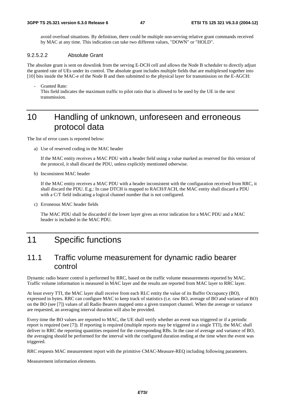avoid overload situations. By definition, there could be multiple non-serving relative grant commands received by MAC at any time. This indication can take two different values, "DOWN" or "HOLD".

### 9.2.5.2.2 Absolute Grant

The absolute grant is sent on downlink from the serving E-DCH cell and allows the Node B scheduler to directly adjust the granted rate of UEs under its control. The absolute grant includes multiple fields that are multiplexed together into [10] bits inside the MAC-e of the Node B and then submitted to the physical layer for transmission on the E-AGCH:

Granted Rate: This field indicates the maximum traffic to pilot ratio that is allowed to be used by the UE in the next transmission.

# 10 Handling of unknown, unforeseen and erroneous protocol data

The list of error cases is reported below:

a) Use of reserved coding in the MAC header

 If the MAC entity receives a MAC PDU with a header field using a value marked as reserved for this version of the protocol, it shall discard the PDU, unless explicitly mentioned otherwise.

b) Inconsistent MAC header

 If the MAC entity receives a MAC PDU with a header inconsistent with the configuration received from RRC, it shall discard the PDU. E.g.: In case DTCH is mapped to RACH/FACH, the MAC entity shall discard a PDU with a C/T field indicating a logical channel number that is not configured.

c) Erroneous MAC header fields

 The MAC PDU shall be discarded if the lower layer gives an error indication for a MAC PDU and a MAC header is included in the MAC PDU.

# 11 Specific functions

# 11.1 Traffic volume measurement for dynamic radio bearer control

Dynamic radio bearer control is performed by RRC, based on the traffic volume measurements reported by MAC. Traffic volume information is measured in MAC layer and the results are reported from MAC layer to RRC layer.

At least every TTI, the MAC layer shall receive from each RLC entity the value of its Buffer Occupancy (BO), expressed in bytes. RRC can configure MAC to keep track of statistics (i.e. raw BO, average of BO and variance of BO) on the BO (see [7]) values of all Radio Bearers mapped onto a given transport channel. When the average or variance are requested, an averaging interval duration will also be provided.

Every time the BO values are reported to MAC, the UE shall verify whether an event was triggered or if a periodic report is required (see [7]). If reporting is required (multiple reports may be triggered in a single TTI), the MAC shall deliver to RRC the reporting quantities required for the corresponding RBs. In the case of average and variance of BO, the averaging should be performed for the interval with the configured duration ending at the time when the event was triggered.

RRC requests MAC measurement report with the primitive CMAC-Measure-REQ including following parameters.

Measurement information elements.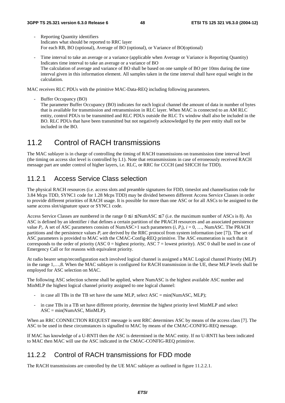- Reporting Quantity identifiers Indicates what should be reported to RRC layer For each RB, BO (optional), Average of BO (optional), or Variance of BO(optional)
- Time interval to take an average or a variance (applicable when Average or Variance is Reporting Quantity) Indicates time interval to take an average or a variance of BO The calculation of average and variance of BO shall be based on one sample of BO per 10ms during the time interval given in this information element. All samples taken in the time interval shall have equal weight in the calculation.

MAC receives RLC PDUs with the primitive MAC-Data-REQ including following parameters.

Buffer Occupancy (BO) The parameter Buffer Occupancy (BO) indicates for each logical channel the amount of data in number of bytes that is available for transmission and retransmission in RLC layer. When MAC is connected to an AM RLC entity, control PDUs to be transmitted and RLC PDUs outside the RLC Tx window shall also be included in the BO. RLC PDUs that have been transmitted but not negatively acknowledged by the peer entity shall not be included in the BO.

# 11.2 Control of RACH transmissions

The MAC sublayer is in charge of controlling the timing of RACH transmissions on transmission time interval level (the timing on access slot level is controlled by L1). Note that retransmissions in case of erroneously received RACH message part are under control of higher layers, i.e. RLC, or RRC for CCCH (and SHCCH for TDD).

# 11.2.1 Access Service Class selection

The physical RACH resources (i.e. access slots and preamble signatures for FDD, timeslot and channelisation code for 3.84 Mcps TDD, SYNC1 code for 1.28 Mcps TDD) may be divided between different Access Service Classes in order to provide different priorities of RACH usage. It is possible for more than one ASC or for all ASCs to be assigned to the same access slot/signature space or SYNC1 code.

Access Service Classes are numbered in the range  $0 \le i \le NumASC \le 7$  (i.e. the maximum number of ASCs is 8). An ASC is defined by an identifier *i* that defines a certain partition of the PRACH resources and an associated persistence value  $P_i$ . A set of ASC parameters consists of NumASC+1 such parameters  $(i, P_i)$ ,  $i = 0, ...,$  NumASC. The PRACH partitions and the persistence values *Pi* are derived by the RRC protocol from system information (see [7]). The set of ASC parameters is provided to MAC with the CMAC-Config-REQ primitive. The ASC enumeration is such that it corresponds to the order of priority (ASC  $0 =$  highest priority, ASC  $7 =$  lowest priority). ASC  $0$  shall be used in case of Emergency Call or for reasons with equivalent priority.

At radio bearer setup/reconfiguration each involved logical channel is assigned a MAC Logical channel Priority (MLP) in the range 1,…,8. When the MAC sublayer is configured for RACH transmission in the UE, these MLP levels shall be employed for ASC selection on MAC.

The following ASC selection scheme shall be applied, where NumASC is the highest available ASC number and MinMLP the highest logical channel priority assigned to one logical channel:

- in case all TBs in the TB set have the same MLP, select  $ASC = min(NumASC, MLP);$
- in case TBs in a TB set have different priority, determine the highest priority level MinMLP and select ASC = min(NumASC, MinMLP).

When an RRC CONNECTION REQUEST message is sent RRC determines ASC by means of the access class [7]. The ASC to be used in these circumstances is signalled to MAC by means of the CMAC-CONFIG-REQ message.

If MAC has knowledge of a U-RNTI then the ASC is determined in the MAC entity. If no U-RNTI has been indicated to MAC then MAC will use the ASC indicated in the CMAC-CONFIG-REQ primitive.

# 11.2.2 Control of RACH transmissions for FDD mode

The RACH transmissions are controlled by the UE MAC sublayer as outlined in figure 11.2.2.1.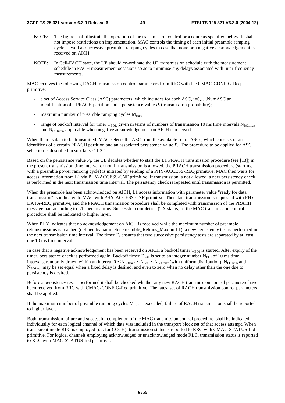- NOTE: The figure shall illustrate the operation of the transmission control procedure as specified below. It shall not impose restrictions on implementation. MAC controls the timing of each initial preamble ramping cycle as well as successive preamble ramping cycles in case that none or a negative acknowledgement is received on AICH.
- NOTE: In Cell-FACH state, the UE should co-ordinate the UL transmission schedule with the measurement schedule in FACH measurement occasions so as to minimise any delays associated with inter-frequency measurements.

MAC receives the following RACH transmission control parameters from RRC with the CMAC-CONFIG-Req primitive:

- a set of Access Service Class (ASC) parameters, which includes for each ASC, i=0,...,NumASC an identification of a PRACH partition and a persistence value  $P_i$  (transmission probability);
- maximum number of preamble ramping cycles  $M_{\text{max}}$ ;
- range of backoff interval for timer  $T_{BOL}$  given in terms of numbers of transmission 10 ms time intervals  $N_{BOLmax}$ and  $N_{\text{BOLmin}}$ , applicable when negative acknowledgement on AICH is received.

When there is data to be transmitted, MAC selects the ASC from the available set of ASCs, which consists of an identifier *i* of a certain PRACH partition and an associated persistence value  $P_i$ . The procedure to be applied for ASC selection is described in subclause 11.2.1.

Based on the persistence value  $P_i$ , the UE decides whether to start the L1 PRACH transmission procedure (see [13]) in the present transmission time interval or not. If transmission is allowed, the PRACH transmission procedure (starting with a preamble power ramping cycle) is initiated by sending of a PHY-ACCESS-REQ primitive. MAC then waits for access information from L1 via PHY-ACCESS-CNF primitive. If transmission is not allowed, a new persistency check is performed in the next transmission time interval. The persistency check is repeated until transmission is permitted.

When the preamble has been acknowledged on AICH, L1 access information with parameter value "ready for data" transmission" is indicated to MAC with PHY-ACCESS-CNF primitive. Then data transmission is requested with PHY-DATA-REQ primitive, and the PRACH transmission procedure shall be completed with transmission of the PRACH message part according to L1 specifications. Successful completion (TX status) of the MAC transmission control procedure shall be indicated to higher layer.

When PHY indicates that no acknowledgement on AICH is received while the maximum number of preamble retransmissions is reached (defined by parameter Preamble\_Retrans\_Max on L1), a new persistency test is performed in the next transmission time interval. The timer  $T_2$  ensures that two successive persistency tests are separated by at least one 10 ms time interval.

In case that a negative acknowledgement has been received on AICH a backoff timer  $T_{BO1}$  is started. After expiry of the timer, persistence check is performed again. Backoff timer  $T_{B01}$  is set to an integer number N<sub>BO1</sub> of 10 ms time intervals, randomly drawn within an interval  $0 \le N_{\text{BOLmin}} \le N_{\text{BOL}} \le N_{\text{BOLmax}}$  (with uniform distribution). N<sub>BO1min</sub> and N<sub>BO1max</sub> may be set equal when a fixed delay is desired, and even to zero when no delay other than the one due to persistency is desired.

Before a persistency test is performed it shall be checked whether any new RACH transmission control parameters have been received from RRC with CMAC-CONFIG-Req primitive. The latest set of RACH transmission control parameters shall be applied.

If the maximum number of preamble ramping cycles  $M_{\text{max}}$  is exceeded, failure of RACH transmission shall be reported to higher layer.

Both, transmission failure and successful completion of the MAC transmission control procedure, shall be indicated individually for each logical channel of which data was included in the transport block set of that access attempt. When transparent mode RLC is employed (i.e. for CCCH), transmission status is reported to RRC with CMAC-STATUS-Ind primitive. For logical channels employing acknowledged or unacknowledged mode RLC, transmission status is reported to RLC with MAC-STATUS-Ind primitive.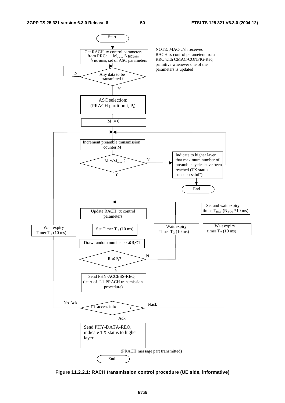

**Figure 11.2.2.1: RACH transmission control procedure (UE side, informative)**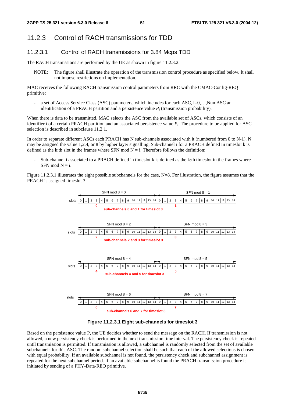# 11.2.3 Control of RACH transmissions for TDD

# 11.2.3.1 Control of RACH transmissions for 3.84 Mcps TDD

The RACH transmissions are performed by the UE as shown in figure 11.2.3.2.

NOTE: The figure shall illustrate the operation of the transmission control procedure as specified below. It shall not impose restrictions on implementation.

MAC receives the following RACH transmission control parameters from RRC with the CMAC-Config-REQ primitive:

a set of Access Service Class (ASC) parameters, which includes for each ASC, i=0,..., NumASC an identification of a PRACH partition and a persistence value  $P_i$  (transmission probability).

When there is data to be transmitted, MAC selects the ASC from the available set of ASCs, which consists of an identifier *i* of a certain PRACH partition and an associated persistence value  $P_i$ . The procedure to be applied for ASC selection is described in subclause 11.2.1.

In order to separate different ASCs each PRACH has N sub-channels associated with it (numbered from 0 to N-1). N may be assigned the value 1,2,4, or 8 by higher layer signalling. Sub-channel i for a PRACH defined in timeslot k is defined as the k:th slot in the frames where SFN mod  $N = i$ . Therefore follows the definition:

Sub-channel i associated to a PRACH defined in timeslot k is defined as the k:th timeslot in the frames where SFN mod  $N = i$ .

Figure 11.2.3.1 illustrates the eight possible subchannels for the case, N=8. For illustration, the figure assumes that the PRACH is assigned timeslot 3.



**Figure 11.2.3.1 Eight sub-channels for timeslot 3** 

Based on the persistence value P, the UE decides whether to send the message on the RACH. If transmission is not allowed, a new persistency check is performed in the next transmission time interval. The persistency check is repeated until transmission is permitted. If transmission is allowed, a subchannel is randomly selected from the set of available subchannels for this ASC. The random subchannel selection shall be such that each of the allowed selections is chosen with equal probability. If an available subchannel is not found, the persistency check and subchannel assignment is repeated for the next subchannel period. If an available subchannel is found the PRACH transmission procedure is initiated by sending of a PHY-Data-REQ primitive.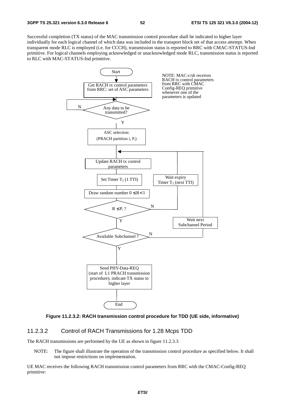Successful completion (TX status) of the MAC transmission control procedure shall be indicated to higher layer individually for each logical channel of which data was included in the transport block set of that access attempt. When transparent mode RLC is employed (i.e. for CCCH), transmission status is reported to RRC with CMAC-STATUS-Ind primitive. For logical channels employing acknowledged or unacknowledged mode RLC, transmission status is reported to RLC with MAC-STATUS-Ind primitive.





### 11.2.3.2 Control of RACH Transmissions for 1.28 Mcps TDD

The RACH transmissions are performed by the UE as shown in figure 11.2.3.3.

NOTE: The figure shall illustrate the operation of the transmission control procedure as specified below. It shall not impose restrictions on implementation.

UE MAC receives the following RACH transmission control parameters from RRC with the CMAC-Config-REQ primitive: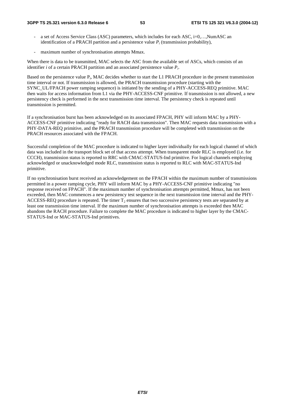- a set of Access Service Class (ASC) parameters, which includes for each ASC, i=0,..., NumASC an identification of a PRACH partition and a persistence value  $P_i$  (transmission probability),
- maximum number of synchronisation attempts Mmax.

When there is data to be transmitted, MAC selects the ASC from the available set of ASCs, which consists of an identifier *i* of a certain PRACH partition and an associated persistence value *Pi*.

Based on the persistence value  $P_i$ , MAC decides whether to start the L1 PRACH procedure in the present transmission time interval or not. If transmission is allowed, the PRACH transmission procedure (starting with the SYNC\_UL/FPACH power ramping sequence) is initiated by the sending of a PHY-ACCESS-REQ primitive. MAC then waits for access information from L1 via the PHY-ACCESS-CNF primitive. If transmission is not allowed, a new persistency check is performed in the next transmission time interval. The persistency check is repeated until transmission is permitted.

If a synchronisation burst has been acknowledged on its associated FPACH, PHY will inform MAC by a PHY-ACCESS-CNF primitive indicating "ready for RACH data transmission". Then MAC requests data transmission with a PHY-DATA-REQ primitive, and the PRACH transmission procedure will be completed with transmission on the PRACH resources associated with the FPACH.

Successful completion of the MAC procedure is indicated to higher layer individually for each logical channel of which data was included in the transport block set of that access attempt. When transparent mode RLC is employed (i.e. for CCCH), transmission status is reported to RRC with CMAC-STATUS-Ind primitive. For logical channels employing acknowledged or unacknowledged mode RLC, transmission status is reported to RLC with MAC-STATUS-Ind primitive.

If no synchronisation burst received an acknowledgement on the FPACH within the maximum number of transmissions permitted in a power ramping cycle, PHY will inform MAC by a PHY-ACCESS-CNF primitive indicating "no response received on FPACH". If the maximum number of synchronisation attempts permitted, Mmax, has not been exceeded, then MAC commences a new persistency test sequence in the next transmission time interval and the PHY-ACCESS-REQ procedure is repeated. The timer  $T_2$  ensures that two successive persistency tests are separated by at least one transmission time interval. If the maximum number of synchronisation attempts is exceeded then MAC abandons the RACH procedure. Failure to complete the MAC procedure is indicated to higher layer by the CMAC-STATUS-Ind or MAC-STATUS-Ind primitives.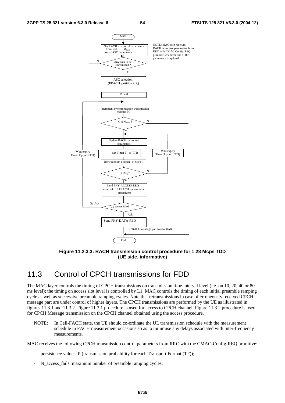

**Figure 11.2.3.3: RACH transmission control procedure for 1.28 Mcps TDD (UE side, informative)** 

# 11.3 Control of CPCH transmissions for FDD

The MAC layer controls the timing of CPCH transmissions on transmission time interval level (i.e. on 10, 20, 40 or 80 ms level); the timing on access slot level is controlled by L1. MAC controls the timing of each initial preamble ramping cycle as well as successive preamble ramping cycles. Note that retransmissions in case of erroneously received CPCH message part are under control of higher layers. The CPCH transmissions are performed by the UE as illustrated in figures 11.3.1 and 11.3.2. Figure 11.3.1 procedure is used for access to CPCH channel. Figure 11.3.2 procedure is used for CPCH Message transmission on the CPCH channel obtained using the access procedure.

NOTE: In Cell-FACH state, the UE should co-ordinate the UL transmission schedule with the measurement schedule in FACH measurement occasions so as to minimise any delays associated with inter-frequency measurements.

MAC receives the following CPCH transmission control parameters from RRC with the CMAC-Config-REQ primitive:

- persistence values, P (transmission probability for each Transport Format (TF));
- N\_access\_fails, maximum number of preamble ramping cycles;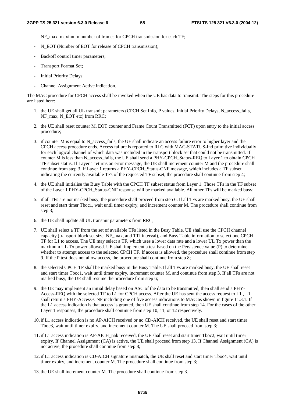- NF max, maximum number of frames for CPCH transmission for each TF;
- N\_EOT (Number of EOT for release of CPCH transmission);
- Backoff control timer parameters;
- Transport Format Set;
- Initial Priority Delays;
- Channel Assignment Active indication.

The MAC procedure for CPCH access shall be invoked when the UE has data to transmit. The steps for this procedure are listed here:

- 1. the UE shall get all UL transmit parameters (CPCH Set Info, P values, Initial Priority Delays, N\_access\_fails, NF\_max, N\_EOT etc) from RRC;
- 2. the UE shall reset counter M, EOT counter and Frame Count Transmitted (FCT) upon entry to the initial access procedure;
- 3. if counter M is equal to N\_access\_fails, the UE shall indicate an access failure error to higher layer and the CPCH access procedure ends. Access failure is reported to RLC with MAC-STATUS-Ind primitive individually for each logical channel of which data was included in the transport block set that could not be transmitted. If counter M is less than N\_access\_fails, the UE shall send a PHY-CPCH\_Status-REQ to Layer 1 to obtain CPCH TF subset status. If Layer 1 returns an error message, the UE shall increment counter M and the procedure shall continue from step 3. If Layer 1 returns a PHY-CPCH\_Status-CNF message, which includes a TF subset indicating the currently available TFs of the requested TF subset, the procedure shall continue from step 4;
- 4. the UE shall initialise the Busy Table with the CPCH TF subset status from Layer 1. Those TFs in the TF subset of the Layer 1 PHY-CPCH\_Status-CNF response will be marked available. All other TFs will be marked busy;
- 5. if all TFs are not marked busy, the procedure shall proceed from step 6. If all TFs are marked busy, the UE shall reset and start timer Tboc1, wait until timer expiry, and increment counter M. The procedure shall continue from step 3;
- 6. the UE shall update all UL transmit parameters from RRC;
- 7. UE shall select a TF from the set of available TFs listed in the Busy Table. UE shall use the CPCH channel capacity (transport block set size, NF\_max, and TTI interval), and Busy Table information to select one CPCH TF for L1 to access. The UE may select a TF, which uses a lower data rate and a lower UL Tx power than the maximum UL Tx power allowed. UE shall implement a test based on the Persistence value (P) to determine whether to attempt access to the selected CPCH TF. If access is allowed, the procedure shall continue from step 9. If the P test does not allow access, the procedure shall continue from step 8;
- 8. the selected CPCH TF shall be marked busy in the Busy Table. If all TFs are marked busy, the UE shall reset and start timer Tboc1, wait until timer expiry, increment counter M, and continue from step 3. If all TFs are not marked busy, the UE shall resume the procedure from step 6;
- 9. the UE may implement an initial delay based on ASC of the data to be transmitted, then shall send a PHY-Access-REQ with the selected TF to L1 for CPCH access. After the UE has sent the access request to L1 , L1 shall return a PHY-Access-CNF including one of five access indications to MAC as shown in figure 11.3.1. If the L1 access indication is that access is granted, then UE shall continue from step 14. For the cases of the other Layer 1 responses, the procedure shall continue from step 10, 11, or 12 respectively.
- 10. if L1 access indication is no AP-AICH received or no CD-AICH received, the UE shall reset and start timer Tboc3, wait until timer expiry, and increment counter M. The UE shall proceed from step 3;
- 11. if L1 access indication is AP-AICH\_nak received, the UE shall reset and start timer Tboc2, wait until timer expiry. If Channel Assignment (CA) is active, the UE shall proceed from step 13. If Channel Assignment (CA) is not active, the procedure shall continue from step 8;
- 12. if L1 access indication is CD-AICH signature mismatch, the UE shall reset and start timer Tboc4, wait until timer expiry, and increment counter M. The procedure shall continue from step 3;
- 13. the UE shall increment counter M. The procedure shall continue from step 3.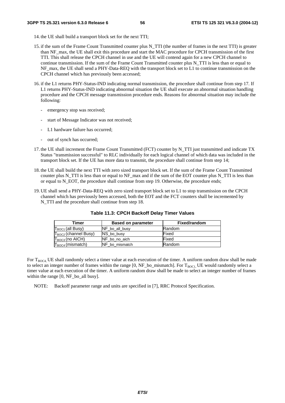- 14. the UE shall build a transport block set for the next TTI;
- 15. if the sum of the Frame Count Transmitted counter plus N\_TTI (the number of frames in the next TTI) is greater than NF\_max, the UE shall exit this procedure and start the MAC procedure for CPCH transmission of the first TTI. This shall release the CPCH channel in use and the UE will contend again for a new CPCH channel to continue transmission. If the sum of the Frame Count Transmitted counter plus N\_TTI is less than or equal to NF\_max, the UE shall send a PHY-Data-REQ with the transport block set to L1 to continue transmission on the CPCH channel which has previously been accessed;
- 16. if the L1 returns PHY-Status-IND indicating normal transmission, the procedure shall continue from step 17. If L1 returns PHY-Status-IND indicating abnormal situation the UE shall execute an abnormal situation handling procedure and the CPCH message transmission procedure ends. Reasons for abnormal situation may include the following:
	- emergency stop was received;
	- start of Message Indicator was not received;
	- L1 hardware failure has occurred;
	- out of synch has occurred;
- 17. the UE shall increment the Frame Count Transmitted (FCT) counter by N\_TTI just transmitted and indicate TX Status "transmission successful" to RLC individually for each logical channel of which data was included in the transport block set. If the UE has more data to transmit, the procedure shall continue from step 14;
- 18. the UE shall build the next TTI with zero sized transport block set. If the sum of the Frame Count Transmitted counter plus N\_TTI is less than or equal to NF\_max and if the sum of the EOT counter plus N\_TTI is less than or equal to N\_EOT, the procedure shall continue from step 19. Otherwise, the procedure ends;
- 19. UE shall send a PHY-Data-REQ with zero sized transport block set to L1 to stop transmission on the CPCH channel which has previously been accessed, both the EOT and the FCT counters shall be incremented by N\_TTI and the procedure shall continue from step 18.

| Timer                            | <b>Based on parameter</b> | Fixed/random  |
|----------------------------------|---------------------------|---------------|
| $T_{BOC1}$ (all Busy)            | NF_bo_all_busy            | <b>Random</b> |
| T <sub>BOC2</sub> (channel Busy) | NS bo busy                | Fixed         |
| $T_{BOC3}$ (no AICH)             | NF bo no aich             | Fixed         |
| T <sub>BOC4</sub> (mismatch)     | NF bo mismatch            | Random        |

#### **Table 11.3: CPCH Backoff Delay Timer Values**

For  $T_{BOC4}$  UE shall randomly select a timer value at each execution of the timer. A uniform random draw shall be made to select an integer number of frames within the range  $[0, NF_b$  bo\_mismatch]. For  $T_{BOCI}$ , UE would randomly select a timer value at each execution of the timer. A uniform random draw shall be made to select an integer number of frames within the range [0, NF\_bo\_all busy].

NOTE: Backoff parameter range and units are specified in [7], RRC Protocol Specification.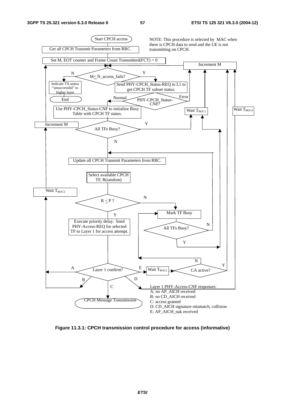

**Figure 11.3.1: CPCH transmission control procedure for access (informative)**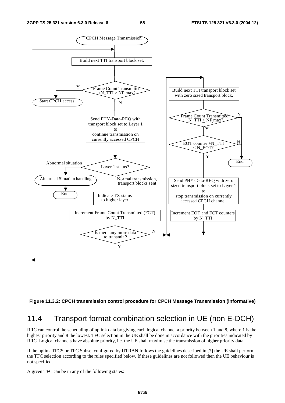

**Figure 11.3.2: CPCH transmission control procedure for CPCH Message Transmission (informative)** 

# 11.4 Transport format combination selection in UE (non E-DCH)

RRC can control the scheduling of uplink data by giving each logical channel a priority between 1 and 8, where 1 is the highest priority and 8 the lowest. TFC selection in the UE shall be done in accordance with the priorities indicated by RRC. Logical channels have absolute priority, i.e. the UE shall maximise the transmission of higher priority data.

If the uplink TFCS or TFC Subset configured by UTRAN follows the guidelines described in [7] the UE shall perform the TFC selection according to the rules specified below. If these guidelines are not followed then the UE behaviour is not specified.

A given TFC can be in any of the following states: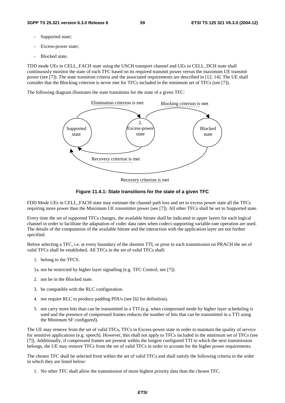- Supported state:
- Excess-power state;
- Blocked state.

TDD mode UEs in CELL\_FACH state using the USCH transport channel and UEs in CELL\_DCH state shall continuously monitor the state of each TFC based on its required transmit power versus the maximum UE transmit power (see [7]). The state transition criteria and the associated requirements are described in [12, 14]. The UE shall consider that the Blocking criterion is never met for TFCs included in the minimum set of TFCs (see [7]).

The following diagram illustrates the state transitions for the state of a given TFC:



Recovery criterion is met



FDD Mode UEs in CELL\_FACH state may estimate the channel path loss and set to excess power state all the TFCs requiring more power than the Maximum UE transmitter power (see [7]). All other TFCs shall be set to Supported state.

Every time the set of supported TFCs changes, the available bitrate shall be indicated to upper layers for each logical channel in order to facilitate the adaptation of codec data rates when codecs supporting variable-rate operation are used. The details of the computation of the available bitrate and the interaction with the application layer are not further specified.

Before selecting a TFC, i.e. at every boundary of the shortest TTI, or prior to each transmission on PRACH the set of valid TFCs shall be established. All TFCs in the set of valid TFCs shall:

- 1. belong to the TFCS.
- 1a. not be restricted by higher layer signalling (e.g. TFC Control, see [7]).
- 2. not be in the Blocked state.
- 3. be compatible with the RLC configuration.
- 4. not require RLC to produce padding PDUs (see [6] for definition).
- 5. not carry more bits than can be transmitted in a TTI (e.g. when compressed mode by higher layer scheduling is used and the presence of compressed frames reduces the number of bits that can be transmitted in a TTI using the Minimum SF configured).

The UE may remove from the set of valid TFCs, TFCs in Excess-power state in order to maintain the quality of service for sensitive applications (e.g. speech). However, this shall not apply to TFCs included in the minimum set of TFCs (see [7]). Additionally, if compressed frames are present within the longest configured TTI to which the next transmission belongs, the UE may remove TFCs from the set of valid TFCs in order to account for the higher power requirements.

The chosen TFC shall be selected from within the set of valid TFCs and shall satisfy the following criteria in the order in which they are listed below:

1. No other TFC shall allow the transmission of more highest priority data than the chosen TFC.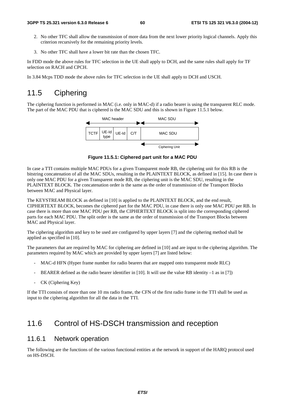- 2. No other TFC shall allow the transmission of more data from the next lower priority logical channels. Apply this criterion recursively for the remaining priority levels.
- 3. No other TFC shall have a lower bit rate than the chosen TFC.

In FDD mode the above rules for TFC selection in the UE shall apply to DCH, and the same rules shall apply for TF selection on RACH and CPCH.

In 3.84 Mcps TDD mode the above rules for TFC selection in the UE shall apply to DCH and USCH.

# 11.5 Ciphering

The ciphering function is performed in MAC (i.e. only in MAC-d) if a radio bearer is using the transparent RLC mode. The part of the MAC PDU that is ciphered is the MAC SDU and this is shown in Figure 11.5.1 below.



**Figure 11.5.1: Ciphered part unit for a MAC PDU** 

In case a TTI contains multiple MAC PDUs for a given Transparent mode RB, the ciphering unit for this RB is the bitstring concatenation of all the MAC SDUs, resulting in the PLAINTEXT BLOCK, as defined in [15]. In case there is only one MAC PDU for a given Transparent mode RB, the ciphering unit is the MAC SDU, resulting in the PLAINTEXT BLOCK. The concatenation order is the same as the order of transmission of the Transport Blocks between MAC and Physical layer.

The KEYSTREAM BLOCK as defined in [10] is applied to the PLAINTEXT BLOCK, and the end result, CIPHERTEXT BLOCK, becomes the ciphered part for the MAC PDU, in case there is only one MAC PDU per RB. In case there is more than one MAC PDU per RB, the CIPHERTEXT BLOCK is split into the corresponding ciphered parts for each MAC PDU. The split order is the same as the order of transmission of the Transport Blocks between MAC and Physical layer.

The ciphering algorithm and key to be used are configured by upper layers [7] and the ciphering method shall be applied as specified in [10].

The parameters that are required by MAC for ciphering are defined in [10] and are input to the ciphering algorithm. The parameters required by MAC which are provided by upper layers [7] are listed below:

- MAC-d HFN (Hyper frame number for radio bearers that are mapped onto transparent mode RLC)
- BEARER defined as the radio bearer identifier in [10]. It will use the value RB identity  $-1$  as in [7])
- CK (Ciphering Key)

If the TTI consists of more than one 10 ms radio frame, the CFN of the first radio frame in the TTI shall be used as input to the ciphering algorithm for all the data in the TTI.

# 11.6 Control of HS-DSCH transmission and reception

# 11.6.1 Network operation

The following are the functions of the various functional entities at the network in support of the HARQ protocol used on HS-DSCH.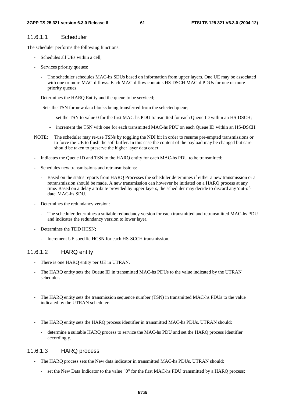# 11.6.1.1 Scheduler

The scheduler performs the following functions:

- Schedules all UEs within a cell:
- Services priority queues:
	- The scheduler schedules MAC-hs SDUs based on information from upper layers. One UE may be associated with one or more MAC-d flows. Each MAC-d flow contains HS-DSCH MAC-d PDUs for one or more priority queues.
- Determines the HARQ Entity and the queue to be serviced;
- Sets the TSN for new data blocks being transferred from the selected queue;
	- set the TSN to value 0 for the first MAC-hs PDU transmitted for each Queue ID within an HS-DSCH;
	- increment the TSN with one for each transmitted MAC-hs PDU on each Queue ID within an HS-DSCH.
- NOTE: The scheduler may re-use TSNs by toggling the NDI bit in order to resume pre-empted transmissions or to force the UE to flush the soft buffer. In this case the content of the payload may be changed but care should be taken to preserve the higher layer data order.
- Indicates the Queue ID and TSN to the HARQ entity for each MAC-hs PDU to be transmitted;
- Schedules new transmissions and retransmissions:
	- Based on the status reports from HARQ Processes the scheduler determines if either a new transmission or a retransmission should be made. A new transmission can however be initiated on a HARQ process at any time. Based on a delay attribute provided by upper layers, the scheduler may decide to discard any 'out-ofdate' MAC-hs SDU.
- Determines the redundancy version:
	- The scheduler determines a suitable redundancy version for each transmitted and retransmitted MAC-hs PDU and indicates the redundancy version to lower layer.
- Determines the TDD HCSN;
	- Increment UE specific HCSN for each HS-SCCH transmission.

### 11.6.1.2 HARQ entity

- There is one HARQ entity per UE in UTRAN.
- The HARQ entity sets the Queue ID in transmitted MAC-hs PDUs to the value indicated by the UTRAN scheduler.
- The HARQ entity sets the transmission sequence number (TSN) in transmitted MAC-hs PDUs to the value indicated by the UTRAN scheduler.
- The HARQ entity sets the HARQ process identifier in transmitted MAC-hs PDUs. UTRAN should:
	- determine a suitable HARQ process to service the MAC-hs PDU and set the HARQ process identifier accordingly.

### 11.6.1.3 HARQ process

- The HARQ process sets the New data indicator in transmitted MAC-hs PDUs. UTRAN should:
	- set the New Data Indicator to the value "0" for the first MAC-hs PDU transmitted by a HARQ process;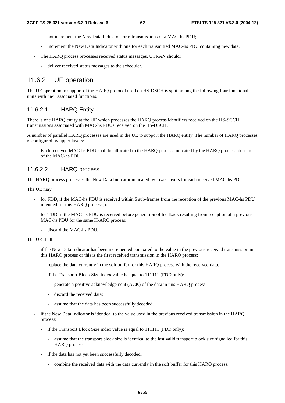- not increment the New Data Indicator for retransmissions of a MAC-hs PDU:
- increment the New Data Indicator with one for each transmitted MAC-hs PDU containing new data.
- The HARQ process processes received status messages. UTRAN should:
	- deliver received status messages to the scheduler.

# 11.6.2 UE operation

The UE operation in support of the HARQ protocol used on HS-DSCH is split among the following four functional units with their associated functions.

### 11.6.2.1 HARQ Entity

There is one HARQ entity at the UE which processes the HARQ process identifiers received on the HS-SCCH transmissions associated with MAC-hs PDUs received on the HS-DSCH.

A number of parallel HARQ processes are used in the UE to support the HARQ entity. The number of HARQ processes is configured by upper layers:

- Each received MAC-hs PDU shall be allocated to the HARQ process indicated by the HARQ process identifier of the MAC-hs PDU.

### 11.6.2.2 HARQ process

The HARQ process processes the New Data Indicator indicated by lower layers for each received MAC-hs PDU.

The UE may:

- for FDD, if the MAC-hs PDU is received within 5 sub-frames from the reception of the previous MAC-hs PDU intended for this HARQ process; or
- for TDD, if the MAC-hs PDU is received before generation of feedback resulting from reception of a previous MAC-hs PDU for the same H-ARQ process:
	- discard the MAC-hs PDU.

### The UE shall:

- if the New Data Indicator has been incremented compared to the value in the previous received transmission in this HARQ process or this is the first received transmission in the HARQ process:
	- replace the data currently in the soft buffer for this HARQ process with the received data.
	- if the Transport Block Size index value is equal to 111111 (FDD only):
		- generate a positive acknowledgement (ACK) of the data in this HARQ process;
		- discard the received data;
		- assume that the data has been successfully decoded.
- if the New Data Indicator is identical to the value used in the previous received transmission in the HARQ process:
	- if the Transport Block Size index value is equal to 111111 (FDD only):
		- assume that the transport block size is identical to the last valid transport block size signalled for this HARQ process.
	- if the data has not yet been successfully decoded:
		- combine the received data with the data currently in the soft buffer for this HARQ process.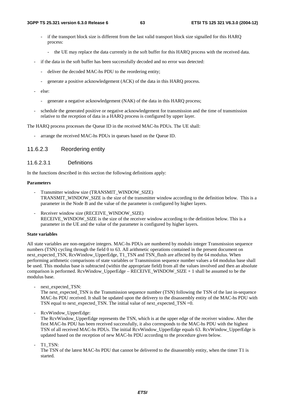- if the transport block size is different from the last valid transport block size signalled for this HARO process:
	- the UE may replace the data currently in the soft buffer for this HARQ process with the received data.
- if the data in the soft buffer has been successfully decoded and no error was detected:
	- deliver the decoded MAC-hs PDU to the reordering entity;
	- generate a positive acknowledgement (ACK) of the data in this HARQ process.
- else:
	- generate a negative acknowledgement (NAK) of the data in this HARQ process;
- schedule the generated positive or negative acknowledgement for transmission and the time of transmission relative to the reception of data in a HARQ process is configured by upper layer.

The HARQ process processes the Queue ID in the received MAC-hs PDUs. The UE shall:

- arrange the received MAC-hs PDUs in queues based on the Queue ID.

### 11.6.2.3 Reordering entity

#### 11.6.2.3.1 Definitions

In the functions described in this section the following definitions apply:

#### **Parameters**

- Transmitter window size (TRANSMIT\_WINDOW\_SIZE) TRANSMIT\_WINDOW\_SIZE is the size of the transmitter window according to the definition below. This is a parameter in the Node B and the value of the parameter is configured by higher layers.
- Receiver window size (RECEIVE\_WINDOW\_SIZE) RECEIVE\_WINDOW\_SIZE is the size of the receiver window according to the definition below. This is a parameter in the UE and the value of the parameter is configured by higher layers.

#### **State variables**

All state variables are non-negative integers. MAC-hs PDUs are numbered by modulo integer Transmission sequence numbers (TSN) cycling through the field 0 to 63. All arithmetic operations contained in the present document on next\_expected\_TSN, RcvWindow\_UpperEdge, T1\_TSN and TSN\_flush are affected by the 64 modulus. When performing arithmetic comparisons of state variables or Transmission sequence number values a 64 modulus base shall be used. This modulus base is subtracted (within the appropriate field) from all the values involved and then an absolute comparison is performed. RcvWindow UpperEdge – RECEIVE WINDOW  $SIZE + 1$  shall be assumed to be the modulus base.

next\_expected\_TSN:

The next expected TSN is the Transmission sequence number (TSN) following the TSN of the last in-sequence MAC-hs PDU received. It shall be updated upon the delivery to the disassembly entity of the MAC-hs PDU with TSN equal to next\_expected\_TSN. The initial value of next\_expected\_TSN =0.

RcvWindow UpperEdge:

The RcvWindow\_UpperEdge represents the TSN, which is at the upper edge of the receiver window. After the first MAC-hs PDU has been received successfully, it also corresponds to the MAC-hs PDU with the highest TSN of all received MAC-hs PDUs. The initial RcvWindow\_UpperEdge equals 63. RcvWindow\_UpperEdge is updated based on the reception of new MAC-hs PDU according to the procedure given below.

T1\_TSN:

The TSN of the latest MAC-hs PDU that cannot be delivered to the disassembly entity, when the timer T1 is started.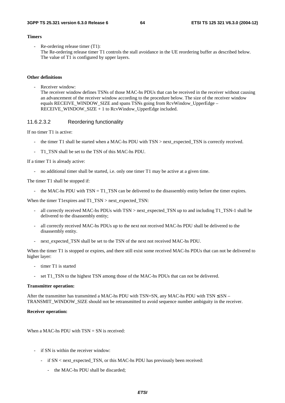#### **Timers**

 $Re$ -ordering release timer  $(T1)$ : The Re-ordering release timer T1 controls the stall avoidance in the UE reordering buffer as described below. The value of T1 is configured by upper layers.

### **Other definitions**

Receiver window: The receiver window defines TSNs of those MAC-hs PDUs that can be received in the receiver without causing an advancement of the receiver window according to the procedure below. The size of the receiver window equals RECEIVE\_WINDOW\_SIZE and spans TSNs going from RcvWindow\_UpperEdge – RECEIVE\_WINDOW\_SIZE + 1 to RcvWindow\_UpperEdge included.

#### 11.6.2.3.2 Reordering functionality

If no timer T1 is active:

- the timer T1 shall be started when a MAC-hs PDU with TSN > next\_expected\_TSN is correctly received.
- T1\_TSN shall be set to the TSN of this MAC-hs PDU.

If a timer T1 is already active:

- no additional timer shall be started, i.e. only one timer T1 may be active at a given time.

#### The timer T1 shall be stopped if:

- the MAC-hs PDU with  $TSN = T1_TSN$  can be delivered to the disassembly entity before the timer expires.

When the timer T1expires and T1\_TSN > next\_expected\_TSN:

- all correctly received MAC-hs PDUs with TSN > next\_expected\_TSN up to and including T1\_TSN-1 shall be delivered to the disassembly entity;
- all correctly received MAC-hs PDUs up to the next not received MAC-hs PDU shall be delivered to the disassembly entity.
- next expected TSN shall be set to the TSN of the next not received MAC-hs PDU.

When the timer T1 is stopped or expires, and there still exist some received MAC-hs PDUs that can not be delivered to higher layer:

- timer T1 is started
- set T1\_TSN to the highest TSN among those of the MAC-hs PDUs that can not be delivered.

#### **Transmitter operation:**

After the transmitter has transmitted a MAC-hs PDU with TSN=SN, any MAC-hs PDU with TSN  $\leq$  SN – TRANSMIT\_WINDOW\_SIZE should not be retransmitted to avoid sequence number ambiguity in the receiver.

#### **Receiver operation:**

When a MAC-hs PDU with  $TSN = SN$  is received:

- if SN is within the receiver window:
	- if SN < next\_expected\_TSN, or this MAC-hs PDU has previously been received:
		- the MAC-hs PDU shall be discarded;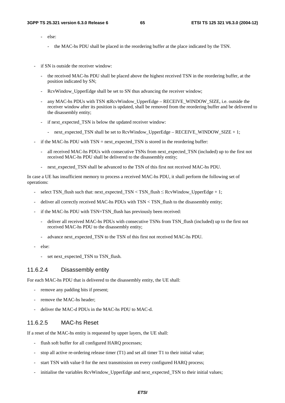- else:
	- the MAC-hs PDU shall be placed in the reordering buffer at the place indicated by the TSN.
- if SN is outside the receiver window:
	- the received MAC-hs PDU shall be placed above the highest received TSN in the reordering buffer, at the position indicated by SN;
	- RcvWindow\_UpperEdge shall be set to SN thus advancing the receiver window;
	- any MAC-hs PDUs with TSN ≤ RcvWindow\_UpperEdge RECEIVE\_WINDOW\_SIZE, i.e. outside the receiver window after its position is updated, shall be removed from the reordering buffer and be delivered to the disassembly entity;
	- if next\_expected\_TSN is below the updated receiver window:
		- next expected TSN shall be set to RcvWindow UpperEdge RECEIVE WINDOW SIZE  $+ 1$ ;
- if the MAC-hs PDU with  $TSN = \text{next\_expected\_TSN}$  is stored in the reordering buffer:
	- all received MAC-hs PDUs with consecutive TSNs from next expected TSN (included) up to the first not received MAC-hs PDU shall be delivered to the disassembly entity;
	- next expected TSN shall be advanced to the TSN of this first not received MAC-hs PDU.

In case a UE has insufficient memory to process a received MAC-hs PDU, it shall perform the following set of operations:

- select TSN\_flush such that: next\_expected\_TSN < TSN\_flush  $\leq$  RcvWindow\_UpperEdge + 1;
- deliver all correctly received MAC-hs PDUs with TSN < TSN\_flush to the disassembly entity;
- if the MAC-hs PDU with TSN=TSN flush has previously been received:
	- deliver all received MAC-hs PDUs with consecutive TSNs from TSN flush (included) up to the first not received MAC-hs PDU to the disassembly entity;
	- advance next expected TSN to the TSN of this first not received MAC-hs PDU.
- else:
	- set next\_expected\_TSN to TSN\_flush.

### 11.6.2.4 Disassembly entity

For each MAC-hs PDU that is delivered to the disassembly entity, the UE shall:

- remove any padding bits if present;
- remove the MAC-hs header;
- deliver the MAC-d PDUs in the MAC-hs PDU to MAC-d.

### 11.6.2.5 MAC-hs Reset

If a reset of the MAC-hs entity is requested by upper layers, the UE shall:

- flush soft buffer for all configured HARQ processes;
- stop all active re-ordering release timer  $(T1)$  and set all timer T1 to their initial value;
- start TSN with value 0 for the next transmission on every configured HARQ process;
- initialise the variables RcvWindow\_UpperEdge and next\_expected\_TSN to their initial values;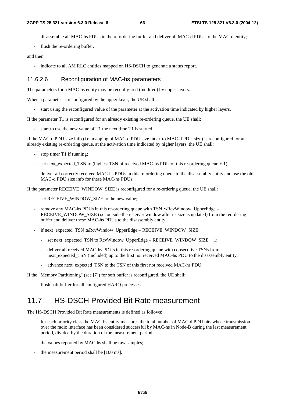- disassemble all MAC-hs PDUs in the re-ordering buffer and deliver all MAC-d PDUs to the MAC-d entity;
- flush the re-ordering buffer.

#### and then:

indicate to all AM RLC entities mapped on HS-DSCH to generate a status report.

### 11.6.2.6 Reconfiguration of MAC-hs parameters

The parameters for a MAC-hs entity may be reconfigured (modifed) by upper layers.

When a parameter is reconfigured by the upper layer, the UE shall:

start using the reconfigured value of the parameter at the activation time indicated by higher layers.

If the parameter T1 is reconfigured for an already existing re-ordering queue, the UE shall:

start to use the new value of T1 the next time T1 is started.

If the MAC-d PDU size info (i.e. mapping of MAC-d PDU size index to MAC-d PDU size) is reconfigured for an already existing re-ordering queue, at the activation time indicated by higher layers, the UE shall:

- stop timer T1 if running;
- set next\_expected\_TSN to (highest TSN of received MAC-hs PDU of this re-ordering queue + 1);
- deliver all correctly received MAC-hs PDUs in this re-ordering queue to the disassembly entity and use the old MAC-d PDU size info for these MAC-hs PDUs.

If the parameter RECEIVE\_WINDOW\_SIZE is reconfigured for a re-ordering queue, the UE shall:

- set RECEIVE\_WINDOW\_SIZE to the new value:
- remove any MAC-hs PDUs in this re-ordering queue with  $TSN \leq RcvWindow\_UpperEdge$ RECEIVE\_WINDOW\_SIZE (i.e. outside the receiver window after its size is updated) from the reordering buffer and deliver these MAC-hs PDUs to the disassembly entity;
- if next\_expected\_TSN ≤ RcvWindow\_UpperEdge RECEIVE\_WINDOW\_SIZE:
	- set next\_expected\_TSN to RcvWindow\_UpperEdge RECEIVE\_WINDOW\_SIZE + 1;
	- deliver all received MAC-hs PDUs in this re-ordering queue with consecutive TSNs from next expected TSN (included) up to the first not received MAC-hs PDU to the disassembly entity;
	- advance next expected TSN to the TSN of this first not received MAC-hs PDU.

If the "Memory Partitioning" (see [7]) for soft buffer is reconfigured, the UE shall:

- flush soft buffer for all configured HARQ processes.

# 11.7 HS-DSCH Provided Bit Rate measurement

The HS-DSCH Provided Bit Rate measurements is defined as follows:

- for each priority class the MAC-hs entity measures the total number of MAC-d PDU bits whose transmission over the radio interface has been considered successful by MAC-hs in Node-B during the last measurement period, divided by the duration of the measurement period;
- the values reported by MAC-hs shall be raw samples;
- the measurement period shall be [100 ms].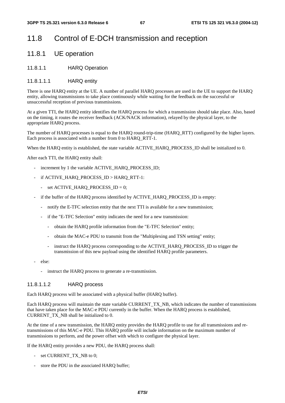# 11.8 Control of E-DCH transmission and reception

# 11.8.1 UE operation

### 11.8.1.1 HARQ Operation

### 11.8.1.1.1 HARQ entity

There is one HARQ entity at the UE. A number of parallel HARQ processes are used in the UE to support the HARQ entity, allowing transmissions to take place continuously while waiting for the feedback on the successful or unsuccessful reception of previous transmissions.

At a given TTI, the HARQ entity identifies the HARQ process for which a transmission should take place. Also, based on the timing, it routes the receiver feedback (ACK/NACK information), relayed by the physical layer, to the appropriate HARQ process.

The number of HARQ processes is equal to the HARQ round-trip-time (HARQ\_RTT) configured by the higher layers. Each process is associated with a number from 0 to HARQ\_RTT-1.

When the HARQ entity is established, the state variable ACTIVE\_HARQ\_PROCESS\_ID shall be initialized to 0.

After each TTI, the HARQ entity shall:

- increment by 1 the variable ACTIVE\_HARQ\_PROCESS\_ID;
- if ACTIVE\_HARQ\_PROCESS\_ID > HARQ\_RTT-1:
	- set  $ACTIVE_HARQ_PROCESS_ID = 0;$
- if the buffer of the HARQ process identified by ACTIVE\_HARQ\_PROCESS\_ID is empty:
	- notify the E-TFC selection entity that the next TTI is available for a new transmission;
	- if the "E-TFC Selection" entity indicates the need for a new transmission:
		- obtain the HARQ profile information from the "E-TFC Selection" entity;
		- obtain the MAC-e PDU to transmit from the "Multiplexing and TSN setting" entity;
		- instruct the HARQ process corresponding to the ACTIVE\_HARQ\_PROCESS\_ID to trigger the transmission of this new payload using the identified HARQ profile parameters.
- else:
	- instruct the HARO process to generate a re-transmission.

### 11.8.1.1.2 HARQ process

Each HARQ process will be associated with a physical buffer (HARQ buffer).

Each HARQ process will maintain the state variable CURRENT\_TX\_NB, which indicates the number of transmissions that have taken place for the MAC-e PDU currently in the buffer. When the HARQ process is established, CURRENT\_TX\_NB shall be initialized to 0.

At the time of a new transmission, the HARQ entity provides the HARQ profile to use for all transmissions and retransmissions of this MAC-e PDU. This HARQ profile will include information on the maximum number of transmissions to perform, and the power offset with which to configure the physical layer.

If the HARQ entity provides a new PDU, the HARQ process shall:

- set CURRENT\_TX\_NB to 0;
- store the PDU in the associated HARQ buffer;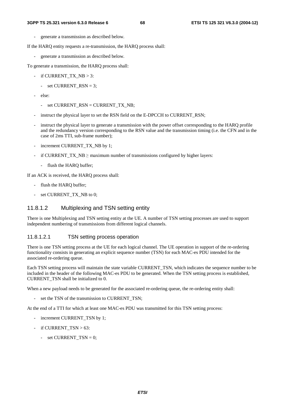- generate a transmission as described below.

If the HARQ entity requests a re-transmission, the HARQ process shall:

- generate a transmission as described below.

To generate a transmission, the HARQ process shall:

- if CURRENT\_TX\_NB > 3:
	- set CURRENT  $RSN = 3$ ;
- else:
	- set CURRENT\_RSN = CURRENT\_TX\_NB;
- instruct the physical layer to set the RSN field on the E-DPCCH to CURRENT RSN;
- instruct the physical layer to generate a transmission with the power offset corresponding to the HARQ profile and the redundancy version corresponding to the RSN value and the transmission timing (i.e. the CFN and in the case of 2ms TTI, sub-frame number);
- increment CURRENT TX NB by 1;
- if CURRENT\_TX\_NB  $\geq$  maximum number of transmissions configured by higher layers:
	- flush the HARQ buffer;

If an ACK is received, the HARQ process shall:

- flush the HARQ buffer;
- set CURRENT\_TX\_NB to 0;

# 11.8.1.2 Multiplexing and TSN setting entity

There is one Multiplexing and TSN setting entity at the UE. A number of TSN setting processes are used to support independent numbering of transmissions from different logical channels.

### 11.8.1.2.1 TSN setting process operation

There is one TSN setting process at the UE for each logical channel. The UE operation in support of the re-ordering functionality consists in generating an explicit sequence number (TSN) for each MAC-es PDU intended for the associated re-ordering queue.

Each TSN setting process will maintain the state variable CURRENT\_TSN, which indicates the sequence number to be included in the header of the following MAC-es PDU to be generated. When the TSN setting process is established, CURRENT\_TSN shall be initialized to 0.

When a new payload needs to be generated for the associated re-ordering queue, the re-ordering entity shall:

- set the TSN of the transmission to CURRENT TSN;

At the end of a TTI for which at least one MAC-es PDU was transmitted for this TSN setting process:

- increment CURRENT TSN by 1;
- if CURRENT  $TSN > 63$ :
	- set  $\text{CURRENT\_TSN} = 0$ ;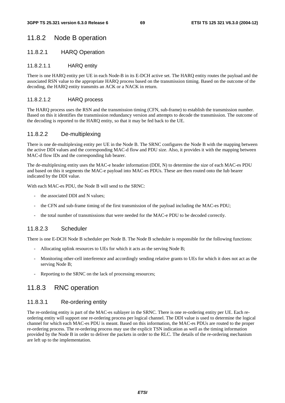# 11.8.2 Node B operation

### 11.8.2.1 HARQ Operation

### 11.8.2.1.1 HARQ entity

There is one HARQ entity per UE in each Node-B in its E-DCH active set. The HARQ entity routes the payload and the associated RSN value to the appropriate HARQ process based on the transmission timing. Based on the outcome of the decoding, the HARQ entity transmits an ACK or a NACK in return.

### 11.8.2.1.2 HARQ process

The HARQ process uses the RSN and the transmission timing (CFN, sub-frame) to establish the transmission number. Based on this it identifies the transmission redundancy version and attempts to decode the transmission. The outcome of the decoding is reported to the HARQ entity, so that it may be fed back to the UE.

### 11.8.2.2 De-multiplexing

There is one de-multiplexing entity per UE in the Node B. The SRNC configures the Node B with the mapping between the active DDI values and the corresponding MAC-d flow and PDU size. Also, it provides it with the mapping between MAC-d flow IDs and the corresponding Iub bearer.

The de-multiplexing entity uses the MAC-e header information (DDI, N) to determine the size of each MAC-es PDU and based on this it segments the MAC-e payload into MAC-es PDUs. These are then routed onto the Iub bearer indicated by the DDI value.

With each MAC-es PDU, the Node B will send to the SRNC:

- the associated DDI and N values;
- the CFN and sub-frame timing of the first transmission of the payload including the MAC-es PDU;
- the total number of transmissions that were needed for the MAC-e PDU to be decoded correctly.

## 11.8.2.3 Scheduler

There is one E-DCH Node B scheduler per Node B. The Node B scheduler is responsible for the following functions:

- Allocating uplink resources to UEs for which it acts as the serving Node B;
- Monitoring other-cell interference and accordingly sending relative grants to UEs for which it does not act as the serving Node B;
- Reporting to the SRNC on the lack of processing resources;

# 11.8.3 RNC operation

### 11.8.3.1 Re-ordering entity

The re-ordering entity is part of the MAC-es sublayer in the SRNC. There is one re-ordering entity per UE. Each reordering entity will support one re-ordering process per logical channel. The DDI value is used to determine the logical channel for which each MAC-es PDU is meant. Based on this information, the MAC-es PDUs are routed to the proper re-ordering process. The re-ordering process may use the explicit TSN indication as well as the timing information provided by the Node B in order to deliver the packets in order to the RLC. The details of the re-ordering mechanism are left up to the implementation.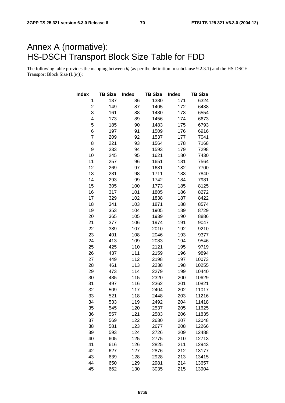# Annex A (normative): HS-DSCH Transport Block Size Table for FDD

The following table provides the mapping between  $k_t$  (as per the definition in subclause 9.2.3.1) and the HS-DSCH Transport Block Size  $(L(k<sub>t</sub>))$ :

| Index          | <b>TB Size</b> | <b>Index</b> | <b>TB Size</b> | <b>Index</b> | <b>TB Size</b> |
|----------------|----------------|--------------|----------------|--------------|----------------|
| 1              | 137            | 86           | 1380           | 171          | 6324           |
| 2              | 149            | 87           | 1405           | 172          | 6438           |
| 3              | 161            | 88           | 1430           | 173          | 6554           |
| 4              | 173            | 89           | 1456           | 174          | 6673           |
| 5              | 185            | 90           | 1483           | 175          | 6793           |
| 6              | 197            | 91           | 1509           | 176          | 6916           |
| $\overline{7}$ | 209            | 92           | 1537           | 177          | 7041           |
| 8              | 221            | 93           | 1564           | 178          | 7168           |
| 9              | 233            | 94           | 1593           | 179          | 7298           |
| 10             | 245            | 95           | 1621           | 180          | 7430           |
| 11             | 257            | 96           | 1651           | 181          | 7564           |
| 12             | 269            | 97           | 1681           | 182          | 7700           |
| 13             | 281            | 98           | 1711           | 183          | 7840           |
| 14             | 293            | 99           | 1742           | 184          | 7981           |
| 15             | 305            | 100          | 1773           | 185          | 8125           |
| 16             | 317            | 101          | 1805           | 186          | 8272           |
| 17             | 329            | 102          | 1838           | 187          | 8422           |
| 18             | 341            | 103          | 1871           | 188          | 8574           |
| 19             | 353            | 104          | 1905           | 189          | 8729           |
| 20             | 365            | 105          | 1939           | 190          | 8886           |
| 21             | 377            | 106          | 1974           | 191          | 9047           |
| 22             | 389            | 107          | 2010           | 192          | 9210           |
| 23             | 401            | 108          | 2046           | 193          | 9377           |
| 24             | 413            | 109          | 2083           | 194          | 9546           |
| 25             | 425            | 110          | 2121           | 195          | 9719           |
| 26             | 437            | 111          | 2159           | 196          | 9894           |
| 27             | 449            | 112          | 2198           | 197          | 10073          |
| 28             | 461            | 113          | 2238           | 198          | 10255          |
| 29             | 473            | 114          | 2279           | 199          | 10440          |
| 30             | 485            | 115          | 2320           | 200          | 10629          |
| 31             | 497            | 116          | 2362           | 201          | 10821          |
| 32             | 509            | 117          | 2404           | 202          | 11017          |
| 33             | 521            | 118          | 2448           | 203          | 11216          |
| 34             | 533            | 119          | 2492           | 204          | 11418          |
| 35             | 545            | 120          | 2537           | 205          | 11625          |
| 36             | 557            | 121          | 2583           | 206          | 11835          |
| 37             | 569            | 122          | 2630           | 207          | 12048          |
| 38             | 581            | 123          | 2677           | 208          | 12266          |
| 39             | 593            | 124          | 2726           | 209          | 12488          |
| 40             | 605            | 125          | 2775           | 210          | 12713          |
| 41             | 616            | 126          | 2825           | 211          | 12943          |
| 42             | 627            | 127          | 2876           | 212          | 13177          |
| 43             | 639            | 128          | 2928           | 213          | 13415          |
| 44             | 650            | 129          | 2981           | 214          | 13657          |
| 45             | 662            | 130          | 3035           | 215          | 13904          |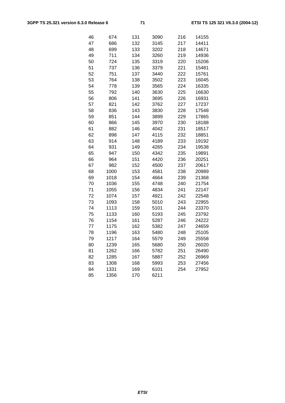| 46 | 674  | 131 | 3090 | 216 | 14155 |
|----|------|-----|------|-----|-------|
| 47 | 686  | 132 | 3145 | 217 | 14411 |
| 48 | 699  | 133 | 3202 | 218 | 14671 |
| 49 | 711  | 134 | 3260 | 219 | 14936 |
| 50 | 724  | 135 | 3319 | 220 | 15206 |
| 51 | 737  | 136 | 3379 | 221 | 15481 |
| 52 | 751  | 137 | 3440 | 222 | 15761 |
| 53 | 764  | 138 | 3502 | 223 | 16045 |
| 54 | 778  | 139 | 3565 | 224 | 16335 |
| 55 | 792  | 140 | 3630 | 225 | 16630 |
| 56 | 806  | 141 | 3695 | 226 | 16931 |
| 57 | 821  | 142 | 3762 | 227 | 17237 |
| 58 | 836  | 143 | 3830 | 228 | 17548 |
| 59 | 851  | 144 | 3899 | 229 | 17865 |
| 60 | 866  | 145 | 3970 | 230 | 18188 |
| 61 | 882  | 146 | 4042 | 231 | 18517 |
| 62 | 898  | 147 | 4115 | 232 | 18851 |
| 63 | 914  | 148 | 4189 | 233 | 19192 |
| 64 | 931  | 149 | 4265 | 234 | 19538 |
| 65 | 947  | 150 | 4342 | 235 | 19891 |
| 66 | 964  | 151 | 4420 | 236 | 20251 |
| 67 | 982  | 152 | 4500 | 237 | 20617 |
| 68 | 1000 | 153 | 4581 | 238 | 20989 |
| 69 | 1018 | 154 | 4664 | 239 | 21368 |
| 70 | 1036 | 155 | 4748 | 240 | 21754 |
| 71 | 1055 | 156 | 4834 | 241 | 22147 |
| 72 | 1074 | 157 | 4921 | 242 | 22548 |
| 73 | 1093 | 158 | 5010 | 243 | 22955 |
| 74 | 1113 | 159 | 5101 | 244 | 23370 |
| 75 | 1133 | 160 | 5193 | 245 | 23792 |
| 76 | 1154 | 161 | 5287 | 246 | 24222 |
| 77 | 1175 | 162 | 5382 | 247 | 24659 |
| 78 | 1196 | 163 | 5480 | 248 | 25105 |
| 79 | 1217 | 164 | 5579 | 249 | 25558 |
| 80 | 1239 | 165 | 5680 | 250 | 26020 |
| 81 | 1262 | 166 | 5782 | 251 | 26490 |
| 82 | 1285 | 167 | 5887 | 252 | 26969 |
| 83 | 1308 | 168 | 5993 | 253 | 27456 |
| 84 | 1331 | 169 | 6101 | 254 | 27952 |
| 85 | 1356 | 170 | 6211 |     |       |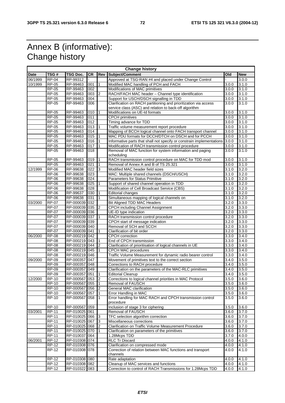## Annex B (informative): Change history

|             | <b>Change history</b> |                 |                  |                |                                                                         |       |                    |
|-------------|-----------------------|-----------------|------------------|----------------|-------------------------------------------------------------------------|-------|--------------------|
| <b>Date</b> | TSG#                  | <b>TSG Doc.</b> | <b>CR</b>        | Rev            | Subject/Comment                                                         | Old   | <b>New</b>         |
| 06/1999     | <b>RP-04</b>          | RP-99312        |                  |                | Approved at TSG-RAN #4 and placed under Change Control                  |       | 3.0.0              |
| 10/1999     | <b>RP-05</b>          | RP-99463        | 001              |                | Modified MAC handling of PCH and FACH                                   | 3.0.0 | 3.1.0              |
|             | <b>RP-05</b>          | RP-99463        | 002              |                | Modifications of MAC primitives                                         | 3.0.0 | 3.1.0              |
|             | <b>RP-05</b>          | RP-99463        | 003              | $\overline{c}$ | RACH/FACH MAC header - Channel type identification                      | 3.0.0 | 3.1.0              |
|             | <b>RP-05</b>          | RP-99463        | 004              |                | Support for USCH/DSCH signalling in TDD                                 | 3.0.0 | 3.1.0              |
|             | <b>RP-05</b>          | RP-99463        | 006              |                | Clarification on RACH partitioning and prioritization via access        | 3.0.0 | 3.1.0              |
|             |                       |                 |                  |                | service class (ASC) and relation to back-off algorithm                  |       |                    |
|             | <b>RP-05</b>          | RP-99463        | 010              |                | Modifications on UE-Id formats                                          | 3.0.0 | 3.1.0              |
|             | $RP-05$               | RP-99463        | 011              |                | <b>CPCH</b> primitives                                                  | 3.0.0 | 3.1.0              |
|             | $RP-05$               | RP-99463        | 012              |                | Timing advance for TDD                                                  | 3.0.0 | 3.1.0              |
|             | <b>RP-05</b>          | RP-99463        | 013              |                |                                                                         | 3.0.0 | $3.1.\overline{0}$ |
|             | $RP-05$               |                 | 014              |                | Traffic volume measurement report procedure                             | 3.0.0 | 3.1.0              |
|             |                       | RP-99463        |                  |                | Mapping of BCCH logical channel onto FACH transport channel             |       |                    |
|             | <b>RP-05</b>          | RP-99463        | 015              |                | MAC PDU formats for DCCH/DTCH on DSCH and for PCCH                      | 3.0.0 | 3.1.0              |
|             | <b>RP-05</b>          | RP-99463        | 016              |                | Informative parts that shall not specify or constrain implementations   | 3.0.0 | 3.1.0              |
|             | <b>RP-05</b>          | RP-99463        | 017              |                | Modification of RACH transmission control procedure                     | 3.0.0 | 3.1.0              |
|             | <b>RP-05</b>          | RP-99463        | 018              |                | Removal of MAC function for system information and paging<br>scheduling | 3.0.0 | 3.1.0              |
|             | <b>RP-05</b>          | RP-99463        | 019              |                | RACH transmission control procedure on MAC for TDD mod                  | 3.0.0 | 3.1.0              |
|             | <b>RP-05</b>          | RP-99463        | 021              |                | Removal of Annex A and B of TS 25.321                                   | 3.0.0 | 3.1.0              |
| 12/1999     | <b>RP-06</b>          | RP-99638        | $\overline{022}$ | 3              | Modified MAC header field sizes                                         | 3.1.0 | 3.2.0              |
|             | <b>RP-06</b>          | RP-99638        | 023              |                | MAC: Multiple shared channels (DSCH/USCH)                               | 3.1.0 | 3.2.0              |
|             | <b>RP-06</b>          | RP-99638        | 024              |                | Parameters for Status Primitive                                         | 3.1.0 | 3.2.0              |
|             | <b>RP-06</b>          | RP-99638        | $\overline{025}$ |                | Support of shared channel operation in TDD                              | 3.1.0 | 3.2.0              |
|             | <b>RP-06</b>          | RP-99638        | 028              |                | Modification of Cell Broadcast Service (CBS)                            | 3.1.0 | 3.2.0              |
|             | RP-06                 | RP-99637        | 030              |                | <b>Editorial changes</b>                                                | 3.1.0 | 3.2.0              |
|             | <b>RP-06</b>          | RP-99638        | 031              |                | Simultaneous mapping of logical channels on                             | 3.1.0 | 3.2.0              |
| 03/2000     | <b>RP-07</b>          | RP-000039       | 032              |                | <b>Bit Aligned TDD MAC Headers</b>                                      | 3.2.0 | 3.3.0              |
|             | <b>RP-07</b>          | RP-000039 035   |                  | $\overline{2}$ |                                                                         | 3.2.0 |                    |
|             |                       |                 |                  |                | CPCH including Channel Assignment                                       |       | 3.3.0              |
|             | <b>RP-07</b>          | RP-000039 036   |                  |                | UE-ID type indication                                                   | 3.2.0 | 3.3.0              |
|             | <b>RP-07</b>          | RP-000039 037   |                  |                | RACH transmission control procedure                                     | 3.2.0 | 3.3.0              |
|             | <b>RP-07</b>          | RP-000039 039   |                  |                | CPCH start of message indication                                        | 3.2.0 | 3.3.0              |
|             | <b>RP-07</b>          | RP-000039 040   |                  |                | Removal of SCH and SCCH                                                 | 3.2.0 | 3.3.0              |
|             | <b>RP-07</b>          | RP-000039 041   |                  |                | Clarification of bit order                                              | 3.2.0 | 3.3.0              |
| 06/2000     | <b>RP-08</b>          | RP-000219 042   |                  |                | <b>CPCH</b> correction                                                  | 3.3.0 | 3.4.0              |
|             | <b>RP-08</b>          | RP-000219 043   |                  |                | End of CPCH transmission                                                | 3.3.0 | 3.4.0              |
|             | <b>RP-08</b>          | RP-000219 044   |                  | 2              | Clarification of prioritisation of logical channels in UE               | 3.3.0 | 3.4.0              |
|             | <b>RP-08</b>          | RP-000219 045   |                  |                | CPCH MAC procedures                                                     | 3.3.0 | 3.4.0              |
|             | <b>RP-08</b>          | RP-000219 046   |                  |                | Traffic Volume Measurement for dynamic radio bearer control             | 3.3.0 | 3.4.0              |
| 09/2000     | <b>RP-09</b>          | RP-000357       | 047              |                | Movement of primitives text to the correct section                      | 3.4.0 | 3.5.0              |
|             | <b>RP-09</b>          | RP-000357       | 048              |                | Corrections to RACH procedure                                           | 3.4.0 | 3.5.0              |
|             | <b>RP-09</b>          | RP-000357       | 049              |                | Clarification on the parameters of the MAC-RLC primitives               | 3.4.0 | 3.5.0              |
|             | <b>RP-09</b>          | RP-000357       | 051              |                | <b>Editorial Cleanup</b>                                                | 3.4.0 | 3.5.0              |
| 12/2000     | <b>RP-10</b>          | RP-000567       | 053              | 2              | Corrections to logical channel priorities in MAC Protocol               | 3.5.0 | 3.6.0              |
|             | RP-10                 | RP-000567 055   |                  |                | Removal of FAUSCH                                                       | 3.5.0 | 3.6.0              |
|             | <b>RP-10</b>          | RP-000567 056   |                  | $\overline{c}$ | General MAC clarification                                               | 3.5.0 | 3.6.0              |
|             | <b>RP-10</b>          | RP-000567 057   |                  | $\mathbf{1}$   | Error Handling in MAC                                                   | 3.5.0 | 3.6.0              |
|             | <b>RP-10</b>          | RP-000567 058   |                  | 1              | Error handling for MAC RACH and CPCH transmission control<br>procedure  | 3.5.0 | 3.6.0              |
|             | $RP-10$               | RP-000567 059   |                  |                | Inclusion of stage 3 for ciphering                                      | 3.5.0 | 3.6.0              |
| 03/2001     | <b>RP-11</b>          | RP-010025 061   |                  |                | Removal of FAUSCH                                                       | 3.6.0 | 3.7.0              |
|             | <b>RP-11</b>          | RP-010025 066   |                  | 3              | TFC selection algorithm correction                                      | 3.6.0 | 3.7.0              |
|             | $RP-11$               | RP-010025 067   |                  | 3              | Miscellaneous corrections                                               | 3.6.0 | 3.7.0              |
|             | <b>RP-11</b>          | RP-010025 068   |                  | $\overline{2}$ | Clarification on Traffic Volume Measurement Procedure                   | 3.6.0 | 3.7.0              |
|             | <b>RP-11</b>          | RP-010025 070   |                  |                | Clarification on parameters of the primitives                           | 3.6.0 | 3.7.0              |
|             | <b>RP-11</b>          | RP-010037 064   |                  |                | 1.28Mcps TDD                                                            | 3.7.0 | 4.0.0              |
| 06/2001     | <b>RP-12</b>          | RP-010308 074   |                  |                | <b>RLC Tr Discard</b>                                                   | 4.0.0 | 4.1.0              |
|             | <b>RP-12</b>          | RP-010308 076   |                  |                | Clarification on compressed mode                                        | 4.0.0 | 4.1.0              |
|             | <b>RP-12</b>          | RP-010308 078   |                  |                | Correction of relation between MAC functions and transport              | 4.0.0 | 4.1.0              |
|             |                       |                 |                  |                | channels                                                                |       |                    |
|             | $RP-12$               | RP-010308 080   |                  |                | Rate adaptation                                                         | 4.0.0 | 4.1.0              |
|             | <b>RP-12</b>          | RP-010308 082   |                  |                | Cleanup of MAC services and functions                                   | 4.0.0 | 4.1.0              |
|             | <b>RP-12</b>          | RP-010322 083   |                  |                | Correction to control of RACH Transmissions for 1.28Mcps TDD            | 4.0.0 | 4.1.0              |
|             |                       |                 |                  |                |                                                                         |       |                    |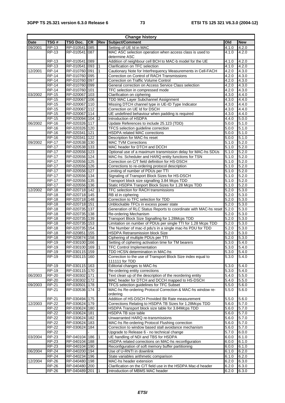| <b>Change history</b> |                              |                                |           |                |                                                                        |                |                    |
|-----------------------|------------------------------|--------------------------------|-----------|----------------|------------------------------------------------------------------------|----------------|--------------------|
| <b>Date</b>           | TSG#                         | <b>TSG Doc.</b>                | <b>CR</b> | Rev            | Subject/Comment                                                        | Old            | <b>New</b>         |
| 09/2001               | <b>RP-13</b>                 | RP-010541                      | 085       |                | Setting of UE Id in MAC                                                | 4.1.0          | 4.2.0              |
|                       | $RP-13$                      | RP-010541                      | 087       |                | MAC ASC selection operation when access class is used to               | 4.1.0          | 4.2.0              |
|                       |                              |                                |           |                | determine ASC                                                          |                |                    |
|                       | $RP-13$                      | RP-010541                      | 089       |                | Addition of neighbour cell BCH to MAC-b model for the UE               | 4.1.0          | 4.2.0              |
|                       | <b>RP-13</b>                 | RP-010541                      | 093       |                | Clarification on TFC selection                                         | 4.1.0          | 4.2.0              |
| 12/2001               | <b>RP-14</b>                 | RP-010760 091                  |           | 1              | Cautionary Note for Interfrequency Measurements in Cell-FACH           | 4.2.0          | 4.3.0              |
|                       | <b>RP-14</b>                 | RP-010760                      | 095       |                | Correction on Control of RACH Transmissions                            | 4.2.0          | 4.3.0              |
|                       | <b>RP-14</b>                 | RP-010760 097                  |           |                | Correction on Traffic Volume Control                                   | 4.2.0          | 4.3.0              |
|                       | <b>RP-14</b>                 | RP-010760 099                  |           |                | General correction on Access Service Class selection                   | 4.2.0          | 4.3.0              |
|                       | <b>RP-14</b>                 | RP-010760 101                  |           |                | TFC selection in compressed mode                                       | 4.2.0          | 4.3.0              |
| 03/2002               | <b>RP-15</b>                 | RP-020067                      | 103       |                | Clarification on ciphering                                             | 4.3.0          | 4.4.0              |
|                       | <b>RP-15</b>                 | RP-020067                      | 106       |                | <b>TDD MAC Layer Subchannel Assignment</b>                             | 4.3.0          | 4.4.0              |
|                       | $RP-15$                      | RP-020067                      | 110       |                | Missing DTCH channel type in UE-ID Type Indicator                      | 4.3.0          | 4.4.0              |
|                       | <b>RP-15</b>                 | RP-020067                      | 112       |                | Correction on UE Id for DSCH                                           | 4.3.0          | 4.4.0              |
|                       | <b>RP-15</b>                 | RP-020067                      | 114       |                | UE undefined behaviour when padding is required                        | 4.3.0          | 4.4.0              |
|                       | <b>RP-15</b>                 | RP-020094 104                  |           | 2              | Introduction of HSDPA                                                  | 4.4.0          | 5.0.0              |
| 06/2002               | $RP-16$                      | RP-020326                      | 117       |                | Update References to include 25.123 (TDD)                              | 5.0.0          | 5.1.0              |
|                       | <b>RP-16</b>                 | RP-020326 120                  |           |                | TFCS selection guideline correction                                    | 5.0.0          | 5.1.0              |
|                       | <b>RP-16</b><br><b>RP-16</b> | RP-020341 121<br>RP-020341     | 122       |                | <b>HSDPA related MAC corrections</b>                                   | 5.0.0          | 5.1.0<br>5.1.0     |
| 09/2002               | <b>RP-17</b>                 | RP-020538 130                  |           |                | Description for MAC-hs reset<br><b>MAC TVM Corrections</b>             | 5.0.0<br>5.1.0 | 5.2.0              |
|                       | <b>RP-17</b>                 | RP-020538 133                  |           |                | MAC header for DTCH and DCCH                                           | 5.1.0          | 5.2.0              |
|                       | <b>RP-17</b>                 | RP-020556 123                  |           |                | Optional use of a maximum transmission delay for MAC-hs SDUs           | 5.1.0          | 5.2.0              |
|                       | <b>RP-17</b>                 | RP-020556 124                  |           |                | MAC-hs: Scheduler and HARQ entity functions for TSN                    | 5.1.0          | 5.2.0              |
|                       | <b>RP-17</b>                 | RP-020556 125                  |           |                | Correction on C/T field definition for HS-DSCH                         | 5.1.0          | 5.2.0              |
|                       | <b>RP-17</b>                 | RP-020556 126                  |           |                | Corrections to re-ordering protocol description                        | 5.1.0          | 5.2.0              |
|                       | <b>RP-17</b>                 | RP-020556 127                  |           |                | Limiting of number of PDUs per TTI                                     | 5.1.0          | 5.2.0              |
|                       | <b>RP-17</b>                 | RP-020556 134                  |           |                | Signaling of Transport Block Sizes for HS-DSCH                         | 5.1.0          | 5.2.0              |
|                       | <b>RP-17</b>                 | RP-020556 135                  |           |                | Transport block size signalling 3.84 Mcps TDD                          | 5.1.0          | 5.2.0              |
|                       | <b>RP-17</b>                 | RP-020556 136                  |           |                | Static HSDPA Tranport Block Sizes for 1.28 Mcps TDD                    | 5.1.0          | 5.2.0              |
| 12/2002               | <b>RP-18</b>                 | RP-020718 142                  |           |                | TFC selection for RACH transmissions                                   | 5.2.0          | 5.3.0              |
|                       | <b>RP-18</b>                 | RP-020718 145                  |           |                | RB id in ciphering                                                     | 5.2.0          | 5.3.0              |
|                       | <b>RP-18</b>                 | RP-020718 148                  |           |                | Correction to TFC selection for TDD                                    | 5.2.0          | 5.3.0              |
|                       | <b>RP-18</b>                 | RP-020718 151                  |           |                | Unblockable TFCs in excess power state                                 | 5.2.0          | 5.3.0              |
|                       | <b>RP-18</b>                 | RP-020735                      | 137       |                | Generation of RLC Status Reports to coordinate with MAC-hs reset 5.2.0 |                | 5.3.0              |
|                       | $RP-18$                      | RP-020735 138                  |           |                | Re-ordering Mechanism                                                  | 5.2.0          | 5.3.0              |
|                       | <b>RP-18</b>                 | RP-020735 139                  |           |                | Transport Block Size Signalling for 1.28Mcps TDD                       | 5.2.0          | 5.3.0              |
|                       | <b>RP-18</b>                 | RP-020735                      | 153       |                | Limitation on number of PDUs per single TTI for 1.28 Mcps TDD          | 5.2.0          | 5.3.0              |
|                       | <b>RP-18</b>                 | RP-020735                      | 154       |                | The Number of mac-d pdu's in a single mac-hs PDU for TDD               | 5.2.0          | 5.3.0              |
|                       | <b>RP-18</b>                 | RP-020851                      | 155       |                | <b>HSDPA Retransmission block Size</b>                                 | 5.2.0          | 5.3.0              |
|                       | <b>RP-18</b>                 | RP-020874                      | 158       |                | Ciphering of multiple PDUs per TTI                                     | 5.2.0          | 5.3.0              |
|                       | <b>RP-19</b>                 | RP-030100 166                  |           |                | Setting of ciphering activation time for TM bearers                    | 5.3.0          | 5.4.0              |
|                       | <b>RP-19</b>                 | RP-030100 169                  |           | 1              | <b>TFC Control Implementation</b>                                      | 5.3.0          | 5.4.0              |
|                       | <b>RP-19</b>                 | RP-030115 159                  |           |                | TDD HCSN determination in MAC-hs                                       | 5.3.0          | 5.4.0              |
|                       | <b>RP-19</b>                 | RP-030115 160                  |           |                | Correction to the use of Transport Block Size index equal to           | 5.3.0          | 5.4.0              |
|                       |                              |                                |           |                | 111111 for TDD                                                         |                |                    |
|                       | <b>RP-19</b>                 | RP-030115 163                  |           |                | Editorial changes to MAC-hs<br>Re-ordering entity corrections          | 5.3.0          | 5.4.0              |
| 06/2003               | <b>RP-19</b><br><b>RP-20</b> | RP-030115 170<br>RP-030302 171 |           |                | Text clean up of the description of the reordering entity              | 5.3.0<br>5.4.0 | 5.4.0<br>5.5.0     |
|                       | <b>RP-20</b>                 | RP-030302 172                  |           |                | MAC header for DTCH and DCCH mapped to HS-DSCH                         | 5.4.0          | 5.5.0              |
| 09/2003               | RP-21                        | RP-030501 178                  |           |                | TFCS selection guidelines for TFC Subset                               | 5.5.0          | 5.6.0              |
|                       | <b>RP-21</b>                 | RP-030536 174                  |           | $\overline{2}$ | MAC-hs Re-ordering Protocol Correction & MAC-hs window re-             | 5.5.0          | 5.6.0              |
|                       |                              |                                |           |                | ordering                                                               |                |                    |
|                       | <b>RP-21</b>                 | RP-030494                      | 175       |                | Addition of HS-DSCH Provided Bit Rate measurement                      | 5.5.0          | 5.6.0              |
| 12/2003               | <b>RP-22</b>                 | RP-030624 179                  |           |                | Corrections Relating to HSDPA TB Sizes for 1.28Mcps TDD                | 5.6.0          | 5.7.0              |
|                       | <b>RP-22</b>                 | RP-030624 180                  |           |                | HSDPA Transport block size table for 3.84Mcps TDD                      | 5.6.0          | 5.7.0              |
|                       | <b>RP-22</b>                 | RP-030624                      | 181       |                | HSDPA TB size table                                                    | 5.6.0          | $\overline{5.7.0}$ |
|                       | <b>RP-22</b>                 | RP-030624                      | 182       |                | Unwarranted HARQ re-transmissions                                      | 5.6.0          | 5.7.0              |
|                       | <b>RP-22</b>                 | RP-030624 183                  |           |                | MAC-hs Re-ordering Protocol Flushing correction                        | 5.6.0          | 5.7.0              |
|                       | <b>RP-22</b>                 | RP-030624                      | 184       |                | Correction to window based stall avoidance mechanism                   | 5.6.0          | 5.7.0              |
|                       | <b>RP-22</b>                 |                                |           |                | Upgrade to Release 6 - no technical change                             | 5.7.0          | 6.0.0              |
| 03/2004               | <b>RP-23</b>                 | RP-040104                      | 186       |                | UE handling of NDI and TBS for HSDPA                                   | 6.0.0          | 6.1.0              |
|                       | RP-23                        | RP-040104                      | 188       |                | HSDPA related corrections on MAC-hs reconfiguration                    | 6.0.0          | 6.1.0              |
|                       | <b>RP-23</b>                 | RP-040104 190                  |           |                | Reconfiguration of soft memory buffer partitioning                     | 6.0.0          | 6.1.0              |
| 06/2004               | <b>RP-24</b>                 | RP-040200 194                  |           |                | Use of U-RNTI in downlink                                              | 6.1.0          | 6.2.0              |
|                       | <b>RP-24</b>                 | RP-040234 196                  |           |                | State variables arithmetic comparison                                  | 6.1.0          | 6.2.0              |
| 12/2004               | <b>RP-26</b>                 | RP-040480 198                  |           |                | MAC-hs header extension                                                | 6.2.0          | 6.3.0              |
|                       | <b>RP-26</b>                 | RP-040480 200                  |           |                | Clarification on the C/T field use in the HSDPA Mac-d header           | 6.2.0          | 6.3.0              |
|                       | <b>RP-26</b>                 | RP-040489 201                  |           | $\mathsf{I}$   | Introduction of MBMS MAC header                                        | 6.2.0          | 6.3.0              |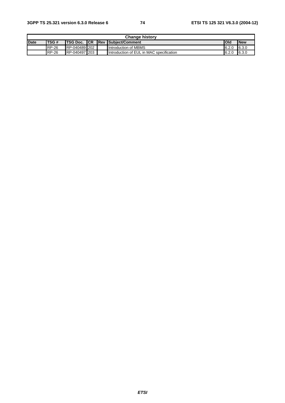| <b>Change history</b> |              |                      |  |  |                                          |       |            |
|-----------------------|--------------|----------------------|--|--|------------------------------------------|-------|------------|
| <b>Date</b>           | <b>ITSG#</b> | <b>ITSG Doc. ICR</b> |  |  | <b>IRev Subiect/Comment</b>              | lOld  | <b>New</b> |
|                       | <b>RP-26</b> | RP-040489 202        |  |  | Introduction of MBMS                     | 6.2.0 | 16.3.0     |
|                       | <b>RP-26</b> | RP-040497 203        |  |  | Introduction of EUL in MAC specification | 6.2.0 | 6.3.0      |